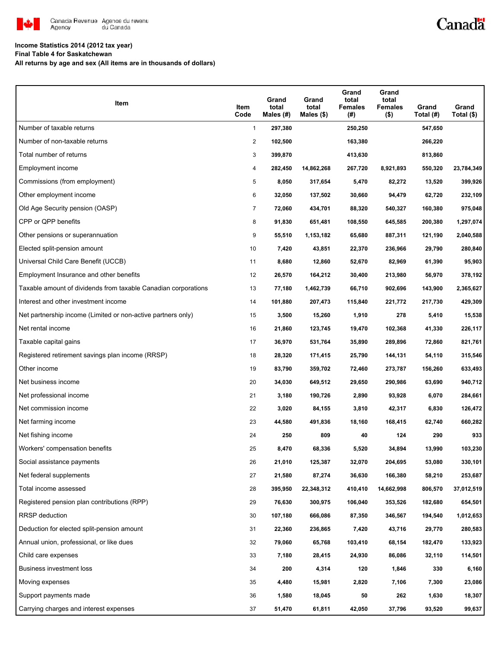

### Canadä

#### **Income Statistics 2014 (2012 tax year)**

**Final Table 4 for Saskatchewan**

**All returns by age and sex (All items are in thousands of dollars)**

| Item                                                           | Item<br>Code   | Grand<br>total<br>Males (#) | Grand<br>total<br>Males $($)$ | Grand<br>total<br>Females<br>(#) | Grand<br>total<br><b>Females</b><br>$($ \$) | Grand<br>Total (#) | Grand<br>Total (\$) |
|----------------------------------------------------------------|----------------|-----------------------------|-------------------------------|----------------------------------|---------------------------------------------|--------------------|---------------------|
| Number of taxable returns                                      | $\mathbf{1}$   | 297,380                     |                               | 250,250                          |                                             | 547,650            |                     |
| Number of non-taxable returns                                  | 2              | 102,500                     |                               | 163,380                          |                                             | 266,220            |                     |
| Total number of returns                                        | 3              | 399,870                     |                               | 413,630                          |                                             | 813,860            |                     |
| Employment income                                              | 4              | 282,450                     | 14,862,268                    | 267,720                          | 8,921,893                                   | 550,320            | 23,784,349          |
| Commissions (from employment)                                  | 5              | 8,050                       | 317,654                       | 5,470                            | 82,272                                      | 13,520             | 399,926             |
| Other employment income                                        | 6              | 32,050                      | 137,502                       | 30,660                           | 94,479                                      | 62,720             | 232,109             |
| Old Age Security pension (OASP)                                | $\overline{7}$ | 72,060                      | 434,701                       | 88,320                           | 540,327                                     | 160,380            | 975,048             |
| CPP or QPP benefits                                            | 8              | 91,830                      | 651,481                       | 108,550                          | 645,585                                     | 200,380            | 1,297,074           |
| Other pensions or superannuation                               | 9              | 55,510                      | 1,153,182                     | 65,680                           | 887,311                                     | 121,190            | 2,040,588           |
| Elected split-pension amount                                   | 10             | 7,420                       | 43,851                        | 22,370                           | 236,966                                     | 29,790             | 280,840             |
| Universal Child Care Benefit (UCCB)                            | 11             | 8,680                       | 12,860                        | 52,670                           | 82,969                                      | 61,390             | 95,903              |
| Employment Insurance and other benefits                        | 12             | 26,570                      | 164,212                       | 30,400                           | 213,980                                     | 56,970             | 378,192             |
| Taxable amount of dividends from taxable Canadian corporations | 13             | 77,180                      | 1,462,739                     | 66,710                           | 902,696                                     | 143,900            | 2,365,627           |
| Interest and other investment income                           | 14             | 101,880                     | 207,473                       | 115,840                          | 221,772                                     | 217,730            | 429,309             |
| Net partnership income (Limited or non-active partners only)   | 15             | 3,500                       | 15,260                        | 1,910                            | 278                                         | 5,410              | 15,538              |
| Net rental income                                              | 16             | 21,860                      | 123,745                       | 19,470                           | 102,368                                     | 41,330             | 226,117             |
| Taxable capital gains                                          | 17             | 36,970                      | 531,764                       | 35,890                           | 289,896                                     | 72,860             | 821,761             |
| Registered retirement savings plan income (RRSP)               | 18             | 28,320                      | 171,415                       | 25,790                           | 144,131                                     | 54,110             | 315,546             |
| Other income                                                   | 19             | 83,790                      | 359,702                       | 72,460                           | 273,787                                     | 156,260            | 633,493             |
| Net business income                                            | 20             | 34,030                      | 649,512                       | 29,650                           | 290,986                                     | 63,690             | 940,712             |
| Net professional income                                        | 21             | 3,180                       | 190,726                       | 2,890                            | 93,928                                      | 6,070              | 284,661             |
| Net commission income                                          | 22             | 3,020                       | 84,155                        | 3,810                            | 42,317                                      | 6,830              | 126,472             |
| Net farming income                                             | 23             | 44,580                      | 491,836                       | 18,160                           | 168,415                                     | 62,740             | 660,282             |
| Net fishing income                                             | 24             | 250                         | 809                           | 40                               | 124                                         | 290                | 933                 |
| Workers' compensation benefits                                 | 25             | 8,470                       | 68,336                        | 5,520                            | 34,894                                      | 13,990             | 103,230             |
| Social assistance payments                                     | 26             | 21,010                      | 125,387                       | 32,070                           | 204,695                                     | 53,080             | 330,101             |
| Net federal supplements                                        | 27             | 21,580                      | 87,274                        | 36,630                           | 166,380                                     | 58,210             | 253,687             |
| Total income assessed                                          | 28             | 395,950                     | 22,348,312                    | 410,410                          | 14,662,998                                  | 806,570            | 37,012,519          |
| Registered pension plan contributions (RPP)                    | 29             | 76,630                      | 300,975                       | 106,040                          | 353,526                                     | 182,680            | 654,501             |
| <b>RRSP</b> deduction                                          | 30             | 107,180                     | 666,086                       | 87,350                           | 346,567                                     | 194,540            | 1,012,653           |
| Deduction for elected split-pension amount                     | 31             | 22,360                      | 236,865                       | 7,420                            | 43,716                                      | 29,770             | 280,583             |
| Annual union, professional, or like dues                       | 32             | 79,060                      | 65,768                        | 103,410                          | 68,154                                      | 182,470            | 133,923             |
| Child care expenses                                            | 33             | 7,180                       | 28,415                        | 24,930                           | 86,086                                      | 32,110             | 114,501             |
| Business investment loss                                       | 34             | 200                         | 4,314                         | 120                              | 1,846                                       | 330                | 6,160               |
| Moving expenses                                                | 35             | 4,480                       | 15,981                        | 2,820                            | 7,106                                       | 7,300              | 23,086              |
| Support payments made                                          | 36             | 1,580                       | 18,045                        | 50                               | 262                                         | 1,630              | 18,307              |
| Carrying charges and interest expenses                         | 37             | 51,470                      | 61,811                        | 42,050                           | 37,796                                      | 93,520             | 99,637              |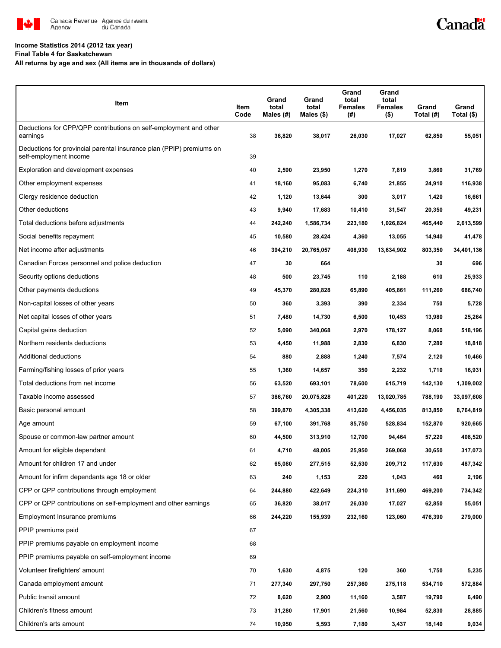

# Canadä

#### **Income Statistics 2014 (2012 tax year)**

**Final Table 4 for Saskatchewan**

**All returns by age and sex (All items are in thousands of dollars)**

| Item                                                                                           | Item<br>Code | Grand<br>total<br>Males (#) | Grand<br>total<br>Males $($)$ | Grand<br>total<br><b>Females</b><br>(#) | Grand<br>total<br><b>Females</b><br>$($ \$) | Grand<br>Total (#) | Grand<br>Total (\$) |
|------------------------------------------------------------------------------------------------|--------------|-----------------------------|-------------------------------|-----------------------------------------|---------------------------------------------|--------------------|---------------------|
| Deductions for CPP/QPP contributions on self-employment and other<br>earnings                  | 38           | 36,820                      | 38,017                        | 26,030                                  | 17,027                                      | 62,850             | 55,051              |
| Deductions for provincial parental insurance plan (PPIP) premiums on<br>self-employment income | 39           |                             |                               |                                         |                                             |                    |                     |
| Exploration and development expenses                                                           | 40           | 2,590                       | 23,950                        | 1,270                                   | 7,819                                       | 3,860              | 31,769              |
| Other employment expenses                                                                      | 41           | 18,160                      | 95,083                        | 6,740                                   | 21,855                                      | 24,910             | 116,938             |
| Clergy residence deduction                                                                     | 42           | 1,120                       | 13,644                        | 300                                     | 3,017                                       | 1,420              | 16,661              |
| Other deductions                                                                               | 43           | 9,940                       | 17,683                        | 10,410                                  | 31,547                                      | 20,350             | 49,231              |
| Total deductions before adjustments                                                            | 44           | 242,240                     | 1,586,734                     | 223,180                                 | 1,026,824                                   | 465,440            | 2,613,599           |
| Social benefits repayment                                                                      | 45           | 10,580                      | 28,424                        | 4,360                                   | 13,055                                      | 14,940             | 41,478              |
| Net income after adjustments                                                                   | 46           | 394,210                     | 20,765,057                    | 408,930                                 | 13,634,902                                  | 803,350            | 34,401,136          |
| Canadian Forces personnel and police deduction                                                 | 47           | 30                          | 664                           |                                         |                                             | 30                 | 696                 |
| Security options deductions                                                                    | 48           | 500                         | 23,745                        | 110                                     | 2,188                                       | 610                | 25,933              |
| Other payments deductions                                                                      | 49           | 45,370                      | 280,828                       | 65,890                                  | 405,861                                     | 111,260            | 686,740             |
| Non-capital losses of other years                                                              | 50           | 360                         | 3,393                         | 390                                     | 2,334                                       | 750                | 5,728               |
| Net capital losses of other years                                                              | 51           | 7,480                       | 14,730                        | 6,500                                   | 10,453                                      | 13,980             | 25,264              |
| Capital gains deduction                                                                        | 52           | 5,090                       | 340,068                       | 2,970                                   | 178,127                                     | 8,060              | 518,196             |
| Northern residents deductions                                                                  | 53           | 4,450                       | 11,988                        | 2,830                                   | 6,830                                       | 7,280              | 18,818              |
| Additional deductions                                                                          | 54           | 880                         | 2,888                         | 1,240                                   | 7,574                                       | 2,120              | 10,466              |
| Farming/fishing losses of prior years                                                          | 55           | 1,360                       | 14,657                        | 350                                     | 2,232                                       | 1,710              | 16,931              |
| Total deductions from net income                                                               | 56           | 63,520                      | 693,101                       | 78,600                                  | 615,719                                     | 142,130            | 1,309,002           |
| Taxable income assessed                                                                        | 57           | 386,760                     | 20,075,828                    | 401,220                                 | 13,020,785                                  | 788,190            | 33,097,608          |
| Basic personal amount                                                                          | 58           | 399,870                     | 4,305,338                     | 413,620                                 | 4,456,035                                   | 813,850            | 8,764,819           |
| Age amount                                                                                     | 59           | 67,100                      | 391,768                       | 85,750                                  | 528,834                                     | 152,870            | 920,665             |
| Spouse or common-law partner amount                                                            | 60           | 44,500                      | 313,910                       | 12,700                                  | 94,464                                      | 57,220             | 408,520             |
| Amount for eligible dependant                                                                  | 61           | 4,710                       | 48,005                        | 25,950                                  | 269,068                                     | 30,650             | 317,073             |
| Amount for children 17 and under                                                               | 62           | 65,080                      | 277,515                       | 52,530                                  | 209,712                                     | 117,630            | 487,342             |
| Amount for infirm dependants age 18 or older                                                   | 63           | 240                         | 1,153                         | 220                                     | 1,043                                       | 460                | 2,196               |
| CPP or QPP contributions through employment                                                    | 64           | 244,880                     | 422,649                       | 224,310                                 | 311,690                                     | 469,200            | 734,342             |
| CPP or QPP contributions on self-employment and other earnings                                 | 65           | 36,820                      | 38,017                        | 26,030                                  | 17,027                                      | 62,850             | 55,051              |
| Employment Insurance premiums                                                                  | 66           | 244,220                     | 155,939                       | 232,160                                 | 123,060                                     | 476,390            | 279,000             |
| PPIP premiums paid                                                                             | 67           |                             |                               |                                         |                                             |                    |                     |
| PPIP premiums payable on employment income                                                     | 68           |                             |                               |                                         |                                             |                    |                     |
| PPIP premiums payable on self-employment income                                                | 69           |                             |                               |                                         |                                             |                    |                     |
| Volunteer firefighters' amount                                                                 | 70           | 1,630                       | 4,875                         | 120                                     | 360                                         | 1,750              | 5,235               |
| Canada employment amount                                                                       | 71           | 277,340                     | 297,750                       | 257,360                                 | 275,118                                     | 534,710            | 572,884             |
| Public transit amount                                                                          | 72           | 8,620                       | 2,900                         | 11,160                                  | 3,587                                       | 19,790             | 6,490               |
| Children's fitness amount                                                                      | 73           | 31,280                      | 17,901                        | 21,560                                  | 10,984                                      | 52,830             | 28,885              |
| Children's arts amount                                                                         | 74           | 10,950                      | 5,593                         | 7,180                                   | 3,437                                       | 18,140             | 9,034               |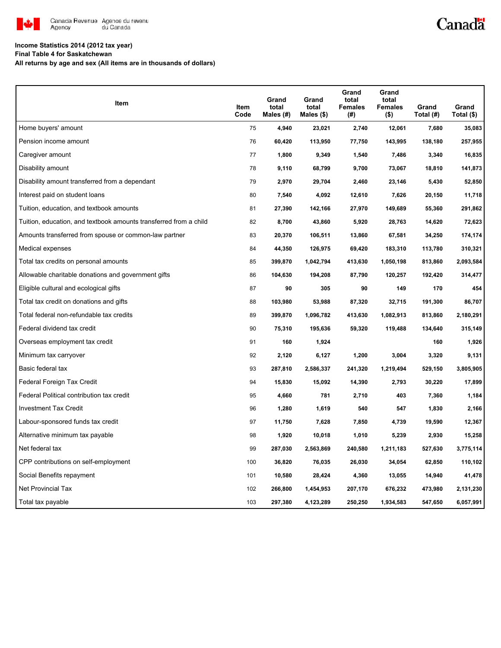

## Canadä

#### **Income Statistics 2014 (2012 tax year)**

**Final Table 4 for Saskatchewan**

**All returns by age and sex (All items are in thousands of dollars)**

| Item                                                              | Item<br>Code | Grand<br>total<br>Males (#) | Grand<br>total<br>Males $(\$)$ | Grand<br>total<br><b>Females</b><br>(#) | Grand<br>total<br><b>Females</b><br>(\$) | Grand<br>Total (#) | Grand<br>Total $(\$)$ |
|-------------------------------------------------------------------|--------------|-----------------------------|--------------------------------|-----------------------------------------|------------------------------------------|--------------------|-----------------------|
| Home buyers' amount                                               | 75           | 4,940                       | 23,021                         | 2,740                                   | 12,061                                   | 7,680              | 35,083                |
| Pension income amount                                             | 76           | 60,420                      | 113,950                        | 77,750                                  | 143,995                                  | 138,180            | 257,955               |
| Caregiver amount                                                  | 77           | 1,800                       | 9,349                          | 1,540                                   | 7,486                                    | 3,340              | 16,835                |
| Disability amount                                                 | 78           | 9,110                       | 68,799                         | 9,700                                   | 73,067                                   | 18,810             | 141,873               |
| Disability amount transferred from a dependant                    | 79           | 2,970                       | 29,704                         | 2,460                                   | 23,146                                   | 5,430              | 52,850                |
| Interest paid on student loans                                    | 80           | 7,540                       | 4,092                          | 12,610                                  | 7,626                                    | 20,150             | 11,718                |
| Tuition, education, and textbook amounts                          | 81           | 27,390                      | 142,166                        | 27,970                                  | 149,689                                  | 55,360             | 291,862               |
| Tuition, education, and textbook amounts transferred from a child | 82           | 8,700                       | 43,860                         | 5,920                                   | 28,763                                   | 14,620             | 72,623                |
| Amounts transferred from spouse or common-law partner             | 83           | 20,370                      | 106,511                        | 13,860                                  | 67,581                                   | 34,250             | 174,174               |
| Medical expenses                                                  | 84           | 44,350                      | 126,975                        | 69,420                                  | 183,310                                  | 113,780            | 310,321               |
| Total tax credits on personal amounts                             | 85           | 399,870                     | 1,042,794                      | 413,630                                 | 1,050,198                                | 813,860            | 2,093,584             |
| Allowable charitable donations and government gifts               | 86           | 104,630                     | 194,208                        | 87,790                                  | 120,257                                  | 192,420            | 314,477               |
| Eligible cultural and ecological gifts                            | 87           | 90                          | 305                            | 90                                      | 149                                      | 170                | 454                   |
| Total tax credit on donations and gifts                           | 88           | 103,980                     | 53,988                         | 87,320                                  | 32,715                                   | 191,300            | 86,707                |
| Total federal non-refundable tax credits                          | 89           | 399,870                     | 1,096,782                      | 413,630                                 | 1,082,913                                | 813,860            | 2,180,291             |
| Federal dividend tax credit                                       | 90           | 75,310                      | 195,636                        | 59,320                                  | 119,488                                  | 134,640            | 315,149               |
| Overseas employment tax credit                                    | 91           | 160                         | 1,924                          |                                         |                                          | 160                | 1,926                 |
| Minimum tax carryover                                             | 92           | 2,120                       | 6,127                          | 1,200                                   | 3,004                                    | 3,320              | 9,131                 |
| Basic federal tax                                                 | 93           | 287,810                     | 2,586,337                      | 241,320                                 | 1,219,494                                | 529,150            | 3,805,905             |
| Federal Foreign Tax Credit                                        | 94           | 15,830                      | 15,092                         | 14,390                                  | 2,793                                    | 30,220             | 17,899                |
| Federal Political contribution tax credit                         | 95           | 4,660                       | 781                            | 2,710                                   | 403                                      | 7,360              | 1,184                 |
| <b>Investment Tax Credit</b>                                      | 96           | 1,280                       | 1,619                          | 540                                     | 547                                      | 1,830              | 2,166                 |
| Labour-sponsored funds tax credit                                 | 97           | 11,750                      | 7,628                          | 7,850                                   | 4,739                                    | 19,590             | 12,367                |
| Alternative minimum tax payable                                   | 98           | 1,920                       | 10,018                         | 1,010                                   | 5,239                                    | 2,930              | 15,258                |
| Net federal tax                                                   | 99           | 287,030                     | 2,563,869                      | 240,580                                 | 1,211,183                                | 527,630            | 3,775,114             |
| CPP contributions on self-employment                              | 100          | 36,820                      | 76,035                         | 26,030                                  | 34,054                                   | 62,850             | 110,102               |
| Social Benefits repayment                                         | 101          | 10,580                      | 28,424                         | 4,360                                   | 13,055                                   | 14,940             | 41,478                |
| <b>Net Provincial Tax</b>                                         | 102          | 266,800                     | 1,454,953                      | 207,170                                 | 676,232                                  | 473,980            | 2,131,230             |
| Total tax payable                                                 | 103          | 297,380                     | 4,123,289                      | 250,250                                 | 1,934,583                                | 547,650            | 6,057,991             |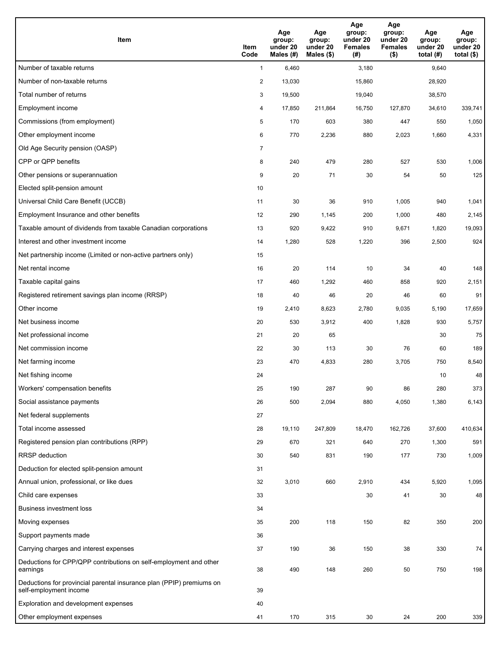| <b>Item</b>                                                                                    | Item<br>Code            | Age<br>group:<br>under 20<br>Males (#) | Age<br>group:<br>under 20<br>Males (\$) | Age<br>group:<br>under 20<br><b>Females</b><br>(#) | Age<br>group:<br>under 20<br><b>Females</b><br>$($ \$) | Age<br>group:<br>under 20<br>total $(H)$ | Age<br>group:<br>under 20<br>total $($)$ |
|------------------------------------------------------------------------------------------------|-------------------------|----------------------------------------|-----------------------------------------|----------------------------------------------------|--------------------------------------------------------|------------------------------------------|------------------------------------------|
| Number of taxable returns                                                                      | $\mathbf{1}$            | 6,460                                  |                                         | 3,180                                              |                                                        | 9,640                                    |                                          |
| Number of non-taxable returns                                                                  | $\overline{\mathbf{c}}$ | 13,030                                 |                                         | 15,860                                             |                                                        | 28,920                                   |                                          |
| Total number of returns                                                                        | 3                       | 19,500                                 |                                         | 19,040                                             |                                                        | 38,570                                   |                                          |
| Employment income                                                                              | 4                       | 17,850                                 | 211,864                                 | 16,750                                             | 127,870                                                | 34,610                                   | 339,741                                  |
| Commissions (from employment)                                                                  | 5                       | 170                                    | 603                                     | 380                                                | 447                                                    | 550                                      | 1,050                                    |
| Other employment income                                                                        | 6                       | 770                                    | 2,236                                   | 880                                                | 2,023                                                  | 1,660                                    | 4,331                                    |
| Old Age Security pension (OASP)                                                                | $\overline{7}$          |                                        |                                         |                                                    |                                                        |                                          |                                          |
| CPP or QPP benefits                                                                            | 8                       | 240                                    | 479                                     | 280                                                | 527                                                    | 530                                      | 1,006                                    |
| Other pensions or superannuation                                                               | 9                       | 20                                     | 71                                      | 30                                                 | 54                                                     | 50                                       | 125                                      |
| Elected split-pension amount                                                                   | 10                      |                                        |                                         |                                                    |                                                        |                                          |                                          |
| Universal Child Care Benefit (UCCB)                                                            | 11                      | 30                                     | 36                                      | 910                                                | 1,005                                                  | 940                                      | 1,041                                    |
| Employment Insurance and other benefits                                                        | 12                      | 290                                    | 1,145                                   | 200                                                | 1,000                                                  | 480                                      | 2,145                                    |
| Taxable amount of dividends from taxable Canadian corporations                                 | 13                      | 920                                    | 9,422                                   | 910                                                | 9,671                                                  | 1,820                                    | 19,093                                   |
| Interest and other investment income                                                           | 14                      | 1,280                                  | 528                                     | 1,220                                              | 396                                                    | 2,500                                    | 924                                      |
| Net partnership income (Limited or non-active partners only)                                   | 15                      |                                        |                                         |                                                    |                                                        |                                          |                                          |
| Net rental income                                                                              | 16                      | 20                                     | 114                                     | 10                                                 | 34                                                     | 40                                       | 148                                      |
| Taxable capital gains                                                                          | 17                      | 460                                    | 1,292                                   | 460                                                | 858                                                    | 920                                      | 2,151                                    |
| Registered retirement savings plan income (RRSP)                                               | 18                      | 40                                     | 46                                      | 20                                                 | 46                                                     | 60                                       | 91                                       |
| Other income                                                                                   | 19                      | 2,410                                  | 8,623                                   | 2,780                                              | 9,035                                                  | 5,190                                    | 17,659                                   |
| Net business income                                                                            | 20                      | 530                                    | 3,912                                   | 400                                                | 1,828                                                  | 930                                      | 5,757                                    |
| Net professional income                                                                        | 21                      | 20                                     | 65                                      |                                                    |                                                        | 30                                       | 75                                       |
| Net commission income                                                                          | 22                      | 30                                     | 113                                     | 30                                                 | 76                                                     | 60                                       | 189                                      |
| Net farming income                                                                             | 23                      | 470                                    | 4,833                                   | 280                                                | 3,705                                                  | 750                                      | 8,540                                    |
| Net fishing income                                                                             | 24                      |                                        |                                         |                                                    |                                                        | 10                                       | 48                                       |
| Workers' compensation benefits                                                                 | 25                      | 190                                    | 287                                     | 90                                                 | 86                                                     | 280                                      | 373                                      |
| Social assistance payments                                                                     | 26                      | 500                                    | 2,094                                   | 880                                                | 4,050                                                  | 1,380                                    | 6,143                                    |
| Net federal supplements                                                                        | 27                      |                                        |                                         |                                                    |                                                        |                                          |                                          |
| Total income assessed                                                                          | 28                      | 19,110                                 | 247,809                                 | 18,470                                             | 162,726                                                | 37,600                                   | 410,634                                  |
| Registered pension plan contributions (RPP)                                                    | 29                      | 670                                    | 321                                     | 640                                                | 270                                                    | 1,300                                    | 591                                      |
| RRSP deduction                                                                                 | 30                      | 540                                    | 831                                     | 190                                                | 177                                                    | 730                                      | 1,009                                    |
| Deduction for elected split-pension amount                                                     | 31                      |                                        |                                         |                                                    |                                                        |                                          |                                          |
| Annual union, professional, or like dues                                                       | 32                      | 3,010                                  | 660                                     | 2,910                                              | 434                                                    | 5,920                                    | 1,095                                    |
| Child care expenses                                                                            | 33                      |                                        |                                         | 30                                                 | 41                                                     | 30                                       | 48                                       |
| <b>Business investment loss</b>                                                                | 34                      |                                        |                                         |                                                    |                                                        |                                          |                                          |
| Moving expenses                                                                                | 35                      | 200                                    | 118                                     | 150                                                | 82                                                     | 350                                      | 200                                      |
| Support payments made                                                                          | 36                      |                                        |                                         |                                                    |                                                        |                                          |                                          |
| Carrying charges and interest expenses                                                         | 37                      | 190                                    | 36                                      | 150                                                | 38                                                     | 330                                      | 74                                       |
| Deductions for CPP/QPP contributions on self-employment and other<br>earnings                  | 38                      | 490                                    | 148                                     | 260                                                | 50                                                     | 750                                      | 198                                      |
| Deductions for provincial parental insurance plan (PPIP) premiums on<br>self-employment income | 39                      |                                        |                                         |                                                    |                                                        |                                          |                                          |
| Exploration and development expenses                                                           | 40                      |                                        |                                         |                                                    |                                                        |                                          |                                          |
| Other employment expenses                                                                      | 41                      | 170                                    | 315                                     | 30                                                 | 24                                                     | 200                                      | 339                                      |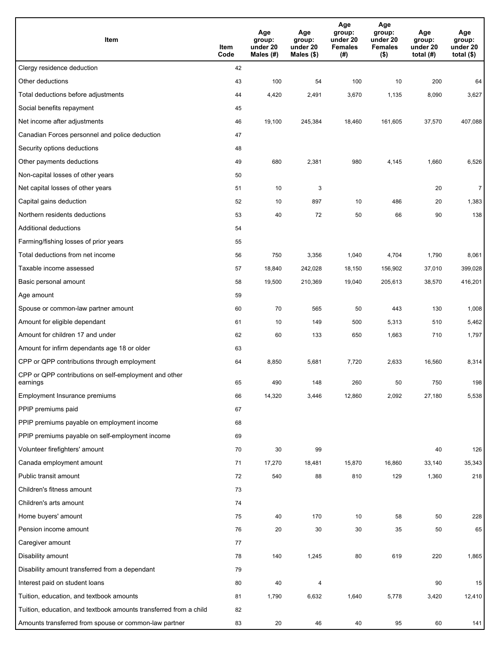| Item                                                              | Item<br>Code | Age<br>group:<br>under 20<br>Males (#) | Age<br>group:<br>under 20<br>Males (\$) | Age<br>group:<br>under 20<br><b>Females</b><br>(# ) | Age<br>group:<br>under 20<br><b>Females</b><br>$($ \$) | Age<br>group:<br>under 20<br>total $(H)$ | Age<br>group:<br>under 20<br>total $($)$ |
|-------------------------------------------------------------------|--------------|----------------------------------------|-----------------------------------------|-----------------------------------------------------|--------------------------------------------------------|------------------------------------------|------------------------------------------|
| Clergy residence deduction                                        | 42           |                                        |                                         |                                                     |                                                        |                                          |                                          |
| Other deductions                                                  | 43           | 100                                    | 54                                      | 100                                                 | 10                                                     | 200                                      | 64                                       |
| Total deductions before adjustments                               | 44           | 4,420                                  | 2,491                                   | 3,670                                               | 1,135                                                  | 8,090                                    | 3,627                                    |
| Social benefits repayment                                         | 45           |                                        |                                         |                                                     |                                                        |                                          |                                          |
| Net income after adjustments                                      | 46           | 19,100                                 | 245,384                                 | 18,460                                              | 161,605                                                | 37,570                                   | 407,088                                  |
| Canadian Forces personnel and police deduction                    | 47           |                                        |                                         |                                                     |                                                        |                                          |                                          |
| Security options deductions                                       | 48           |                                        |                                         |                                                     |                                                        |                                          |                                          |
| Other payments deductions                                         | 49           | 680                                    | 2,381                                   | 980                                                 | 4,145                                                  | 1,660                                    | 6,526                                    |
| Non-capital losses of other years                                 | 50           |                                        |                                         |                                                     |                                                        |                                          |                                          |
| Net capital losses of other years                                 | 51           | 10                                     | 3                                       |                                                     |                                                        | 20                                       | $\overline{7}$                           |
| Capital gains deduction                                           | 52           | 10                                     | 897                                     | 10                                                  | 486                                                    | 20                                       | 1,383                                    |
| Northern residents deductions                                     | 53           | 40                                     | 72                                      | 50                                                  | 66                                                     | 90                                       | 138                                      |
| Additional deductions                                             | 54           |                                        |                                         |                                                     |                                                        |                                          |                                          |
| Farming/fishing losses of prior years                             | 55           |                                        |                                         |                                                     |                                                        |                                          |                                          |
| Total deductions from net income                                  | 56           | 750                                    | 3,356                                   | 1,040                                               | 4,704                                                  | 1,790                                    | 8,061                                    |
| Taxable income assessed                                           | 57           | 18,840                                 | 242,028                                 | 18,150                                              | 156,902                                                | 37,010                                   | 399,028                                  |
| Basic personal amount                                             | 58           | 19,500                                 | 210,369                                 | 19,040                                              | 205,613                                                | 38,570                                   | 416,201                                  |
| Age amount                                                        | 59           |                                        |                                         |                                                     |                                                        |                                          |                                          |
| Spouse or common-law partner amount                               | 60           | 70                                     | 565                                     | 50                                                  | 443                                                    | 130                                      | 1,008                                    |
| Amount for eligible dependant                                     | 61           | 10                                     | 149                                     | 500                                                 | 5,313                                                  | 510                                      | 5,462                                    |
| Amount for children 17 and under                                  | 62           | 60                                     | 133                                     | 650                                                 | 1,663                                                  | 710                                      | 1,797                                    |
| Amount for infirm dependants age 18 or older                      | 63           |                                        |                                         |                                                     |                                                        |                                          |                                          |
| CPP or QPP contributions through employment                       | 64           | 8,850                                  | 5,681                                   | 7,720                                               | 2,633                                                  | 16,560                                   | 8,314                                    |
| CPP or QPP contributions on self-employment and other<br>earnings | 65           | 490                                    | 148                                     | 260                                                 | 50                                                     | 750                                      | 198                                      |
| Employment Insurance premiums                                     | 66           | 14,320                                 | 3,446                                   | 12,860                                              | 2,092                                                  | 27,180                                   | 5,538                                    |
| PPIP premiums paid                                                | 67           |                                        |                                         |                                                     |                                                        |                                          |                                          |
| PPIP premiums payable on employment income                        | 68           |                                        |                                         |                                                     |                                                        |                                          |                                          |
| PPIP premiums payable on self-employment income                   | 69           |                                        |                                         |                                                     |                                                        |                                          |                                          |
| Volunteer firefighters' amount                                    | 70           | 30                                     | 99                                      |                                                     |                                                        | 40                                       | 126                                      |
| Canada employment amount                                          | 71           | 17,270                                 | 18,481                                  | 15,870                                              | 16,860                                                 | 33,140                                   | 35,343                                   |
| Public transit amount                                             | 72           | 540                                    | 88                                      | 810                                                 | 129                                                    | 1,360                                    | 218                                      |
| Children's fitness amount                                         | 73           |                                        |                                         |                                                     |                                                        |                                          |                                          |
| Children's arts amount                                            | 74           |                                        |                                         |                                                     |                                                        |                                          |                                          |
| Home buyers' amount                                               | 75           | 40                                     | 170                                     | 10                                                  | 58                                                     | 50                                       | 228                                      |
| Pension income amount                                             | 76           | 20                                     | 30                                      | 30                                                  | 35                                                     | 50                                       | 65                                       |
| Caregiver amount                                                  | 77           |                                        |                                         |                                                     |                                                        |                                          |                                          |
| Disability amount                                                 | 78           | 140                                    | 1,245                                   | 80                                                  | 619                                                    | 220                                      | 1,865                                    |
| Disability amount transferred from a dependant                    | 79           |                                        |                                         |                                                     |                                                        |                                          |                                          |
| Interest paid on student loans                                    | 80           | 40                                     | 4                                       |                                                     |                                                        | 90                                       | 15                                       |
| Tuition, education, and textbook amounts                          | 81           | 1,790                                  | 6,632                                   | 1,640                                               | 5,778                                                  | 3,420                                    | 12,410                                   |
| Tuition, education, and textbook amounts transferred from a child | 82           |                                        |                                         |                                                     |                                                        |                                          |                                          |
| Amounts transferred from spouse or common-law partner             | 83           | 20                                     | 46                                      | 40                                                  | 95                                                     | 60                                       | 141                                      |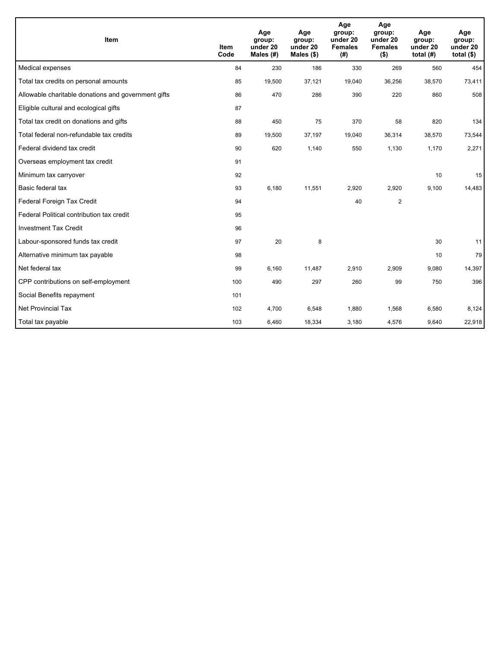| Item                                                | <b>Item</b><br>Code | Age<br>group:<br>under 20<br>Males $(H)$ | Age<br>group:<br>under 20<br>Males (\$) | Age<br>group:<br>under 20<br><b>Females</b><br>(# ) | Age<br>group:<br>under 20<br><b>Females</b><br>$($ \$) | Age<br>group:<br>under 20<br>total $(H)$ | Age<br>group:<br>under 20<br>total $($ |
|-----------------------------------------------------|---------------------|------------------------------------------|-----------------------------------------|-----------------------------------------------------|--------------------------------------------------------|------------------------------------------|----------------------------------------|
| Medical expenses                                    | 84                  | 230                                      | 186                                     | 330                                                 | 269                                                    | 560                                      | 454                                    |
| Total tax credits on personal amounts               | 85                  | 19,500                                   | 37,121                                  | 19,040                                              | 36,256                                                 | 38,570                                   | 73,411                                 |
| Allowable charitable donations and government gifts | 86                  | 470                                      | 286                                     | 390                                                 | 220                                                    | 860                                      | 508                                    |
| Eligible cultural and ecological gifts              | 87                  |                                          |                                         |                                                     |                                                        |                                          |                                        |
| Total tax credit on donations and gifts             | 88                  | 450                                      | 75                                      | 370                                                 | 58                                                     | 820                                      | 134                                    |
| Total federal non-refundable tax credits            | 89                  | 19,500                                   | 37,197                                  | 19,040                                              | 36,314                                                 | 38,570                                   | 73,544                                 |
| Federal dividend tax credit                         | 90                  | 620                                      | 1,140                                   | 550                                                 | 1,130                                                  | 1,170                                    | 2,271                                  |
| Overseas employment tax credit                      | 91                  |                                          |                                         |                                                     |                                                        |                                          |                                        |
| Minimum tax carryover                               | 92                  |                                          |                                         |                                                     |                                                        | 10                                       | 15                                     |
| Basic federal tax                                   | 93                  | 6,180                                    | 11,551                                  | 2,920                                               | 2,920                                                  | 9,100                                    | 14,483                                 |
| Federal Foreign Tax Credit                          | 94                  |                                          |                                         | 40                                                  | $\overline{c}$                                         |                                          |                                        |
| Federal Political contribution tax credit           | 95                  |                                          |                                         |                                                     |                                                        |                                          |                                        |
| <b>Investment Tax Credit</b>                        | 96                  |                                          |                                         |                                                     |                                                        |                                          |                                        |
| Labour-sponsored funds tax credit                   | 97                  | 20                                       | 8                                       |                                                     |                                                        | 30                                       | 11                                     |
| Alternative minimum tax payable                     | 98                  |                                          |                                         |                                                     |                                                        | 10                                       | 79                                     |
| Net federal tax                                     | 99                  | 6,160                                    | 11,487                                  | 2,910                                               | 2,909                                                  | 9,080                                    | 14,397                                 |
| CPP contributions on self-employment                | 100                 | 490                                      | 297                                     | 260                                                 | 99                                                     | 750                                      | 396                                    |
| Social Benefits repayment                           | 101                 |                                          |                                         |                                                     |                                                        |                                          |                                        |
| <b>Net Provincial Tax</b>                           | 102                 | 4,700                                    | 6,548                                   | 1,880                                               | 1,568                                                  | 6,580                                    | 8,124                                  |
| Total tax payable                                   | 103                 | 6,460                                    | 18,334                                  | 3,180                                               | 4,576                                                  | 9,640                                    | 22,918                                 |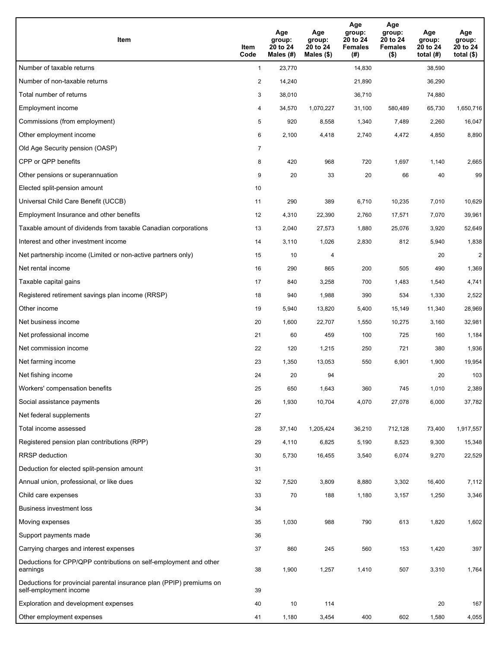| Item                                                                                           | Item<br>Code   | Age<br>group:<br>20 to 24<br>Males (#) | Age<br>group:<br>20 to 24<br>Males $(\$)$ | Age<br>group:<br>20 to 24<br><b>Females</b><br>(#) | Age<br>group:<br>20 to 24<br><b>Females</b><br>$($ \$) | Age<br>group:<br>20 to 24<br>total $(H)$ | Age<br>group:<br>20 to 24<br>total $($ |
|------------------------------------------------------------------------------------------------|----------------|----------------------------------------|-------------------------------------------|----------------------------------------------------|--------------------------------------------------------|------------------------------------------|----------------------------------------|
| Number of taxable returns                                                                      | $\mathbf{1}$   | 23,770                                 |                                           | 14,830                                             |                                                        | 38,590                                   |                                        |
| Number of non-taxable returns                                                                  | $\overline{a}$ | 14,240                                 |                                           | 21,890                                             |                                                        | 36,290                                   |                                        |
| Total number of returns                                                                        | 3              | 38,010                                 |                                           | 36,710                                             |                                                        | 74,880                                   |                                        |
| Employment income                                                                              | 4              | 34,570                                 | 1,070,227                                 | 31,100                                             | 580,489                                                | 65,730                                   | 1,650,716                              |
| Commissions (from employment)                                                                  | 5              | 920                                    | 8,558                                     | 1,340                                              | 7,489                                                  | 2,260                                    | 16,047                                 |
| Other employment income                                                                        | 6              | 2,100                                  | 4,418                                     | 2,740                                              | 4,472                                                  | 4,850                                    | 8,890                                  |
| Old Age Security pension (OASP)                                                                | 7              |                                        |                                           |                                                    |                                                        |                                          |                                        |
| CPP or QPP benefits                                                                            | 8              | 420                                    | 968                                       | 720                                                | 1,697                                                  | 1,140                                    | 2,665                                  |
| Other pensions or superannuation                                                               | 9              | 20                                     | 33                                        | 20                                                 | 66                                                     | 40                                       | 99                                     |
| Elected split-pension amount                                                                   | 10             |                                        |                                           |                                                    |                                                        |                                          |                                        |
| Universal Child Care Benefit (UCCB)                                                            | 11             | 290                                    | 389                                       | 6,710                                              | 10,235                                                 | 7,010                                    | 10,629                                 |
| Employment Insurance and other benefits                                                        | 12             | 4,310                                  | 22,390                                    | 2,760                                              | 17,571                                                 | 7,070                                    | 39,961                                 |
| Taxable amount of dividends from taxable Canadian corporations                                 | 13             | 2,040                                  | 27,573                                    | 1,880                                              | 25,076                                                 | 3,920                                    | 52,649                                 |
| Interest and other investment income                                                           | 14             | 3,110                                  | 1,026                                     | 2,830                                              | 812                                                    | 5,940                                    | 1,838                                  |
| Net partnership income (Limited or non-active partners only)                                   | 15             | 10                                     | 4                                         |                                                    |                                                        | 20                                       | $\overline{c}$                         |
| Net rental income                                                                              | 16             | 290                                    | 865                                       | 200                                                | 505                                                    | 490                                      | 1,369                                  |
| Taxable capital gains                                                                          | 17             | 840                                    | 3,258                                     | 700                                                | 1,483                                                  | 1,540                                    | 4,741                                  |
| Registered retirement savings plan income (RRSP)                                               | 18             | 940                                    | 1,988                                     | 390                                                | 534                                                    | 1,330                                    | 2,522                                  |
| Other income                                                                                   | 19             | 5,940                                  | 13,820                                    | 5,400                                              | 15,149                                                 | 11,340                                   | 28,969                                 |
| Net business income                                                                            | 20             | 1,600                                  | 22,707                                    | 1,550                                              | 10,275                                                 | 3,160                                    | 32,981                                 |
| Net professional income                                                                        | 21             | 60                                     | 459                                       | 100                                                | 725                                                    | 160                                      | 1,184                                  |
| Net commission income                                                                          | 22             | 120                                    | 1,215                                     | 250                                                | 721                                                    | 380                                      | 1,936                                  |
| Net farming income                                                                             | 23             | 1,350                                  | 13,053                                    | 550                                                | 6,901                                                  | 1,900                                    | 19,954                                 |
| Net fishing income                                                                             | 24             | 20                                     | 94                                        |                                                    |                                                        | 20                                       | 103                                    |
| Workers' compensation benefits                                                                 | 25             | 650                                    | 1,643                                     | 360                                                | 745                                                    | 1,010                                    | 2,389                                  |
| Social assistance payments                                                                     | 26             | 1,930                                  | 10,704                                    | 4,070                                              | 27,078                                                 | 6,000                                    | 37,782                                 |
| Net federal supplements                                                                        | 27             |                                        |                                           |                                                    |                                                        |                                          |                                        |
| Total income assessed                                                                          | 28             | 37,140                                 | 1,205,424                                 | 36,210                                             | 712,128                                                | 73,400                                   | 1,917,557                              |
| Registered pension plan contributions (RPP)                                                    | 29             | 4,110                                  | 6,825                                     | 5,190                                              | 8,523                                                  | 9,300                                    | 15,348                                 |
| RRSP deduction                                                                                 | 30             | 5,730                                  | 16,455                                    | 3,540                                              | 6,074                                                  | 9,270                                    | 22,529                                 |
| Deduction for elected split-pension amount                                                     | 31             |                                        |                                           |                                                    |                                                        |                                          |                                        |
| Annual union, professional, or like dues                                                       | 32             | 7,520                                  | 3,809                                     | 8,880                                              | 3,302                                                  | 16,400                                   | 7,112                                  |
| Child care expenses                                                                            | 33             | 70                                     | 188                                       | 1,180                                              | 3,157                                                  | 1,250                                    | 3,346                                  |
| Business investment loss                                                                       | 34             |                                        |                                           |                                                    |                                                        |                                          |                                        |
| Moving expenses                                                                                | 35             | 1,030                                  | 988                                       | 790                                                | 613                                                    | 1,820                                    | 1,602                                  |
| Support payments made                                                                          | 36             |                                        |                                           |                                                    |                                                        |                                          |                                        |
| Carrying charges and interest expenses                                                         | 37             | 860                                    | 245                                       | 560                                                | 153                                                    | 1,420                                    | 397                                    |
| Deductions for CPP/QPP contributions on self-employment and other<br>earnings                  | 38             | 1,900                                  | 1,257                                     | 1,410                                              | 507                                                    | 3,310                                    | 1,764                                  |
| Deductions for provincial parental insurance plan (PPIP) premiums on<br>self-employment income | 39             |                                        |                                           |                                                    |                                                        |                                          |                                        |
| Exploration and development expenses                                                           | 40             | 10                                     | 114                                       |                                                    |                                                        | 20                                       | 167                                    |
| Other employment expenses                                                                      | 41             | 1,180                                  | 3,454                                     | 400                                                | 602                                                    | 1,580                                    | 4,055                                  |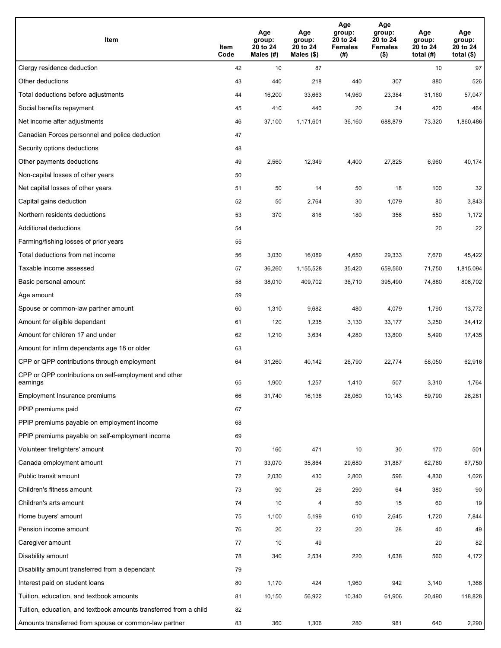| Item                                                              | Item<br>Code | Age<br>group:<br>20 to 24<br>Males (#) | Age<br>group:<br>20 to 24<br>Males (\$) | Age<br>group:<br>20 to 24<br><b>Females</b><br>(# ) | Age<br>group:<br>20 to 24<br><b>Females</b><br>$($ \$) | Age<br>group:<br>20 to 24<br>total $(H)$ | Age<br>group:<br>20 to 24<br>total $($)$ |
|-------------------------------------------------------------------|--------------|----------------------------------------|-----------------------------------------|-----------------------------------------------------|--------------------------------------------------------|------------------------------------------|------------------------------------------|
| Clergy residence deduction                                        | 42           | 10                                     | 87                                      |                                                     |                                                        | 10                                       | 97                                       |
| Other deductions                                                  | 43           | 440                                    | 218                                     | 440                                                 | 307                                                    | 880                                      | 526                                      |
| Total deductions before adjustments                               | 44           | 16,200                                 | 33,663                                  | 14,960                                              | 23,384                                                 | 31,160                                   | 57,047                                   |
| Social benefits repayment                                         | 45           | 410                                    | 440                                     | 20                                                  | 24                                                     | 420                                      | 464                                      |
| Net income after adjustments                                      | 46           | 37,100                                 | 1,171,601                               | 36,160                                              | 688,879                                                | 73,320                                   | 1,860,486                                |
| Canadian Forces personnel and police deduction                    | 47           |                                        |                                         |                                                     |                                                        |                                          |                                          |
| Security options deductions                                       | 48           |                                        |                                         |                                                     |                                                        |                                          |                                          |
| Other payments deductions                                         | 49           | 2,560                                  | 12,349                                  | 4,400                                               | 27,825                                                 | 6,960                                    | 40,174                                   |
| Non-capital losses of other years                                 | 50           |                                        |                                         |                                                     |                                                        |                                          |                                          |
| Net capital losses of other years                                 | 51           | 50                                     | 14                                      | 50                                                  | 18                                                     | 100                                      | 32                                       |
| Capital gains deduction                                           | 52           | 50                                     | 2,764                                   | 30                                                  | 1,079                                                  | 80                                       | 3,843                                    |
| Northern residents deductions                                     | 53           | 370                                    | 816                                     | 180                                                 | 356                                                    | 550                                      | 1,172                                    |
| Additional deductions                                             | 54           |                                        |                                         |                                                     |                                                        | 20                                       | 22                                       |
| Farming/fishing losses of prior years                             | 55           |                                        |                                         |                                                     |                                                        |                                          |                                          |
| Total deductions from net income                                  | 56           | 3,030                                  | 16,089                                  | 4,650                                               | 29,333                                                 | 7,670                                    | 45,422                                   |
| Taxable income assessed                                           | 57           | 36,260                                 | 1,155,528                               | 35,420                                              | 659,560                                                | 71,750                                   | 1,815,094                                |
| Basic personal amount                                             | 58           | 38,010                                 | 409,702                                 | 36,710                                              | 395,490                                                | 74,880                                   | 806,702                                  |
| Age amount                                                        | 59           |                                        |                                         |                                                     |                                                        |                                          |                                          |
| Spouse or common-law partner amount                               | 60           | 1,310                                  | 9,682                                   | 480                                                 | 4,079                                                  | 1,790                                    | 13,772                                   |
| Amount for eligible dependant                                     | 61           | 120                                    | 1,235                                   | 3,130                                               | 33,177                                                 | 3,250                                    | 34,412                                   |
| Amount for children 17 and under                                  | 62           | 1,210                                  | 3,634                                   | 4,280                                               | 13,800                                                 | 5,490                                    | 17,435                                   |
| Amount for infirm dependants age 18 or older                      | 63           |                                        |                                         |                                                     |                                                        |                                          |                                          |
| CPP or QPP contributions through employment                       | 64           | 31,260                                 | 40,142                                  | 26,790                                              | 22,774                                                 | 58,050                                   | 62,916                                   |
| CPP or QPP contributions on self-employment and other<br>earnings | 65           | 1,900                                  | 1,257                                   | 1,410                                               | 507                                                    | 3,310                                    | 1,764                                    |
| Employment Insurance premiums                                     | 66           | 31,740                                 | 16,138                                  | 28,060                                              | 10,143                                                 | 59,790                                   | 26,281                                   |
| PPIP premiums paid                                                | 67           |                                        |                                         |                                                     |                                                        |                                          |                                          |
| PPIP premiums payable on employment income                        | 68           |                                        |                                         |                                                     |                                                        |                                          |                                          |
| PPIP premiums payable on self-employment income                   | 69           |                                        |                                         |                                                     |                                                        |                                          |                                          |
| Volunteer firefighters' amount                                    | 70           | 160                                    | 471                                     | 10                                                  | 30                                                     | 170                                      | 501                                      |
| Canada employment amount                                          | 71           | 33,070                                 | 35,864                                  | 29,680                                              | 31,887                                                 | 62,760                                   | 67,750                                   |
| Public transit amount                                             | 72           | 2,030                                  | 430                                     | 2,800                                               | 596                                                    | 4,830                                    | 1,026                                    |
| Children's fitness amount                                         | 73           | 90                                     | 26                                      | 290                                                 | 64                                                     | 380                                      | 90                                       |
| Children's arts amount                                            | 74           | 10                                     | 4                                       | 50                                                  | 15                                                     | 60                                       | 19                                       |
| Home buyers' amount                                               | 75           | 1,100                                  | 5,199                                   | 610                                                 | 2,645                                                  | 1,720                                    | 7,844                                    |
| Pension income amount                                             | 76           | 20                                     | 22                                      | 20                                                  | 28                                                     | 40                                       | 49                                       |
| Caregiver amount                                                  | 77           | 10                                     | 49                                      |                                                     |                                                        | 20                                       | 82                                       |
| Disability amount                                                 | 78           | 340                                    | 2,534                                   | 220                                                 | 1,638                                                  | 560                                      | 4,172                                    |
| Disability amount transferred from a dependant                    | 79           |                                        |                                         |                                                     |                                                        |                                          |                                          |
| Interest paid on student loans                                    | 80           | 1,170                                  | 424                                     | 1,960                                               | 942                                                    | 3,140                                    | 1,366                                    |
| Tuition, education, and textbook amounts                          | 81           | 10,150                                 | 56,922                                  | 10,340                                              | 61,906                                                 | 20,490                                   | 118,828                                  |
| Tuition, education, and textbook amounts transferred from a child | 82           |                                        |                                         |                                                     |                                                        |                                          |                                          |
| Amounts transferred from spouse or common-law partner             | 83           | 360                                    | 1,306                                   | 280                                                 | 981                                                    | 640                                      | 2,290                                    |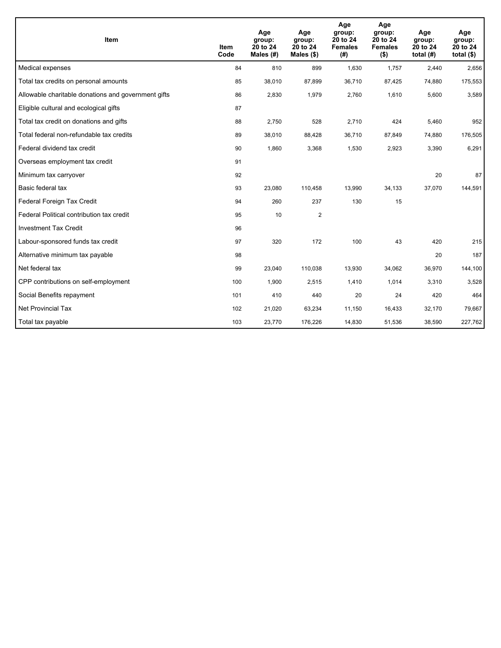| <b>Item</b>                                         | <b>Item</b><br>Code | Age<br>group:<br>20 to 24<br>Males $(H)$ | Age<br>group:<br>20 to 24<br>Males $(\$)$ | Age<br>group:<br>20 to 24<br><b>Females</b><br>(#) | Age<br>group:<br>20 to 24<br><b>Females</b><br>$($ \$) | Age<br>group:<br>20 to 24<br>total $(H)$ | Age<br>group:<br>20 to 24<br>total $($)$ |
|-----------------------------------------------------|---------------------|------------------------------------------|-------------------------------------------|----------------------------------------------------|--------------------------------------------------------|------------------------------------------|------------------------------------------|
| Medical expenses                                    | 84                  | 810                                      | 899                                       | 1,630                                              | 1,757                                                  | 2.440                                    | 2,656                                    |
| Total tax credits on personal amounts               | 85                  | 38,010                                   | 87,899                                    | 36,710                                             | 87,425                                                 | 74,880                                   | 175,553                                  |
| Allowable charitable donations and government gifts | 86                  | 2,830                                    | 1,979                                     | 2,760                                              | 1,610                                                  | 5,600                                    | 3,589                                    |
| Eligible cultural and ecological gifts              | 87                  |                                          |                                           |                                                    |                                                        |                                          |                                          |
| Total tax credit on donations and gifts             | 88                  | 2,750                                    | 528                                       | 2,710                                              | 424                                                    | 5,460                                    | 952                                      |
| Total federal non-refundable tax credits            | 89                  | 38,010                                   | 88,428                                    | 36,710                                             | 87,849                                                 | 74,880                                   | 176,505                                  |
| Federal dividend tax credit                         | 90                  | 1,860                                    | 3,368                                     | 1,530                                              | 2,923                                                  | 3,390                                    | 6,291                                    |
| Overseas employment tax credit                      | 91                  |                                          |                                           |                                                    |                                                        |                                          |                                          |
| Minimum tax carryover                               | 92                  |                                          |                                           |                                                    |                                                        | 20                                       | 87                                       |
| Basic federal tax                                   | 93                  | 23,080                                   | 110,458                                   | 13,990                                             | 34,133                                                 | 37,070                                   | 144,591                                  |
| Federal Foreign Tax Credit                          | 94                  | 260                                      | 237                                       | 130                                                | 15                                                     |                                          |                                          |
| Federal Political contribution tax credit           | 95                  | 10                                       | $\overline{2}$                            |                                                    |                                                        |                                          |                                          |
| <b>Investment Tax Credit</b>                        | 96                  |                                          |                                           |                                                    |                                                        |                                          |                                          |
| Labour-sponsored funds tax credit                   | 97                  | 320                                      | 172                                       | 100                                                | 43                                                     | 420                                      | 215                                      |
| Alternative minimum tax payable                     | 98                  |                                          |                                           |                                                    |                                                        | 20                                       | 187                                      |
| Net federal tax                                     | 99                  | 23,040                                   | 110,038                                   | 13,930                                             | 34,062                                                 | 36,970                                   | 144,100                                  |
| CPP contributions on self-employment                | 100                 | 1,900                                    | 2,515                                     | 1,410                                              | 1,014                                                  | 3,310                                    | 3,528                                    |
| Social Benefits repayment                           | 101                 | 410                                      | 440                                       | 20                                                 | 24                                                     | 420                                      | 464                                      |
| Net Provincial Tax                                  | 102                 | 21,020                                   | 63,234                                    | 11,150                                             | 16,433                                                 | 32,170                                   | 79,667                                   |
| Total tax payable                                   | 103                 | 23,770                                   | 176,226                                   | 14,830                                             | 51,536                                                 | 38,590                                   | 227,762                                  |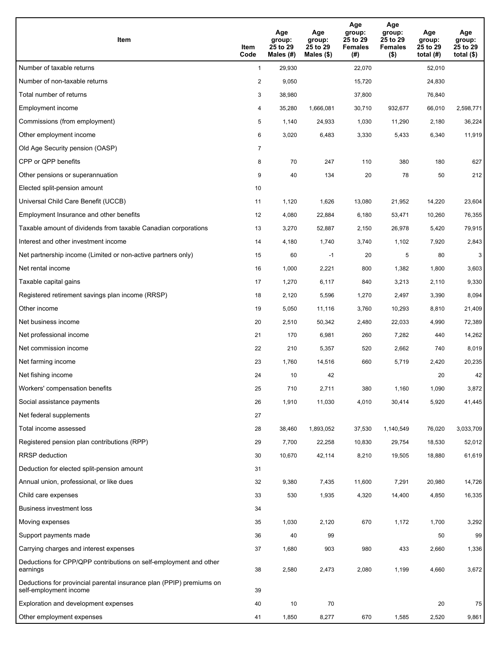| Item                                                                                           | Item<br>Code   | Age<br>group:<br>25 to 29<br>Males (#) | Age<br>group:<br>25 to 29<br>Males $(\$)$ | Age<br>group:<br>25 to 29<br><b>Females</b><br>(#) | Age<br>group:<br>25 to 29<br><b>Females</b><br>$($ \$) | Age<br>group:<br>25 to 29<br>total $(H)$ | Age<br>group:<br>25 to 29<br>total $($ |
|------------------------------------------------------------------------------------------------|----------------|----------------------------------------|-------------------------------------------|----------------------------------------------------|--------------------------------------------------------|------------------------------------------|----------------------------------------|
| Number of taxable returns                                                                      | $\mathbf{1}$   | 29,930                                 |                                           | 22,070                                             |                                                        | 52,010                                   |                                        |
| Number of non-taxable returns                                                                  | $\overline{a}$ | 9,050                                  |                                           | 15,720                                             |                                                        | 24,830                                   |                                        |
| Total number of returns                                                                        | 3              | 38,980                                 |                                           | 37,800                                             |                                                        | 76,840                                   |                                        |
| Employment income                                                                              | 4              | 35,280                                 | 1.666.081                                 | 30,710                                             | 932,677                                                | 66,010                                   | 2,598,771                              |
| Commissions (from employment)                                                                  | 5              | 1,140                                  | 24,933                                    | 1,030                                              | 11,290                                                 | 2,180                                    | 36,224                                 |
| Other employment income                                                                        | 6              | 3,020                                  | 6,483                                     | 3,330                                              | 5,433                                                  | 6,340                                    | 11,919                                 |
| Old Age Security pension (OASP)                                                                | 7              |                                        |                                           |                                                    |                                                        |                                          |                                        |
| CPP or QPP benefits                                                                            | 8              | 70                                     | 247                                       | 110                                                | 380                                                    | 180                                      | 627                                    |
| Other pensions or superannuation                                                               | 9              | 40                                     | 134                                       | 20                                                 | 78                                                     | 50                                       | 212                                    |
| Elected split-pension amount                                                                   | 10             |                                        |                                           |                                                    |                                                        |                                          |                                        |
| Universal Child Care Benefit (UCCB)                                                            | 11             | 1,120                                  | 1,626                                     | 13,080                                             | 21,952                                                 | 14,220                                   | 23,604                                 |
| Employment Insurance and other benefits                                                        | 12             | 4,080                                  | 22,884                                    | 6,180                                              | 53,471                                                 | 10,260                                   | 76,355                                 |
| Taxable amount of dividends from taxable Canadian corporations                                 | 13             | 3,270                                  | 52,887                                    | 2,150                                              | 26,978                                                 | 5,420                                    | 79,915                                 |
| Interest and other investment income                                                           | 14             | 4,180                                  | 1,740                                     | 3,740                                              | 1,102                                                  | 7,920                                    | 2,843                                  |
| Net partnership income (Limited or non-active partners only)                                   | 15             | 60                                     | $-1$                                      | 20                                                 | 5                                                      | 80                                       | 3                                      |
| Net rental income                                                                              | 16             | 1,000                                  | 2,221                                     | 800                                                | 1,382                                                  | 1,800                                    | 3,603                                  |
| Taxable capital gains                                                                          | 17             | 1,270                                  | 6,117                                     | 840                                                | 3,213                                                  | 2,110                                    | 9,330                                  |
| Registered retirement savings plan income (RRSP)                                               | 18             | 2,120                                  | 5,596                                     | 1,270                                              | 2,497                                                  | 3,390                                    | 8,094                                  |
| Other income                                                                                   | 19             | 5,050                                  | 11,116                                    | 3,760                                              | 10,293                                                 | 8,810                                    | 21,409                                 |
| Net business income                                                                            | 20             | 2,510                                  | 50,342                                    | 2,480                                              | 22,033                                                 | 4,990                                    | 72,389                                 |
| Net professional income                                                                        | 21             | 170                                    | 6,981                                     | 260                                                | 7,282                                                  | 440                                      | 14,262                                 |
| Net commission income                                                                          | 22             | 210                                    | 5,357                                     | 520                                                | 2,662                                                  | 740                                      | 8,019                                  |
| Net farming income                                                                             | 23             | 1,760                                  | 14,516                                    | 660                                                | 5,719                                                  | 2,420                                    | 20,235                                 |
| Net fishing income                                                                             | 24             | 10                                     | 42                                        |                                                    |                                                        | 20                                       | 42                                     |
| Workers' compensation benefits                                                                 | 25             | 710                                    | 2,711                                     | 380                                                | 1,160                                                  | 1,090                                    | 3,872                                  |
| Social assistance payments                                                                     | 26             | 1,910                                  | 11,030                                    | 4,010                                              | 30,414                                                 | 5,920                                    | 41,445                                 |
| Net federal supplements                                                                        | 27             |                                        |                                           |                                                    |                                                        |                                          |                                        |
| Total income assessed                                                                          | 28             | 38,460                                 | 1,893,052                                 | 37,530                                             | 1,140,549                                              | 76,020                                   | 3,033,709                              |
| Registered pension plan contributions (RPP)                                                    | 29             | 7,700                                  | 22,258                                    | 10,830                                             | 29,754                                                 | 18,530                                   | 52,012                                 |
| RRSP deduction                                                                                 | 30             | 10,670                                 | 42,114                                    | 8,210                                              | 19,505                                                 | 18,880                                   | 61,619                                 |
| Deduction for elected split-pension amount                                                     | 31             |                                        |                                           |                                                    |                                                        |                                          |                                        |
| Annual union, professional, or like dues                                                       | 32             | 9,380                                  | 7,435                                     | 11,600                                             | 7,291                                                  | 20,980                                   | 14,726                                 |
| Child care expenses                                                                            | 33             | 530                                    | 1,935                                     | 4,320                                              | 14,400                                                 | 4,850                                    | 16,335                                 |
| Business investment loss                                                                       | 34             |                                        |                                           |                                                    |                                                        |                                          |                                        |
| Moving expenses                                                                                | 35             | 1,030                                  | 2,120                                     | 670                                                | 1,172                                                  | 1,700                                    | 3,292                                  |
| Support payments made                                                                          | 36             | 40                                     | 99                                        |                                                    |                                                        | 50                                       | 99                                     |
| Carrying charges and interest expenses                                                         | 37             | 1,680                                  | 903                                       | 980                                                | 433                                                    | 2,660                                    | 1,336                                  |
| Deductions for CPP/QPP contributions on self-employment and other<br>earnings                  | 38             | 2,580                                  | 2,473                                     | 2,080                                              | 1,199                                                  | 4,660                                    | 3,672                                  |
| Deductions for provincial parental insurance plan (PPIP) premiums on<br>self-employment income | 39             |                                        |                                           |                                                    |                                                        |                                          |                                        |
| Exploration and development expenses                                                           | 40             | 10                                     | 70                                        |                                                    |                                                        | 20                                       | 75                                     |
| Other employment expenses                                                                      | 41             | 1,850                                  | 8,277                                     | 670                                                | 1,585                                                  | 2,520                                    | 9,861                                  |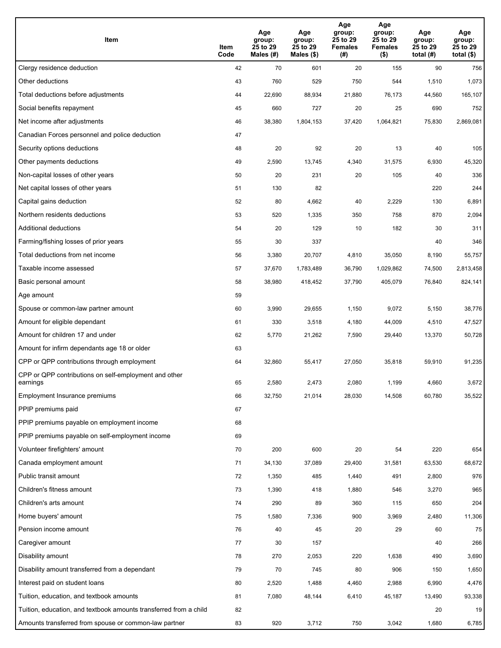| Item                                                              | Item<br>Code | Age<br>group:<br>25 to 29<br>Males (#) | Age<br>group:<br>25 to 29<br>Males (\$) | Age<br>group:<br>25 to 29<br><b>Females</b><br>(#) | Age<br>group:<br>25 to 29<br><b>Females</b><br>$($ \$) | Age<br>group:<br>25 to 29<br>total $(H)$ | Age<br>group:<br>25 to 29<br>total $($)$ |
|-------------------------------------------------------------------|--------------|----------------------------------------|-----------------------------------------|----------------------------------------------------|--------------------------------------------------------|------------------------------------------|------------------------------------------|
| Clergy residence deduction                                        | 42           | 70                                     | 601                                     | 20                                                 | 155                                                    | 90                                       | 756                                      |
| Other deductions                                                  | 43           | 760                                    | 529                                     | 750                                                | 544                                                    | 1,510                                    | 1,073                                    |
| Total deductions before adjustments                               | 44           | 22,690                                 | 88,934                                  | 21,880                                             | 76,173                                                 | 44,560                                   | 165,107                                  |
| Social benefits repayment                                         | 45           | 660                                    | 727                                     | 20                                                 | 25                                                     | 690                                      | 752                                      |
| Net income after adjustments                                      | 46           | 38,380                                 | 1,804,153                               | 37,420                                             | 1,064,821                                              | 75,830                                   | 2,869,081                                |
| Canadian Forces personnel and police deduction                    | 47           |                                        |                                         |                                                    |                                                        |                                          |                                          |
| Security options deductions                                       | 48           | 20                                     | 92                                      | 20                                                 | 13                                                     | 40                                       | 105                                      |
| Other payments deductions                                         | 49           | 2,590                                  | 13,745                                  | 4,340                                              | 31,575                                                 | 6,930                                    | 45,320                                   |
| Non-capital losses of other years                                 | 50           | 20                                     | 231                                     | 20                                                 | 105                                                    | 40                                       | 336                                      |
| Net capital losses of other years                                 | 51           | 130                                    | 82                                      |                                                    |                                                        | 220                                      | 244                                      |
| Capital gains deduction                                           | 52           | 80                                     | 4,662                                   | 40                                                 | 2,229                                                  | 130                                      | 6,891                                    |
| Northern residents deductions                                     | 53           | 520                                    | 1,335                                   | 350                                                | 758                                                    | 870                                      | 2,094                                    |
| Additional deductions                                             | 54           | 20                                     | 129                                     | 10                                                 | 182                                                    | 30                                       | 311                                      |
| Farming/fishing losses of prior years                             | 55           | 30                                     | 337                                     |                                                    |                                                        | 40                                       | 346                                      |
| Total deductions from net income                                  | 56           | 3,380                                  | 20,707                                  | 4,810                                              | 35,050                                                 | 8,190                                    | 55,757                                   |
| Taxable income assessed                                           | 57           | 37,670                                 | 1,783,489                               | 36,790                                             | 1,029,862                                              | 74,500                                   | 2,813,458                                |
| Basic personal amount                                             | 58           | 38,980                                 | 418,452                                 | 37,790                                             | 405,079                                                | 76,840                                   | 824,141                                  |
| Age amount                                                        | 59           |                                        |                                         |                                                    |                                                        |                                          |                                          |
| Spouse or common-law partner amount                               | 60           | 3,990                                  | 29,655                                  | 1,150                                              | 9,072                                                  | 5,150                                    | 38,776                                   |
| Amount for eligible dependant                                     | 61           | 330                                    | 3,518                                   | 4,180                                              | 44,009                                                 | 4,510                                    | 47,527                                   |
| Amount for children 17 and under                                  | 62           | 5,770                                  | 21,262                                  | 7,590                                              | 29,440                                                 | 13,370                                   | 50,728                                   |
| Amount for infirm dependants age 18 or older                      | 63           |                                        |                                         |                                                    |                                                        |                                          |                                          |
| CPP or QPP contributions through employment                       | 64           | 32,860                                 | 55,417                                  | 27,050                                             | 35,818                                                 | 59,910                                   | 91,235                                   |
| CPP or QPP contributions on self-employment and other<br>earnings | 65           | 2,580                                  | 2,473                                   | 2,080                                              | 1,199                                                  | 4,660                                    | 3,672                                    |
| Employment Insurance premiums                                     | 66           | 32,750                                 | 21,014                                  | 28,030                                             | 14,508                                                 | 60,780                                   | 35,522                                   |
| PPIP premiums paid                                                | 67           |                                        |                                         |                                                    |                                                        |                                          |                                          |
| PPIP premiums payable on employment income                        | 68           |                                        |                                         |                                                    |                                                        |                                          |                                          |
| PPIP premiums payable on self-employment income                   | 69           |                                        |                                         |                                                    |                                                        |                                          |                                          |
| Volunteer firefighters' amount                                    | 70           | 200                                    | 600                                     | 20                                                 | 54                                                     | 220                                      | 654                                      |
| Canada employment amount                                          | 71           | 34,130                                 | 37,089                                  | 29,400                                             | 31,581                                                 | 63,530                                   | 68,672                                   |
| Public transit amount                                             | 72           | 1,350                                  | 485                                     | 1,440                                              | 491                                                    | 2,800                                    | 976                                      |
| Children's fitness amount                                         | 73           | 1,390                                  | 418                                     | 1,880                                              | 546                                                    | 3,270                                    | 965                                      |
| Children's arts amount                                            | 74           | 290                                    | 89                                      | 360                                                | 115                                                    | 650                                      | 204                                      |
| Home buyers' amount                                               | 75           | 1,580                                  | 7,336                                   | 900                                                | 3,969                                                  | 2,480                                    | 11,306                                   |
| Pension income amount                                             | 76           | 40                                     | 45                                      | 20                                                 | 29                                                     | 60                                       | 75                                       |
| Caregiver amount                                                  | 77           | 30                                     | 157                                     |                                                    |                                                        | 40                                       | 266                                      |
| Disability amount                                                 | 78           | 270                                    | 2,053                                   | 220                                                | 1,638                                                  | 490                                      | 3,690                                    |
| Disability amount transferred from a dependant                    | 79           | 70                                     | 745                                     | 80                                                 | 906                                                    | 150                                      | 1,650                                    |
| Interest paid on student loans                                    | 80           | 2,520                                  | 1,488                                   | 4,460                                              | 2,988                                                  | 6,990                                    | 4,476                                    |
| Tuition, education, and textbook amounts                          | 81           | 7,080                                  | 48,144                                  | 6,410                                              | 45,187                                                 | 13,490                                   | 93,338                                   |
| Tuition, education, and textbook amounts transferred from a child | 82           |                                        |                                         |                                                    |                                                        | 20                                       | 19                                       |
| Amounts transferred from spouse or common-law partner             | 83           | 920                                    | 3,712                                   | 750                                                | 3,042                                                  | 1,680                                    | 6,785                                    |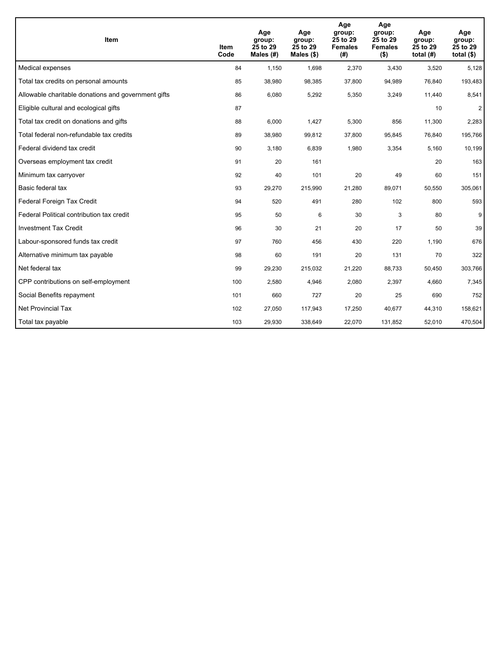| <b>Item</b>                                         | Item<br>Code | Age<br>group:<br>25 to 29<br>Males $(H)$ | Age<br>group:<br>25 to 29<br>Males $(\$)$ | Age<br>group:<br>25 to 29<br><b>Females</b><br>(#) | Age<br>group:<br>25 to 29<br><b>Females</b><br>( \$) | Age<br>group:<br>25 to 29<br>total $(H)$ | Age<br>group:<br>25 to 29<br>total $($)$ |
|-----------------------------------------------------|--------------|------------------------------------------|-------------------------------------------|----------------------------------------------------|------------------------------------------------------|------------------------------------------|------------------------------------------|
| Medical expenses                                    | 84           | 1,150                                    | 1,698                                     | 2,370                                              | 3,430                                                | 3,520                                    | 5,128                                    |
| Total tax credits on personal amounts               | 85           | 38,980                                   | 98,385                                    | 37,800                                             | 94,989                                               | 76,840                                   | 193,483                                  |
| Allowable charitable donations and government gifts | 86           | 6,080                                    | 5,292                                     | 5,350                                              | 3,249                                                | 11,440                                   | 8,541                                    |
| Eligible cultural and ecological gifts              | 87           |                                          |                                           |                                                    |                                                      | 10                                       | $\overline{2}$                           |
| Total tax credit on donations and gifts             | 88           | 6,000                                    | 1,427                                     | 5,300                                              | 856                                                  | 11,300                                   | 2,283                                    |
| Total federal non-refundable tax credits            | 89           | 38,980                                   | 99,812                                    | 37,800                                             | 95,845                                               | 76,840                                   | 195,766                                  |
| Federal dividend tax credit                         | 90           | 3,180                                    | 6,839                                     | 1,980                                              | 3,354                                                | 5,160                                    | 10,199                                   |
| Overseas employment tax credit                      | 91           | 20                                       | 161                                       |                                                    |                                                      | 20                                       | 163                                      |
| Minimum tax carryover                               | 92           | 40                                       | 101                                       | 20                                                 | 49                                                   | 60                                       | 151                                      |
| Basic federal tax                                   | 93           | 29,270                                   | 215,990                                   | 21,280                                             | 89,071                                               | 50,550                                   | 305,061                                  |
| Federal Foreign Tax Credit                          | 94           | 520                                      | 491                                       | 280                                                | 102                                                  | 800                                      | 593                                      |
| Federal Political contribution tax credit           | 95           | 50                                       | 6                                         | 30                                                 | 3                                                    | 80                                       | 9                                        |
| <b>Investment Tax Credit</b>                        | 96           | 30                                       | 21                                        | 20                                                 | 17                                                   | 50                                       | 39                                       |
| Labour-sponsored funds tax credit                   | 97           | 760                                      | 456                                       | 430                                                | 220                                                  | 1,190                                    | 676                                      |
| Alternative minimum tax payable                     | 98           | 60                                       | 191                                       | 20                                                 | 131                                                  | 70                                       | 322                                      |
| Net federal tax                                     | 99           | 29,230                                   | 215,032                                   | 21,220                                             | 88,733                                               | 50,450                                   | 303,766                                  |
| CPP contributions on self-employment                | 100          | 2,580                                    | 4,946                                     | 2,080                                              | 2,397                                                | 4,660                                    | 7,345                                    |
| Social Benefits repayment                           | 101          | 660                                      | 727                                       | 20                                                 | 25                                                   | 690                                      | 752                                      |
| <b>Net Provincial Tax</b>                           | 102          | 27,050                                   | 117,943                                   | 17,250                                             | 40.677                                               | 44,310                                   | 158,621                                  |
| Total tax payable                                   | 103          | 29,930                                   | 338,649                                   | 22,070                                             | 131,852                                              | 52,010                                   | 470,504                                  |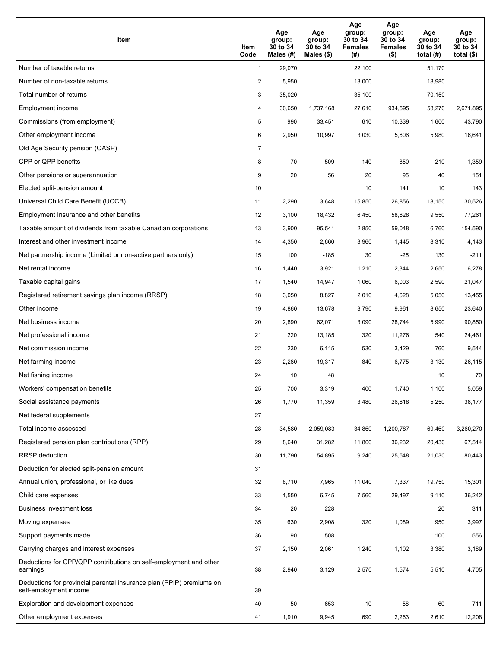| Item                                                                                           | Item<br>Code   | Age<br>group:<br>30 to 34<br>Males (#) | Age<br>group:<br>30 to 34<br>Males $(\$)$ | Age<br>group:<br>30 to 34<br><b>Females</b><br>(#) | Age<br>group:<br>30 to 34<br><b>Females</b><br>$($ \$) | Age<br>group:<br>30 to 34<br>total $(H)$ | Age<br>group:<br>30 to 34<br>total $($ |
|------------------------------------------------------------------------------------------------|----------------|----------------------------------------|-------------------------------------------|----------------------------------------------------|--------------------------------------------------------|------------------------------------------|----------------------------------------|
| Number of taxable returns                                                                      | $\mathbf{1}$   | 29,070                                 |                                           | 22,100                                             |                                                        | 51,170                                   |                                        |
| Number of non-taxable returns                                                                  | $\overline{a}$ | 5,950                                  |                                           | 13,000                                             |                                                        | 18,980                                   |                                        |
| Total number of returns                                                                        | 3              | 35,020                                 |                                           | 35,100                                             |                                                        | 70,150                                   |                                        |
| Employment income                                                                              | 4              | 30,650                                 | 1,737,168                                 | 27,610                                             | 934,595                                                | 58,270                                   | 2,671,895                              |
| Commissions (from employment)                                                                  | 5              | 990                                    | 33,451                                    | 610                                                | 10,339                                                 | 1,600                                    | 43,790                                 |
| Other employment income                                                                        | 6              | 2,950                                  | 10,997                                    | 3,030                                              | 5,606                                                  | 5,980                                    | 16,641                                 |
| Old Age Security pension (OASP)                                                                | 7              |                                        |                                           |                                                    |                                                        |                                          |                                        |
| CPP or QPP benefits                                                                            | 8              | 70                                     | 509                                       | 140                                                | 850                                                    | 210                                      | 1,359                                  |
| Other pensions or superannuation                                                               | 9              | 20                                     | 56                                        | 20                                                 | 95                                                     | 40                                       | 151                                    |
| Elected split-pension amount                                                                   | 10             |                                        |                                           | 10                                                 | 141                                                    | 10                                       | 143                                    |
| Universal Child Care Benefit (UCCB)                                                            | 11             | 2,290                                  | 3,648                                     | 15,850                                             | 26,856                                                 | 18,150                                   | 30,526                                 |
| Employment Insurance and other benefits                                                        | 12             | 3,100                                  | 18,432                                    | 6,450                                              | 58,828                                                 | 9,550                                    | 77,261                                 |
| Taxable amount of dividends from taxable Canadian corporations                                 | 13             | 3,900                                  | 95,541                                    | 2,850                                              | 59,048                                                 | 6,760                                    | 154,590                                |
| Interest and other investment income                                                           | 14             | 4,350                                  | 2,660                                     | 3,960                                              | 1,445                                                  | 8,310                                    | 4,143                                  |
| Net partnership income (Limited or non-active partners only)                                   | 15             | 100                                    | $-185$                                    | 30                                                 | $-25$                                                  | 130                                      | $-211$                                 |
| Net rental income                                                                              | 16             | 1,440                                  | 3,921                                     | 1,210                                              | 2,344                                                  | 2,650                                    | 6,278                                  |
| Taxable capital gains                                                                          | 17             | 1,540                                  | 14,947                                    | 1,060                                              | 6,003                                                  | 2,590                                    | 21,047                                 |
| Registered retirement savings plan income (RRSP)                                               | 18             | 3,050                                  | 8,827                                     | 2,010                                              | 4,628                                                  | 5,050                                    | 13,455                                 |
| Other income                                                                                   | 19             | 4,860                                  | 13,678                                    | 3,790                                              | 9,961                                                  | 8,650                                    | 23,640                                 |
| Net business income                                                                            | 20             | 2,890                                  | 62,071                                    | 3,090                                              | 28,744                                                 | 5,990                                    | 90,850                                 |
| Net professional income                                                                        | 21             | 220                                    | 13,185                                    | 320                                                | 11,276                                                 | 540                                      | 24,461                                 |
| Net commission income                                                                          | 22             | 230                                    | 6,115                                     | 530                                                | 3,429                                                  | 760                                      | 9,544                                  |
| Net farming income                                                                             | 23             | 2,280                                  | 19,317                                    | 840                                                | 6,775                                                  | 3,130                                    | 26,115                                 |
| Net fishing income                                                                             | 24             | 10                                     | 48                                        |                                                    |                                                        | 10                                       | 70                                     |
| Workers' compensation benefits                                                                 | 25             | 700                                    | 3,319                                     | 400                                                | 1,740                                                  | 1,100                                    | 5,059                                  |
| Social assistance payments                                                                     | 26             | 1,770                                  | 11,359                                    | 3,480                                              | 26,818                                                 | 5,250                                    | 38,177                                 |
| Net federal supplements                                                                        | 27             |                                        |                                           |                                                    |                                                        |                                          |                                        |
| Total income assessed                                                                          | 28             | 34,580                                 | 2,059,083                                 | 34,860                                             | 1,200,787                                              | 69,460                                   | 3,260,270                              |
| Registered pension plan contributions (RPP)                                                    | 29             | 8,640                                  | 31,282                                    | 11,800                                             | 36,232                                                 | 20,430                                   | 67,514                                 |
| RRSP deduction                                                                                 | 30             | 11,790                                 | 54,895                                    | 9,240                                              | 25,548                                                 | 21,030                                   | 80,443                                 |
| Deduction for elected split-pension amount                                                     | 31             |                                        |                                           |                                                    |                                                        |                                          |                                        |
| Annual union, professional, or like dues                                                       | 32             | 8,710                                  | 7,965                                     | 11,040                                             | 7,337                                                  | 19,750                                   | 15,301                                 |
| Child care expenses                                                                            | 33             | 1,550                                  | 6,745                                     | 7,560                                              | 29,497                                                 | 9,110                                    | 36,242                                 |
| Business investment loss                                                                       | 34             | 20                                     | 228                                       |                                                    |                                                        | 20                                       | 311                                    |
| Moving expenses                                                                                | 35             | 630                                    | 2,908                                     | 320                                                | 1,089                                                  | 950                                      | 3,997                                  |
| Support payments made                                                                          | 36             | 90                                     | 508                                       |                                                    |                                                        | 100                                      | 556                                    |
| Carrying charges and interest expenses                                                         | 37             | 2,150                                  | 2,061                                     | 1,240                                              | 1,102                                                  | 3,380                                    | 3,189                                  |
| Deductions for CPP/QPP contributions on self-employment and other<br>earnings                  | 38             | 2,940                                  | 3,129                                     | 2,570                                              | 1,574                                                  | 5,510                                    | 4,705                                  |
| Deductions for provincial parental insurance plan (PPIP) premiums on<br>self-employment income | 39             |                                        |                                           |                                                    |                                                        |                                          |                                        |
| Exploration and development expenses                                                           | 40             | 50                                     | 653                                       | 10                                                 | 58                                                     | 60                                       | 711                                    |
| Other employment expenses                                                                      | 41             | 1,910                                  | 9,945                                     | 690                                                | 2,263                                                  | 2,610                                    | 12,208                                 |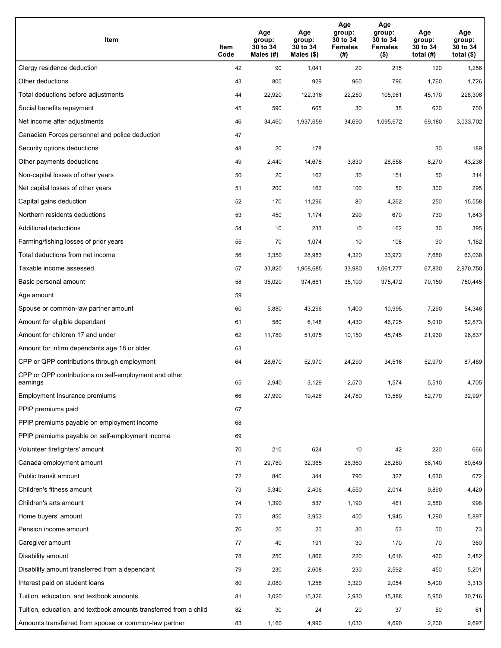| Item                                                              | Item<br>Code | Age<br>group:<br>30 to 34<br>Males (#) | Age<br>group:<br>30 to 34<br>Males (\$) | Age<br>group:<br>30 to 34<br><b>Females</b><br>(# ) | Age<br>group:<br>30 to 34<br><b>Females</b><br>$($ \$) | Age<br>group:<br>30 to 34<br>total $(H)$ | Age<br>group:<br>30 to 34<br>total $($)$ |
|-------------------------------------------------------------------|--------------|----------------------------------------|-----------------------------------------|-----------------------------------------------------|--------------------------------------------------------|------------------------------------------|------------------------------------------|
| Clergy residence deduction                                        | 42           | 90                                     | 1,041                                   | 20                                                  | 215                                                    | 120                                      | 1,256                                    |
| Other deductions                                                  | 43           | 800                                    | 929                                     | 960                                                 | 796                                                    | 1,760                                    | 1,726                                    |
| Total deductions before adjustments                               | 44           | 22,920                                 | 122,316                                 | 22,250                                              | 105,961                                                | 45,170                                   | 228,306                                  |
| Social benefits repayment                                         | 45           | 590                                    | 665                                     | 30                                                  | 35                                                     | 620                                      | 700                                      |
| Net income after adjustments                                      | 46           | 34,460                                 | 1,937,659                               | 34,690                                              | 1,095,672                                              | 69,180                                   | 3,033,702                                |
| Canadian Forces personnel and police deduction                    | 47           |                                        |                                         |                                                     |                                                        |                                          |                                          |
| Security options deductions                                       | 48           | 20                                     | 178                                     |                                                     |                                                        | 30                                       | 189                                      |
| Other payments deductions                                         | 49           | 2,440                                  | 14,678                                  | 3,830                                               | 28,558                                                 | 6,270                                    | 43,236                                   |
| Non-capital losses of other years                                 | 50           | 20                                     | 162                                     | 30                                                  | 151                                                    | 50                                       | 314                                      |
| Net capital losses of other years                                 | 51           | 200                                    | 162                                     | 100                                                 | 50                                                     | 300                                      | 295                                      |
| Capital gains deduction                                           | 52           | 170                                    | 11,296                                  | 80                                                  | 4,262                                                  | 250                                      | 15,558                                   |
| Northern residents deductions                                     | 53           | 450                                    | 1,174                                   | 290                                                 | 670                                                    | 730                                      | 1,843                                    |
| Additional deductions                                             | 54           | 10                                     | 233                                     | 10                                                  | 162                                                    | 30                                       | 395                                      |
| Farming/fishing losses of prior years                             | 55           | 70                                     | 1,074                                   | 10                                                  | 108                                                    | 90                                       | 1,182                                    |
| Total deductions from net income                                  | 56           | 3,350                                  | 28,983                                  | 4,320                                               | 33,972                                                 | 7,680                                    | 63,038                                   |
| Taxable income assessed                                           | 57           | 33,820                                 | 1,908,685                               | 33,980                                              | 1,061,777                                              | 67,830                                   | 2,970,750                                |
| Basic personal amount                                             | 58           | 35,020                                 | 374,661                                 | 35,100                                              | 375,472                                                | 70,150                                   | 750,445                                  |
| Age amount                                                        | 59           |                                        |                                         |                                                     |                                                        |                                          |                                          |
| Spouse or common-law partner amount                               | 60           | 5,880                                  | 43,296                                  | 1,400                                               | 10,995                                                 | 7,290                                    | 54,346                                   |
| Amount for eligible dependant                                     | 61           | 580                                    | 6,148                                   | 4,430                                               | 46,725                                                 | 5,010                                    | 52,873                                   |
| Amount for children 17 and under                                  | 62           | 11,780                                 | 51,075                                  | 10,150                                              | 45,745                                                 | 21,930                                   | 96,837                                   |
| Amount for infirm dependants age 18 or older                      | 63           |                                        |                                         |                                                     |                                                        |                                          |                                          |
| CPP or QPP contributions through employment                       | 64           | 28,670                                 | 52,970                                  | 24,290                                              | 34,516                                                 | 52,970                                   | 87,489                                   |
| CPP or QPP contributions on self-employment and other<br>earnings | 65           | 2,940                                  | 3,129                                   | 2,570                                               | 1.574                                                  | 5,510                                    | 4,705                                    |
| Employment Insurance premiums                                     | 66           | 27,990                                 | 19,428                                  | 24,780                                              | 13,569                                                 | 52,770                                   | 32,997                                   |
| PPIP premiums paid                                                | 67           |                                        |                                         |                                                     |                                                        |                                          |                                          |
| PPIP premiums payable on employment income                        | 68           |                                        |                                         |                                                     |                                                        |                                          |                                          |
| PPIP premiums payable on self-employment income                   | 69           |                                        |                                         |                                                     |                                                        |                                          |                                          |
| Volunteer firefighters' amount                                    | 70           | 210                                    | 624                                     | 10                                                  | 42                                                     | 220                                      | 666                                      |
| Canada employment amount                                          | 71           | 29,780                                 | 32,365                                  | 26,360                                              | 28,280                                                 | 56,140                                   | 60,649                                   |
| Public transit amount                                             | 72           | 840                                    | 344                                     | 790                                                 | 327                                                    | 1,630                                    | 672                                      |
| Children's fitness amount                                         | 73           | 5,340                                  | 2,406                                   | 4,550                                               | 2,014                                                  | 9,890                                    | 4,420                                    |
| Children's arts amount                                            | 74           | 1,390                                  | 537                                     | 1,190                                               | 461                                                    | 2,580                                    | 998                                      |
| Home buyers' amount                                               | 75           | 850                                    | 3,953                                   | 450                                                 | 1,945                                                  | 1,290                                    | 5,897                                    |
| Pension income amount                                             | 76           | 20                                     | 20                                      | 30                                                  | 53                                                     | 50                                       | 73                                       |
| Caregiver amount                                                  | 77           | 40                                     | 191                                     | 30                                                  | 170                                                    | 70                                       | 360                                      |
| Disability amount                                                 | 78           | 250                                    | 1,866                                   | 220                                                 | 1,616                                                  | 460                                      | 3,482                                    |
| Disability amount transferred from a dependant                    | 79           | 230                                    | 2,608                                   | 230                                                 | 2,592                                                  | 450                                      | 5,201                                    |
| Interest paid on student loans                                    | 80           | 2,080                                  | 1,258                                   | 3,320                                               | 2,054                                                  | 5,400                                    | 3,313                                    |
| Tuition, education, and textbook amounts                          | 81           | 3,020                                  | 15,326                                  | 2,930                                               | 15,388                                                 | 5,950                                    | 30,716                                   |
| Tuition, education, and textbook amounts transferred from a child | 82           | 30                                     | 24                                      | 20                                                  | 37                                                     | 50                                       | 61                                       |
| Amounts transferred from spouse or common-law partner             | 83           | 1,160                                  | 4,990                                   | 1,030                                               | 4,690                                                  | 2,200                                    | 9,697                                    |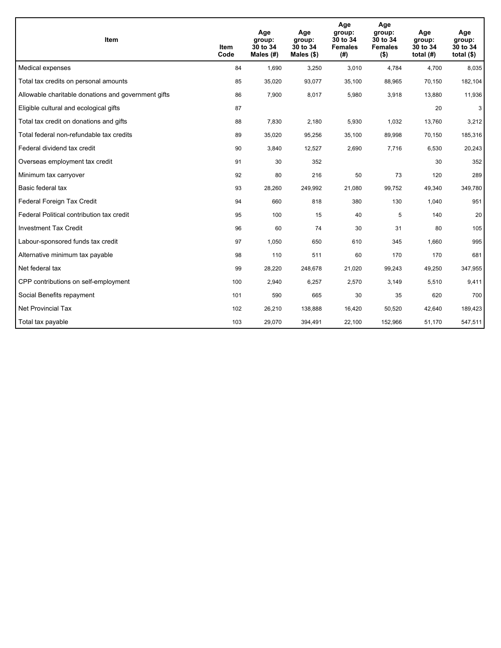| <b>Item</b>                                         | Item<br>Code | Age<br>group:<br>30 to 34<br>Males (#) | Age<br>group:<br>30 to 34<br>Males $(\$)$ | Age<br>group:<br>30 to 34<br><b>Females</b><br>(#) | Age<br>group:<br>30 to 34<br><b>Females</b><br>$($ \$) | Age<br>group:<br>30 to 34<br>total $(H)$ | Age<br>group:<br>30 to 34<br>total $($)$ |
|-----------------------------------------------------|--------------|----------------------------------------|-------------------------------------------|----------------------------------------------------|--------------------------------------------------------|------------------------------------------|------------------------------------------|
| Medical expenses                                    | 84           | 1,690                                  | 3,250                                     | 3,010                                              | 4,784                                                  | 4,700                                    | 8,035                                    |
| Total tax credits on personal amounts               | 85           | 35,020                                 | 93,077                                    | 35,100                                             | 88,965                                                 | 70,150                                   | 182,104                                  |
| Allowable charitable donations and government gifts | 86           | 7,900                                  | 8,017                                     | 5,980                                              | 3,918                                                  | 13,880                                   | 11,936                                   |
| Eligible cultural and ecological gifts              | 87           |                                        |                                           |                                                    |                                                        | 20                                       | 3                                        |
| Total tax credit on donations and gifts             | 88           | 7,830                                  | 2,180                                     | 5,930                                              | 1,032                                                  | 13,760                                   | 3,212                                    |
| Total federal non-refundable tax credits            | 89           | 35,020                                 | 95,256                                    | 35,100                                             | 89,998                                                 | 70,150                                   | 185,316                                  |
| Federal dividend tax credit                         | 90           | 3,840                                  | 12,527                                    | 2,690                                              | 7,716                                                  | 6,530                                    | 20,243                                   |
| Overseas employment tax credit                      | 91           | 30                                     | 352                                       |                                                    |                                                        | 30                                       | 352                                      |
| Minimum tax carryover                               | 92           | 80                                     | 216                                       | 50                                                 | 73                                                     | 120                                      | 289                                      |
| Basic federal tax                                   | 93           | 28,260                                 | 249,992                                   | 21.080                                             | 99,752                                                 | 49,340                                   | 349,780                                  |
| Federal Foreign Tax Credit                          | 94           | 660                                    | 818                                       | 380                                                | 130                                                    | 1,040                                    | 951                                      |
| Federal Political contribution tax credit           | 95           | 100                                    | 15                                        | 40                                                 | 5                                                      | 140                                      | 20                                       |
| <b>Investment Tax Credit</b>                        | 96           | 60                                     | 74                                        | 30                                                 | 31                                                     | 80                                       | 105                                      |
| Labour-sponsored funds tax credit                   | 97           | 1,050                                  | 650                                       | 610                                                | 345                                                    | 1,660                                    | 995                                      |
| Alternative minimum tax payable                     | 98           | 110                                    | 511                                       | 60                                                 | 170                                                    | 170                                      | 681                                      |
| Net federal tax                                     | 99           | 28,220                                 | 248,678                                   | 21,020                                             | 99,243                                                 | 49,250                                   | 347,955                                  |
| CPP contributions on self-employment                | 100          | 2,940                                  | 6,257                                     | 2,570                                              | 3,149                                                  | 5,510                                    | 9,411                                    |
| Social Benefits repayment                           | 101          | 590                                    | 665                                       | 30                                                 | 35                                                     | 620                                      | 700                                      |
| <b>Net Provincial Tax</b>                           | 102          | 26,210                                 | 138,888                                   | 16,420                                             | 50,520                                                 | 42,640                                   | 189,423                                  |
| Total tax payable                                   | 103          | 29,070                                 | 394,491                                   | 22,100                                             | 152,966                                                | 51,170                                   | 547,511                                  |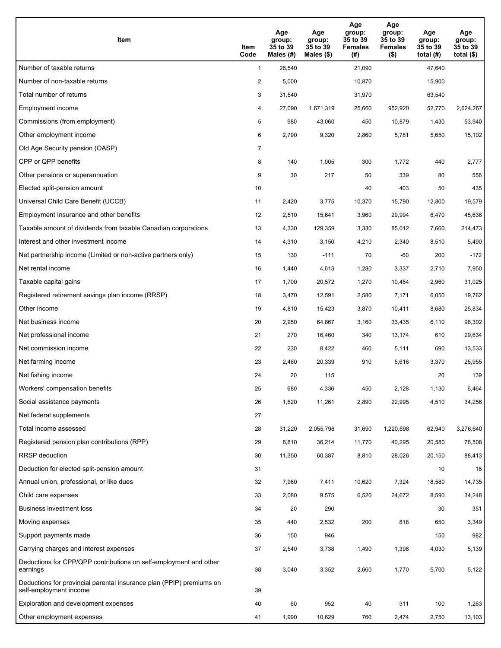| Item                                                                                           | Item<br>Code   | Age<br>group:<br>35 to 39<br>Males (#) | Age<br>group:<br>35 to 39<br>Males $(\$)$ | Age<br>group:<br>35 to 39<br><b>Females</b><br>(#) | Age<br>group:<br>35 to 39<br><b>Females</b><br>$($ \$) | Age<br>group:<br>35 to 39<br>total $(H)$ | Age<br>group:<br>35 to 39<br>total $($ |
|------------------------------------------------------------------------------------------------|----------------|----------------------------------------|-------------------------------------------|----------------------------------------------------|--------------------------------------------------------|------------------------------------------|----------------------------------------|
| Number of taxable returns                                                                      | $\mathbf{1}$   | 26,540                                 |                                           | 21,090                                             |                                                        | 47,640                                   |                                        |
| Number of non-taxable returns                                                                  | $\overline{a}$ | 5,000                                  |                                           | 10,870                                             |                                                        | 15,900                                   |                                        |
| Total number of returns                                                                        | 3              | 31,540                                 |                                           | 31,970                                             |                                                        | 63,540                                   |                                        |
| Employment income                                                                              | 4              | 27,090                                 | 1,671,319                                 | 25,660                                             | 952,920                                                | 52,770                                   | 2,624,267                              |
| Commissions (from employment)                                                                  | 5              | 980                                    | 43,060                                    | 450                                                | 10,879                                                 | 1,430                                    | 53,940                                 |
| Other employment income                                                                        | 6              | 2,790                                  | 9,320                                     | 2,860                                              | 5,781                                                  | 5,650                                    | 15,102                                 |
| Old Age Security pension (OASP)                                                                | 7              |                                        |                                           |                                                    |                                                        |                                          |                                        |
| CPP or QPP benefits                                                                            | 8              | 140                                    | 1,005                                     | 300                                                | 1,772                                                  | 440                                      | 2,777                                  |
| Other pensions or superannuation                                                               | 9              | 30                                     | 217                                       | 50                                                 | 339                                                    | 80                                       | 556                                    |
| Elected split-pension amount                                                                   | 10             |                                        |                                           | 40                                                 | 403                                                    | 50                                       | 435                                    |
| Universal Child Care Benefit (UCCB)                                                            | 11             | 2,420                                  | 3,775                                     | 10,370                                             | 15,790                                                 | 12.800                                   | 19,579                                 |
| Employment Insurance and other benefits                                                        | 12             | 2,510                                  | 15,641                                    | 3,960                                              | 29,994                                                 | 6,470                                    | 45,636                                 |
| Taxable amount of dividends from taxable Canadian corporations                                 | 13             | 4,330                                  | 129,359                                   | 3,330                                              | 85,012                                                 | 7,660                                    | 214,473                                |
| Interest and other investment income                                                           | 14             | 4,310                                  | 3,150                                     | 4,210                                              | 2,340                                                  | 8,510                                    | 5,490                                  |
| Net partnership income (Limited or non-active partners only)                                   | 15             | 130                                    | $-111$                                    | 70                                                 | -60                                                    | 200                                      | $-172$                                 |
| Net rental income                                                                              | 16             | 1,440                                  | 4,613                                     | 1,280                                              | 3,337                                                  | 2,710                                    | 7,950                                  |
| Taxable capital gains                                                                          | 17             | 1,700                                  | 20,572                                    | 1,270                                              | 10,454                                                 | 2,960                                    | 31,025                                 |
| Registered retirement savings plan income (RRSP)                                               | 18             | 3,470                                  | 12,591                                    | 2,580                                              | 7,171                                                  | 6,050                                    | 19,762                                 |
| Other income                                                                                   | 19             | 4,810                                  | 15,423                                    | 3,870                                              | 10,411                                                 | 8,680                                    | 25,834                                 |
| Net business income                                                                            | 20             | 2,950                                  | 64,867                                    | 3,160                                              | 33,435                                                 | 6,110                                    | 98,302                                 |
| Net professional income                                                                        | 21             | 270                                    | 16,460                                    | 340                                                | 13,174                                                 | 610                                      | 29,634                                 |
| Net commission income                                                                          | 22             | 230                                    | 8,422                                     | 460                                                | 5,111                                                  | 690                                      | 13,533                                 |
| Net farming income                                                                             | 23             | 2,460                                  | 20,339                                    | 910                                                | 5,616                                                  | 3,370                                    | 25,955                                 |
| Net fishing income                                                                             | 24             | 20                                     | 115                                       |                                                    |                                                        | 20                                       | 139                                    |
| Workers' compensation benefits                                                                 | 25             | 680                                    | 4,336                                     | 450                                                | 2,128                                                  | 1,130                                    | 6,464                                  |
| Social assistance payments                                                                     | 26             | 1,620                                  | 11,261                                    | 2,890                                              | 22,995                                                 | 4,510                                    | 34,256                                 |
| Net federal supplements                                                                        | 27             |                                        |                                           |                                                    |                                                        |                                          |                                        |
| Total income assessed                                                                          | 28             | 31,220                                 | 2,055,796                                 | 31,690                                             | 1,220,698                                              | 62,940                                   | 3,276,640                              |
| Registered pension plan contributions (RPP)                                                    | 29             | 8,810                                  | 36,214                                    | 11,770                                             | 40,295                                                 | 20,580                                   | 76,508                                 |
| RRSP deduction                                                                                 | 30             | 11,350                                 | 60,387                                    | 8,810                                              | 28,026                                                 | 20,150                                   | 88,413                                 |
| Deduction for elected split-pension amount                                                     | 31             |                                        |                                           |                                                    |                                                        | 10                                       | 16                                     |
| Annual union, professional, or like dues                                                       | 32             | 7,960                                  | 7,411                                     | 10,620                                             | 7,324                                                  | 18,580                                   | 14,735                                 |
| Child care expenses                                                                            | 33             | 2,080                                  | 9,575                                     | 6,520                                              | 24,672                                                 | 8,590                                    | 34,248                                 |
| Business investment loss                                                                       | 34             | 20                                     | 290                                       |                                                    |                                                        | 30                                       | 351                                    |
| Moving expenses                                                                                | 35             | 440                                    | 2,532                                     | 200                                                | 818                                                    | 650                                      | 3,349                                  |
| Support payments made                                                                          | 36             | 150                                    | 946                                       |                                                    |                                                        | 150                                      | 982                                    |
| Carrying charges and interest expenses                                                         | 37             | 2,540                                  | 3,738                                     | 1,490                                              | 1,398                                                  | 4,030                                    | 5,139                                  |
| Deductions for CPP/QPP contributions on self-employment and other<br>earnings                  | 38             | 3,040                                  | 3,352                                     | 2,660                                              | 1,770                                                  | 5,700                                    | 5,122                                  |
| Deductions for provincial parental insurance plan (PPIP) premiums on<br>self-employment income | 39             |                                        |                                           |                                                    |                                                        |                                          |                                        |
| Exploration and development expenses                                                           | 40             | 60                                     | 952                                       | 40                                                 | 311                                                    | 100                                      | 1,263                                  |
| Other employment expenses                                                                      | 41             | 1,990                                  | 10,629                                    | 760                                                | 2,474                                                  | 2,750                                    | 13,103                                 |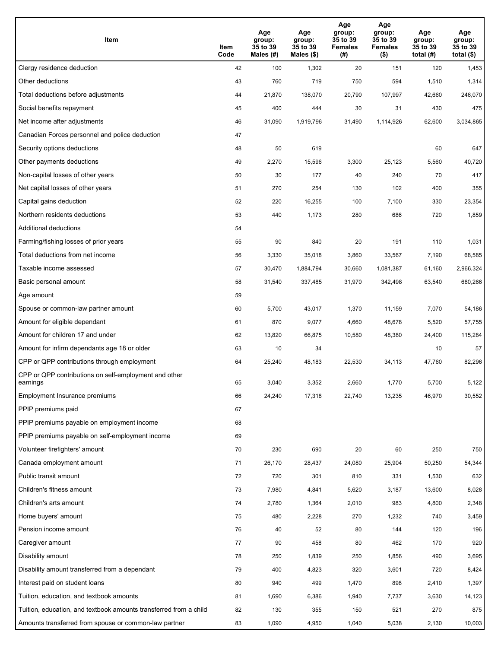| Item                                                              | Item<br>Code | Age<br>group:<br>35 to 39<br>Males (#) | Age<br>group:<br>35 to 39<br>Males (\$) | Age<br>group:<br>35 to 39<br><b>Females</b><br>(# ) | Age<br>group:<br>35 to 39<br><b>Females</b><br>$($ \$) | Age<br>group:<br>35 to 39<br>total $(H)$ | Age<br>group:<br>35 to 39<br>total $($)$ |
|-------------------------------------------------------------------|--------------|----------------------------------------|-----------------------------------------|-----------------------------------------------------|--------------------------------------------------------|------------------------------------------|------------------------------------------|
| Clergy residence deduction                                        | 42           | 100                                    | 1,302                                   | 20                                                  | 151                                                    | 120                                      | 1,453                                    |
| Other deductions                                                  | 43           | 760                                    | 719                                     | 750                                                 | 594                                                    | 1,510                                    | 1,314                                    |
| Total deductions before adjustments                               | 44           | 21,870                                 | 138,070                                 | 20,790                                              | 107,997                                                | 42,660                                   | 246,070                                  |
| Social benefits repayment                                         | 45           | 400                                    | 444                                     | 30                                                  | 31                                                     | 430                                      | 475                                      |
| Net income after adjustments                                      | 46           | 31,090                                 | 1,919,796                               | 31,490                                              | 1,114,926                                              | 62,600                                   | 3,034,865                                |
| Canadian Forces personnel and police deduction                    | 47           |                                        |                                         |                                                     |                                                        |                                          |                                          |
| Security options deductions                                       | 48           | 50                                     | 619                                     |                                                     |                                                        | 60                                       | 647                                      |
| Other payments deductions                                         | 49           | 2,270                                  | 15,596                                  | 3,300                                               | 25,123                                                 | 5,560                                    | 40,720                                   |
| Non-capital losses of other years                                 | 50           | 30                                     | 177                                     | 40                                                  | 240                                                    | 70                                       | 417                                      |
| Net capital losses of other years                                 | 51           | 270                                    | 254                                     | 130                                                 | 102                                                    | 400                                      | 355                                      |
| Capital gains deduction                                           | 52           | 220                                    | 16,255                                  | 100                                                 | 7,100                                                  | 330                                      | 23,354                                   |
| Northern residents deductions                                     | 53           | 440                                    | 1,173                                   | 280                                                 | 686                                                    | 720                                      | 1,859                                    |
| Additional deductions                                             | 54           |                                        |                                         |                                                     |                                                        |                                          |                                          |
| Farming/fishing losses of prior years                             | 55           | 90                                     | 840                                     | 20                                                  | 191                                                    | 110                                      | 1,031                                    |
| Total deductions from net income                                  | 56           | 3,330                                  | 35,018                                  | 3,860                                               | 33,567                                                 | 7,190                                    | 68,585                                   |
| Taxable income assessed                                           | 57           | 30,470                                 | 1,884,794                               | 30,660                                              | 1,081,387                                              | 61,160                                   | 2,966,324                                |
| Basic personal amount                                             | 58           | 31,540                                 | 337,485                                 | 31,970                                              | 342,498                                                | 63,540                                   | 680,266                                  |
| Age amount                                                        | 59           |                                        |                                         |                                                     |                                                        |                                          |                                          |
| Spouse or common-law partner amount                               | 60           | 5,700                                  | 43,017                                  | 1,370                                               | 11,159                                                 | 7,070                                    | 54,186                                   |
| Amount for eligible dependant                                     | 61           | 870                                    | 9,077                                   | 4,660                                               | 48,678                                                 | 5,520                                    | 57,755                                   |
| Amount for children 17 and under                                  | 62           | 13,820                                 | 66,875                                  | 10,580                                              | 48,380                                                 | 24,400                                   | 115,284                                  |
| Amount for infirm dependants age 18 or older                      | 63           | 10                                     | 34                                      |                                                     |                                                        | 10                                       | 57                                       |
| CPP or QPP contributions through employment                       | 64           | 25,240                                 | 48,183                                  | 22,530                                              | 34,113                                                 | 47,760                                   | 82,296                                   |
| CPP or QPP contributions on self-employment and other<br>earnings | 65           | 3,040                                  | 3,352                                   | 2,660                                               | 1.770                                                  | 5,700                                    | 5,122                                    |
| Employment Insurance premiums                                     | 66           | 24,240                                 | 17,318                                  | 22,740                                              | 13,235                                                 | 46,970                                   | 30,552                                   |
| PPIP premiums paid                                                | 67           |                                        |                                         |                                                     |                                                        |                                          |                                          |
| PPIP premiums payable on employment income                        | 68           |                                        |                                         |                                                     |                                                        |                                          |                                          |
| PPIP premiums payable on self-employment income                   | 69           |                                        |                                         |                                                     |                                                        |                                          |                                          |
| Volunteer firefighters' amount                                    | 70           | 230                                    | 690                                     | 20                                                  | 60                                                     | 250                                      | 750                                      |
| Canada employment amount                                          | 71           | 26,170                                 | 28,437                                  | 24,080                                              | 25,904                                                 | 50,250                                   | 54,344                                   |
| Public transit amount                                             | 72           | 720                                    | 301                                     | 810                                                 | 331                                                    | 1,530                                    | 632                                      |
| Children's fitness amount                                         | 73           | 7,980                                  | 4,841                                   | 5,620                                               | 3,187                                                  | 13,600                                   | 8,028                                    |
| Children's arts amount                                            | 74           | 2,780                                  | 1,364                                   | 2,010                                               | 983                                                    | 4,800                                    | 2,348                                    |
| Home buyers' amount                                               | 75           | 480                                    | 2,228                                   | 270                                                 | 1,232                                                  | 740                                      | 3,459                                    |
| Pension income amount                                             | 76           | 40                                     | 52                                      | 80                                                  | 144                                                    | 120                                      | 196                                      |
| Caregiver amount                                                  | 77           | 90                                     | 458                                     | 80                                                  | 462                                                    | 170                                      | 920                                      |
| Disability amount                                                 | 78           | 250                                    | 1,839                                   | 250                                                 | 1,856                                                  | 490                                      | 3,695                                    |
| Disability amount transferred from a dependant                    | 79           | 400                                    | 4,823                                   | 320                                                 | 3,601                                                  | 720                                      | 8,424                                    |
| Interest paid on student loans                                    | 80           | 940                                    | 499                                     | 1,470                                               | 898                                                    | 2,410                                    | 1,397                                    |
| Tuition, education, and textbook amounts                          | 81           | 1,690                                  | 6,386                                   | 1,940                                               | 7,737                                                  | 3,630                                    | 14,123                                   |
| Tuition, education, and textbook amounts transferred from a child | 82           | 130                                    | 355                                     | 150                                                 | 521                                                    | 270                                      | 875                                      |
| Amounts transferred from spouse or common-law partner             | 83           | 1,090                                  | 4,950                                   | 1,040                                               | 5,038                                                  | 2,130                                    | 10,003                                   |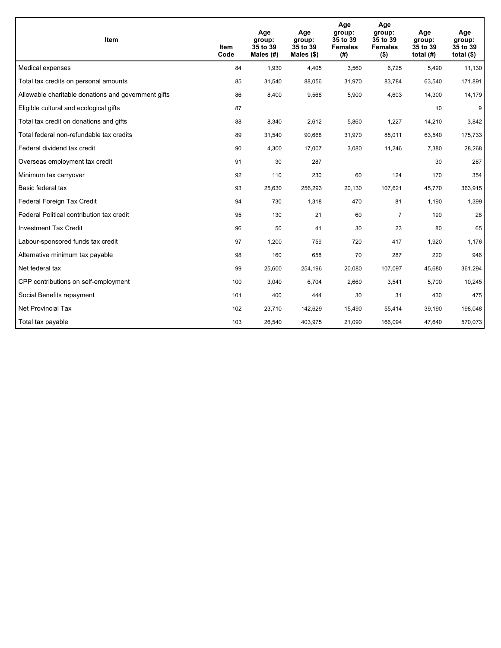| <b>Item</b>                                         | Item<br>Code | Age<br>group:<br>35 to 39<br>Males $(H)$ | Age<br>group:<br>35 to 39<br>Males $(\$)$ | Age<br>group:<br>35 to 39<br><b>Females</b><br>(# ) | Age<br>group:<br>35 to 39<br><b>Females</b><br>$($ \$) | Age<br>group:<br>35 to 39<br>total $(H)$ | Age<br>group:<br>35 to 39<br>total $($)$ |
|-----------------------------------------------------|--------------|------------------------------------------|-------------------------------------------|-----------------------------------------------------|--------------------------------------------------------|------------------------------------------|------------------------------------------|
| Medical expenses                                    | 84           | 1,930                                    | 4,405                                     | 3,560                                               | 6,725                                                  | 5,490                                    | 11,130                                   |
| Total tax credits on personal amounts               | 85           | 31,540                                   | 88,056                                    | 31,970                                              | 83,784                                                 | 63,540                                   | 171,891                                  |
| Allowable charitable donations and government gifts | 86           | 8,400                                    | 9,568                                     | 5,900                                               | 4,603                                                  | 14,300                                   | 14,179                                   |
| Eligible cultural and ecological gifts              | 87           |                                          |                                           |                                                     |                                                        | 10                                       | 9                                        |
| Total tax credit on donations and gifts             | 88           | 8,340                                    | 2,612                                     | 5,860                                               | 1,227                                                  | 14,210                                   | 3,842                                    |
| Total federal non-refundable tax credits            | 89           | 31,540                                   | 90,668                                    | 31,970                                              | 85,011                                                 | 63,540                                   | 175,733                                  |
| Federal dividend tax credit                         | 90           | 4,300                                    | 17,007                                    | 3,080                                               | 11,246                                                 | 7,380                                    | 28,268                                   |
| Overseas employment tax credit                      | 91           | 30                                       | 287                                       |                                                     |                                                        | 30                                       | 287                                      |
| Minimum tax carryover                               | 92           | 110                                      | 230                                       | 60                                                  | 124                                                    | 170                                      | 354                                      |
| Basic federal tax                                   | 93           | 25,630                                   | 256,293                                   | 20.130                                              | 107,621                                                | 45,770                                   | 363,915                                  |
| Federal Foreign Tax Credit                          | 94           | 730                                      | 1,318                                     | 470                                                 | 81                                                     | 1,190                                    | 1,399                                    |
| Federal Political contribution tax credit           | 95           | 130                                      | 21                                        | 60                                                  | $\overline{7}$                                         | 190                                      | 28                                       |
| <b>Investment Tax Credit</b>                        | 96           | 50                                       | 41                                        | 30                                                  | 23                                                     | 80                                       | 65                                       |
| Labour-sponsored funds tax credit                   | 97           | 1,200                                    | 759                                       | 720                                                 | 417                                                    | 1,920                                    | 1,176                                    |
| Alternative minimum tax payable                     | 98           | 160                                      | 658                                       | 70                                                  | 287                                                    | 220                                      | 946                                      |
| Net federal tax                                     | 99           | 25,600                                   | 254,196                                   | 20,080                                              | 107,097                                                | 45,680                                   | 361,294                                  |
| CPP contributions on self-employment                | 100          | 3,040                                    | 6,704                                     | 2,660                                               | 3,541                                                  | 5,700                                    | 10,245                                   |
| Social Benefits repayment                           | 101          | 400                                      | 444                                       | 30                                                  | 31                                                     | 430                                      | 475                                      |
| <b>Net Provincial Tax</b>                           | 102          | 23,710                                   | 142,629                                   | 15,490                                              | 55,414                                                 | 39,190                                   | 198,048                                  |
| Total tax payable                                   | 103          | 26,540                                   | 403,975                                   | 21,090                                              | 166,094                                                | 47,640                                   | 570,073                                  |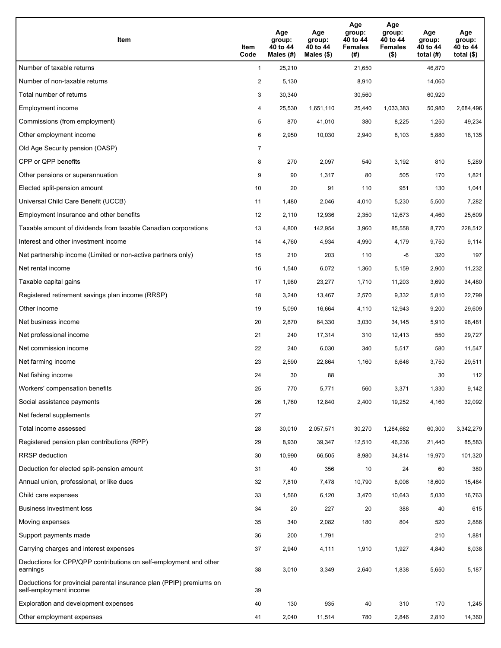| Item                                                                                           | Item<br>Code   | Age<br>group:<br>40 to 44<br>Males (#) | Age<br>group:<br>40 to 44<br>Males $(\$)$ | Age<br>group:<br>40 to 44<br><b>Females</b><br>(#) | Age<br>group:<br>40 to 44<br><b>Females</b><br>$($ \$) | Age<br>group:<br>40 to 44<br>total $(H)$ | Age<br>group:<br>40 to 44<br>total $($ |
|------------------------------------------------------------------------------------------------|----------------|----------------------------------------|-------------------------------------------|----------------------------------------------------|--------------------------------------------------------|------------------------------------------|----------------------------------------|
| Number of taxable returns                                                                      | $\mathbf{1}$   | 25,210                                 |                                           | 21,650                                             |                                                        | 46,870                                   |                                        |
| Number of non-taxable returns                                                                  | $\overline{a}$ | 5,130                                  |                                           | 8,910                                              |                                                        | 14,060                                   |                                        |
| Total number of returns                                                                        | 3              | 30,340                                 |                                           | 30,560                                             |                                                        | 60,920                                   |                                        |
| Employment income                                                                              | 4              | 25,530                                 | 1,651,110                                 | 25,440                                             | 1.033,383                                              | 50,980                                   | 2,684,496                              |
| Commissions (from employment)                                                                  | 5              | 870                                    | 41,010                                    | 380                                                | 8,225                                                  | 1,250                                    | 49,234                                 |
| Other employment income                                                                        | 6              | 2,950                                  | 10,030                                    | 2,940                                              | 8,103                                                  | 5,880                                    | 18,135                                 |
| Old Age Security pension (OASP)                                                                | 7              |                                        |                                           |                                                    |                                                        |                                          |                                        |
| CPP or QPP benefits                                                                            | 8              | 270                                    | 2,097                                     | 540                                                | 3,192                                                  | 810                                      | 5,289                                  |
| Other pensions or superannuation                                                               | 9              | 90                                     | 1,317                                     | 80                                                 | 505                                                    | 170                                      | 1,821                                  |
| Elected split-pension amount                                                                   | 10             | 20                                     | 91                                        | 110                                                | 951                                                    | 130                                      | 1,041                                  |
| Universal Child Care Benefit (UCCB)                                                            | 11             | 1,480                                  | 2,046                                     | 4,010                                              | 5,230                                                  | 5,500                                    | 7,282                                  |
| Employment Insurance and other benefits                                                        | 12             | 2,110                                  | 12,936                                    | 2,350                                              | 12,673                                                 | 4,460                                    | 25,609                                 |
| Taxable amount of dividends from taxable Canadian corporations                                 | 13             | 4,800                                  | 142,954                                   | 3,960                                              | 85,558                                                 | 8,770                                    | 228,512                                |
| Interest and other investment income                                                           | 14             | 4,760                                  | 4,934                                     | 4,990                                              | 4,179                                                  | 9,750                                    | 9,114                                  |
| Net partnership income (Limited or non-active partners only)                                   | 15             | 210                                    | 203                                       | 110                                                | -6                                                     | 320                                      | 197                                    |
| Net rental income                                                                              | 16             | 1,540                                  | 6,072                                     | 1,360                                              | 5,159                                                  | 2,900                                    | 11,232                                 |
| Taxable capital gains                                                                          | 17             | 1,980                                  | 23,277                                    | 1,710                                              | 11,203                                                 | 3,690                                    | 34,480                                 |
| Registered retirement savings plan income (RRSP)                                               | 18             | 3,240                                  | 13,467                                    | 2,570                                              | 9,332                                                  | 5,810                                    | 22,799                                 |
| Other income                                                                                   | 19             | 5,090                                  | 16,664                                    | 4,110                                              | 12,943                                                 | 9,200                                    | 29,609                                 |
| Net business income                                                                            | 20             | 2,870                                  | 64,330                                    | 3,030                                              | 34,145                                                 | 5,910                                    | 98,481                                 |
| Net professional income                                                                        | 21             | 240                                    | 17,314                                    | 310                                                | 12,413                                                 | 550                                      | 29,727                                 |
| Net commission income                                                                          | 22             | 240                                    | 6,030                                     | 340                                                | 5,517                                                  | 580                                      | 11,547                                 |
| Net farming income                                                                             | 23             | 2,590                                  | 22,864                                    | 1,160                                              | 6,646                                                  | 3,750                                    | 29,511                                 |
| Net fishing income                                                                             | 24             | 30                                     | 88                                        |                                                    |                                                        | 30                                       | 112                                    |
| Workers' compensation benefits                                                                 | 25             | 770                                    | 5,771                                     | 560                                                | 3,371                                                  | 1,330                                    | 9,142                                  |
| Social assistance payments                                                                     | 26             | 1,760                                  | 12,840                                    | 2,400                                              | 19,252                                                 | 4,160                                    | 32,092                                 |
| Net federal supplements                                                                        | 27             |                                        |                                           |                                                    |                                                        |                                          |                                        |
| Total income assessed                                                                          | 28             | 30,010                                 | 2,057,571                                 | 30,270                                             | 1,284,682                                              | 60,300                                   | 3,342,279                              |
| Registered pension plan contributions (RPP)                                                    | 29             | 8,930                                  | 39,347                                    | 12,510                                             | 46,236                                                 | 21,440                                   | 85,583                                 |
| RRSP deduction                                                                                 | 30             | 10,990                                 | 66,505                                    | 8,980                                              | 34,814                                                 | 19,970                                   | 101,320                                |
| Deduction for elected split-pension amount                                                     | 31             | 40                                     | 356                                       | 10                                                 | 24                                                     | 60                                       | 380                                    |
| Annual union, professional, or like dues                                                       | 32             | 7,810                                  | 7,478                                     | 10,790                                             | 8,006                                                  | 18,600                                   | 15,484                                 |
| Child care expenses                                                                            | 33             | 1,560                                  | 6,120                                     | 3,470                                              | 10,643                                                 | 5,030                                    | 16,763                                 |
| Business investment loss                                                                       | 34             | 20                                     | 227                                       | 20                                                 | 388                                                    | 40                                       | 615                                    |
| Moving expenses                                                                                | 35             | 340                                    | 2,082                                     | 180                                                | 804                                                    | 520                                      | 2,886                                  |
| Support payments made                                                                          | 36             | 200                                    | 1,791                                     |                                                    |                                                        | 210                                      | 1,881                                  |
| Carrying charges and interest expenses                                                         | 37             | 2,940                                  | 4,111                                     | 1,910                                              | 1,927                                                  | 4,840                                    | 6,038                                  |
| Deductions for CPP/QPP contributions on self-employment and other<br>earnings                  | 38             | 3,010                                  | 3,349                                     | 2,640                                              | 1,838                                                  | 5,650                                    | 5,187                                  |
| Deductions for provincial parental insurance plan (PPIP) premiums on<br>self-employment income | 39             |                                        |                                           |                                                    |                                                        |                                          |                                        |
| Exploration and development expenses                                                           | 40             | 130                                    | 935                                       | 40                                                 | 310                                                    | 170                                      | 1,245                                  |
| Other employment expenses                                                                      | 41             | 2,040                                  | 11,514                                    | 780                                                | 2,846                                                  | 2,810                                    | 14,360                                 |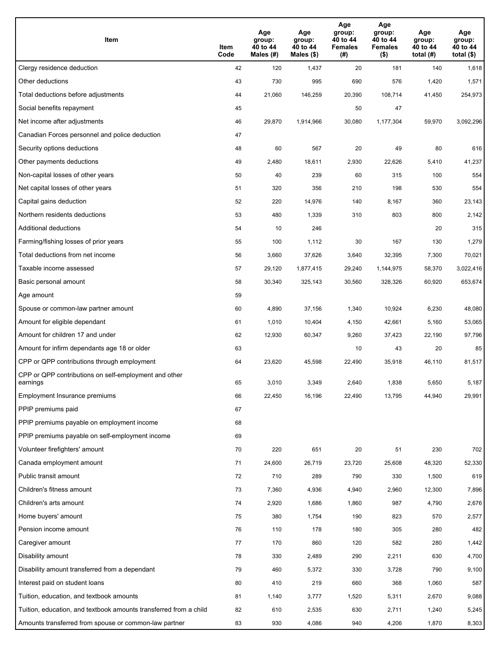| Item                                                              | Item<br>Code | Age<br>group:<br>40 to 44<br>Males (#) | Age<br>group:<br>40 to 44<br>Males (\$) | Age<br>group:<br>40 to 44<br><b>Females</b><br>(# ) | Age<br>group:<br>40 to 44<br><b>Females</b><br>$($ \$) | Age<br>group:<br>40 to 44<br>total $(H)$ | Age<br>group:<br>40 to 44<br>total $($)$ |
|-------------------------------------------------------------------|--------------|----------------------------------------|-----------------------------------------|-----------------------------------------------------|--------------------------------------------------------|------------------------------------------|------------------------------------------|
| Clergy residence deduction                                        | 42           | 120                                    | 1,437                                   | 20                                                  | 181                                                    | 140                                      | 1,618                                    |
| Other deductions                                                  | 43           | 730                                    | 995                                     | 690                                                 | 576                                                    | 1,420                                    | 1,571                                    |
| Total deductions before adjustments                               | 44           | 21,060                                 | 146,259                                 | 20,390                                              | 108,714                                                | 41,450                                   | 254,973                                  |
| Social benefits repayment                                         | 45           |                                        |                                         | 50                                                  | 47                                                     |                                          |                                          |
| Net income after adjustments                                      | 46           | 29,870                                 | 1,914,966                               | 30,080                                              | 1,177,304                                              | 59,970                                   | 3,092,296                                |
| Canadian Forces personnel and police deduction                    | 47           |                                        |                                         |                                                     |                                                        |                                          |                                          |
| Security options deductions                                       | 48           | 60                                     | 567                                     | 20                                                  | 49                                                     | 80                                       | 616                                      |
| Other payments deductions                                         | 49           | 2,480                                  | 18,611                                  | 2,930                                               | 22,626                                                 | 5,410                                    | 41,237                                   |
| Non-capital losses of other years                                 | 50           | 40                                     | 239                                     | 60                                                  | 315                                                    | 100                                      | 554                                      |
| Net capital losses of other years                                 | 51           | 320                                    | 356                                     | 210                                                 | 198                                                    | 530                                      | 554                                      |
| Capital gains deduction                                           | 52           | 220                                    | 14,976                                  | 140                                                 | 8,167                                                  | 360                                      | 23,143                                   |
| Northern residents deductions                                     | 53           | 480                                    | 1,339                                   | 310                                                 | 803                                                    | 800                                      | 2,142                                    |
| Additional deductions                                             | 54           | 10                                     | 246                                     |                                                     |                                                        | 20                                       | 315                                      |
| Farming/fishing losses of prior years                             | 55           | 100                                    | 1,112                                   | 30                                                  | 167                                                    | 130                                      | 1,279                                    |
| Total deductions from net income                                  | 56           | 3,660                                  | 37,626                                  | 3,640                                               | 32,395                                                 | 7,300                                    | 70,021                                   |
| Taxable income assessed                                           | 57           | 29,120                                 | 1,877,415                               | 29,240                                              | 1,144,975                                              | 58,370                                   | 3,022,416                                |
| Basic personal amount                                             | 58           | 30,340                                 | 325,143                                 | 30,560                                              | 328,326                                                | 60,920                                   | 653,674                                  |
| Age amount                                                        | 59           |                                        |                                         |                                                     |                                                        |                                          |                                          |
| Spouse or common-law partner amount                               | 60           | 4,890                                  | 37,156                                  | 1,340                                               | 10,924                                                 | 6,230                                    | 48,080                                   |
| Amount for eligible dependant                                     | 61           | 1,010                                  | 10,404                                  | 4,150                                               | 42,661                                                 | 5,160                                    | 53,065                                   |
| Amount for children 17 and under                                  | 62           | 12,930                                 | 60,347                                  | 9,260                                               | 37,423                                                 | 22,190                                   | 97,796                                   |
| Amount for infirm dependants age 18 or older                      | 63           |                                        |                                         | 10                                                  | 43                                                     | 20                                       | 85                                       |
| CPP or QPP contributions through employment                       | 64           | 23,620                                 | 45,598                                  | 22,490                                              | 35,918                                                 | 46,110                                   | 81,517                                   |
| CPP or QPP contributions on self-employment and other<br>earnings | 65           | 3,010                                  | 3,349                                   | 2,640                                               | 1,838                                                  | 5,650                                    | 5,187                                    |
| Employment Insurance premiums                                     | 66           | 22,450                                 | 16,196                                  | 22,490                                              | 13,795                                                 | 44,940                                   | 29,991                                   |
| PPIP premiums paid                                                | 67           |                                        |                                         |                                                     |                                                        |                                          |                                          |
| PPIP premiums payable on employment income                        | 68           |                                        |                                         |                                                     |                                                        |                                          |                                          |
| PPIP premiums payable on self-employment income                   | 69           |                                        |                                         |                                                     |                                                        |                                          |                                          |
| Volunteer firefighters' amount                                    | 70           | 220                                    | 651                                     | 20                                                  | 51                                                     | 230                                      | 702                                      |
| Canada employment amount                                          | 71           | 24,600                                 | 26,719                                  | 23,720                                              | 25,608                                                 | 48,320                                   | 52,330                                   |
| Public transit amount                                             | 72           | 710                                    | 289                                     | 790                                                 | 330                                                    | 1,500                                    | 619                                      |
| Children's fitness amount                                         | 73           | 7,360                                  | 4,936                                   | 4,940                                               | 2,960                                                  | 12,300                                   | 7,896                                    |
| Children's arts amount                                            | 74           | 2,920                                  | 1,686                                   | 1,860                                               | 987                                                    | 4,790                                    | 2,676                                    |
| Home buyers' amount                                               | 75           | 380                                    | 1,754                                   | 190                                                 | 823                                                    | 570                                      | 2,577                                    |
| Pension income amount                                             | 76           | 110                                    | 178                                     | 180                                                 | 305                                                    | 280                                      | 482                                      |
| Caregiver amount                                                  | 77           | 170                                    | 860                                     | 120                                                 | 582                                                    | 280                                      | 1,442                                    |
| Disability amount                                                 | 78           | 330                                    | 2,489                                   | 290                                                 | 2,211                                                  | 630                                      | 4,700                                    |
| Disability amount transferred from a dependant                    | 79           | 460                                    | 5,372                                   | 330                                                 | 3,728                                                  | 790                                      | 9,100                                    |
| Interest paid on student loans                                    | 80           | 410                                    | 219                                     | 660                                                 | 368                                                    | 1,060                                    | 587                                      |
| Tuition, education, and textbook amounts                          | 81           | 1,140                                  | 3,777                                   | 1,520                                               | 5,311                                                  | 2,670                                    | 9,088                                    |
| Tuition, education, and textbook amounts transferred from a child | 82           | 610                                    | 2,535                                   | 630                                                 | 2,711                                                  | 1,240                                    | 5,245                                    |
| Amounts transferred from spouse or common-law partner             | 83           | 930                                    | 4,086                                   | 940                                                 | 4,206                                                  | 1,870                                    | 8,303                                    |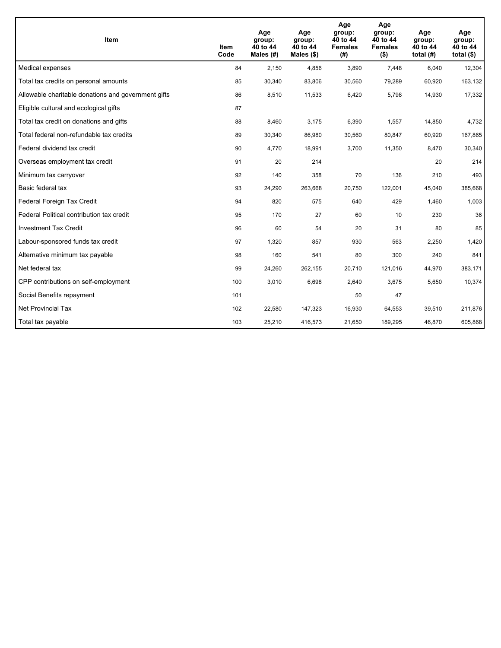| <b>Item</b>                                         | Item<br>Code | Age<br>group:<br>40 to 44<br>Males $(H)$ | Age<br>group:<br>40 to 44<br>Males $(\$)$ | Age<br>group:<br>40 to 44<br><b>Females</b><br>(# ) | Age<br>group:<br>40 to 44<br><b>Females</b><br>$($ \$) | Age<br>group:<br>40 to 44<br>total $(H)$ | Age<br>group:<br>40 to 44<br>total $($)$ |
|-----------------------------------------------------|--------------|------------------------------------------|-------------------------------------------|-----------------------------------------------------|--------------------------------------------------------|------------------------------------------|------------------------------------------|
| Medical expenses                                    | 84           | 2,150                                    | 4,856                                     | 3,890                                               | 7,448                                                  | 6,040                                    | 12,304                                   |
| Total tax credits on personal amounts               | 85           | 30,340                                   | 83,806                                    | 30,560                                              | 79,289                                                 | 60,920                                   | 163,132                                  |
| Allowable charitable donations and government gifts | 86           | 8,510                                    | 11,533                                    | 6,420                                               | 5,798                                                  | 14,930                                   | 17,332                                   |
| Eligible cultural and ecological gifts              | 87           |                                          |                                           |                                                     |                                                        |                                          |                                          |
| Total tax credit on donations and gifts             | 88           | 8,460                                    | 3,175                                     | 6,390                                               | 1,557                                                  | 14,850                                   | 4,732                                    |
| Total federal non-refundable tax credits            | 89           | 30,340                                   | 86,980                                    | 30,560                                              | 80,847                                                 | 60,920                                   | 167,865                                  |
| Federal dividend tax credit                         | 90           | 4,770                                    | 18,991                                    | 3,700                                               | 11,350                                                 | 8,470                                    | 30,340                                   |
| Overseas employment tax credit                      | 91           | 20                                       | 214                                       |                                                     |                                                        | 20                                       | 214                                      |
| Minimum tax carryover                               | 92           | 140                                      | 358                                       | 70                                                  | 136                                                    | 210                                      | 493                                      |
| Basic federal tax                                   | 93           | 24,290                                   | 263,668                                   | 20.750                                              | 122,001                                                | 45,040                                   | 385,668                                  |
| Federal Foreign Tax Credit                          | 94           | 820                                      | 575                                       | 640                                                 | 429                                                    | 1,460                                    | 1,003                                    |
| Federal Political contribution tax credit           | 95           | 170                                      | 27                                        | 60                                                  | 10 <sup>1</sup>                                        | 230                                      | 36                                       |
| <b>Investment Tax Credit</b>                        | 96           | 60                                       | 54                                        | 20                                                  | 31                                                     | 80                                       | 85                                       |
| Labour-sponsored funds tax credit                   | 97           | 1,320                                    | 857                                       | 930                                                 | 563                                                    | 2,250                                    | 1,420                                    |
| Alternative minimum tax payable                     | 98           | 160                                      | 541                                       | 80                                                  | 300                                                    | 240                                      | 841                                      |
| Net federal tax                                     | 99           | 24,260                                   | 262,155                                   | 20,710                                              | 121,016                                                | 44,970                                   | 383,171                                  |
| CPP contributions on self-employment                | 100          | 3,010                                    | 6,698                                     | 2,640                                               | 3,675                                                  | 5,650                                    | 10,374                                   |
| Social Benefits repayment                           | 101          |                                          |                                           | 50                                                  | 47                                                     |                                          |                                          |
| <b>Net Provincial Tax</b>                           | 102          | 22,580                                   | 147,323                                   | 16,930                                              | 64,553                                                 | 39,510                                   | 211,876                                  |
| Total tax payable                                   | 103          | 25,210                                   | 416,573                                   | 21,650                                              | 189,295                                                | 46,870                                   | 605,868                                  |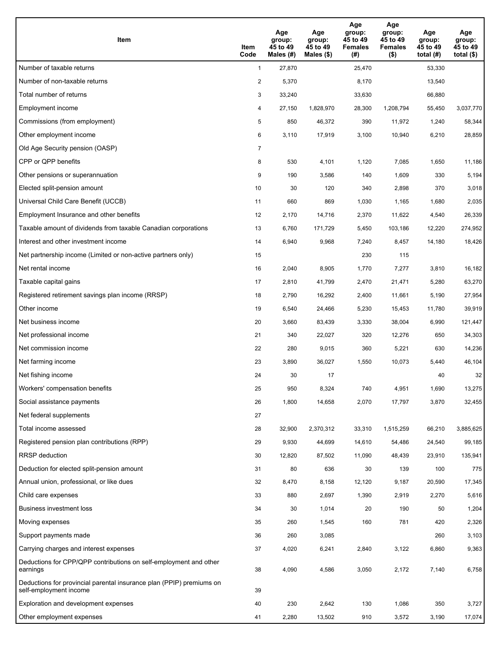| Item                                                                                           | Item<br>Code   | Age<br>group:<br>45 to 49<br>Males (#) | Age<br>group:<br>45 to 49<br>Males $(\$)$ | Age<br>group:<br>45 to 49<br><b>Females</b><br>(#) | Age<br>group:<br>45 to 49<br><b>Females</b><br>$($ \$) | Age<br>group:<br>45 to 49<br>total $(#)$ | Age<br>group:<br>45 to 49<br>total $($ |
|------------------------------------------------------------------------------------------------|----------------|----------------------------------------|-------------------------------------------|----------------------------------------------------|--------------------------------------------------------|------------------------------------------|----------------------------------------|
| Number of taxable returns                                                                      | $\mathbf{1}$   | 27,870                                 |                                           | 25,470                                             |                                                        | 53,330                                   |                                        |
| Number of non-taxable returns                                                                  | $\overline{a}$ | 5,370                                  |                                           | 8,170                                              |                                                        | 13,540                                   |                                        |
| Total number of returns                                                                        | 3              | 33,240                                 |                                           | 33,630                                             |                                                        | 66,880                                   |                                        |
| Employment income                                                                              | 4              | 27,150                                 | 1,828,970                                 | 28,300                                             | 1,208,794                                              | 55,450                                   | 3,037,770                              |
| Commissions (from employment)                                                                  | 5              | 850                                    | 46,372                                    | 390                                                | 11,972                                                 | 1,240                                    | 58,344                                 |
| Other employment income                                                                        | 6              | 3,110                                  | 17,919                                    | 3,100                                              | 10,940                                                 | 6,210                                    | 28,859                                 |
| Old Age Security pension (OASP)                                                                | 7              |                                        |                                           |                                                    |                                                        |                                          |                                        |
| CPP or QPP benefits                                                                            | 8              | 530                                    | 4,101                                     | 1,120                                              | 7,085                                                  | 1,650                                    | 11,186                                 |
| Other pensions or superannuation                                                               | 9              | 190                                    | 3,586                                     | 140                                                | 1,609                                                  | 330                                      | 5,194                                  |
| Elected split-pension amount                                                                   | 10             | 30                                     | 120                                       | 340                                                | 2,898                                                  | 370                                      | 3,018                                  |
| Universal Child Care Benefit (UCCB)                                                            | 11             | 660                                    | 869                                       | 1,030                                              | 1,165                                                  | 1,680                                    | 2,035                                  |
| Employment Insurance and other benefits                                                        | 12             | 2,170                                  | 14,716                                    | 2,370                                              | 11,622                                                 | 4,540                                    | 26,339                                 |
| Taxable amount of dividends from taxable Canadian corporations                                 | 13             | 6,760                                  | 171,729                                   | 5,450                                              | 103,186                                                | 12,220                                   | 274,952                                |
| Interest and other investment income                                                           | 14             | 6,940                                  | 9,968                                     | 7,240                                              | 8,457                                                  | 14,180                                   | 18,426                                 |
| Net partnership income (Limited or non-active partners only)                                   | 15             |                                        |                                           | 230                                                | 115                                                    |                                          |                                        |
| Net rental income                                                                              | 16             | 2,040                                  | 8,905                                     | 1,770                                              | 7,277                                                  | 3,810                                    | 16,182                                 |
| Taxable capital gains                                                                          | 17             | 2,810                                  | 41,799                                    | 2,470                                              | 21,471                                                 | 5,280                                    | 63,270                                 |
| Registered retirement savings plan income (RRSP)                                               | 18             | 2,790                                  | 16,292                                    | 2,400                                              | 11,661                                                 | 5,190                                    | 27,954                                 |
| Other income                                                                                   | 19             | 6,540                                  | 24,466                                    | 5,230                                              | 15,453                                                 | 11,780                                   | 39,919                                 |
| Net business income                                                                            | 20             | 3,660                                  | 83,439                                    | 3,330                                              | 38,004                                                 | 6,990                                    | 121,447                                |
| Net professional income                                                                        | 21             | 340                                    | 22,027                                    | 320                                                | 12,276                                                 | 650                                      | 34,303                                 |
| Net commission income                                                                          | 22             | 280                                    | 9,015                                     | 360                                                | 5,221                                                  | 630                                      | 14,236                                 |
| Net farming income                                                                             | 23             | 3,890                                  | 36,027                                    | 1,550                                              | 10,073                                                 | 5,440                                    | 46,104                                 |
| Net fishing income                                                                             | 24             | 30                                     | 17                                        |                                                    |                                                        | 40                                       | 32                                     |
| Workers' compensation benefits                                                                 | 25             | 950                                    | 8,324                                     | 740                                                | 4,951                                                  | 1,690                                    | 13,275                                 |
| Social assistance payments                                                                     | 26             | 1,800                                  | 14,658                                    | 2,070                                              | 17,797                                                 | 3,870                                    | 32,455                                 |
| Net federal supplements                                                                        | 27             |                                        |                                           |                                                    |                                                        |                                          |                                        |
| Total income assessed                                                                          | 28             | 32,900                                 | 2,370,312                                 | 33,310                                             | 1,515,259                                              | 66,210                                   | 3,885,625                              |
| Registered pension plan contributions (RPP)                                                    | 29             | 9,930                                  | 44,699                                    | 14,610                                             | 54,486                                                 | 24,540                                   | 99,185                                 |
| RRSP deduction                                                                                 | 30             | 12,820                                 | 87,502                                    | 11,090                                             | 48,439                                                 | 23,910                                   | 135,941                                |
| Deduction for elected split-pension amount                                                     | 31             | 80                                     | 636                                       | 30                                                 | 139                                                    | 100                                      | 775                                    |
| Annual union, professional, or like dues                                                       | 32             | 8,470                                  | 8,158                                     | 12,120                                             | 9,187                                                  | 20,590                                   | 17,345                                 |
| Child care expenses                                                                            | 33             | 880                                    | 2,697                                     | 1,390                                              | 2,919                                                  | 2,270                                    | 5,616                                  |
| Business investment loss                                                                       | 34             | 30                                     | 1,014                                     | 20                                                 | 190                                                    | 50                                       | 1,204                                  |
| Moving expenses                                                                                | 35             | 260                                    | 1,545                                     | 160                                                | 781                                                    | 420                                      | 2,326                                  |
| Support payments made                                                                          | 36             | 260                                    | 3,085                                     |                                                    |                                                        | 260                                      | 3,103                                  |
| Carrying charges and interest expenses                                                         | 37             | 4,020                                  | 6,241                                     | 2,840                                              | 3,122                                                  | 6,860                                    | 9,363                                  |
| Deductions for CPP/QPP contributions on self-employment and other<br>earnings                  | 38             | 4,090                                  | 4,586                                     | 3,050                                              | 2,172                                                  | 7,140                                    | 6,758                                  |
| Deductions for provincial parental insurance plan (PPIP) premiums on<br>self-employment income | 39             |                                        |                                           |                                                    |                                                        |                                          |                                        |
| Exploration and development expenses                                                           | 40             | 230                                    | 2,642                                     | 130                                                | 1,086                                                  | 350                                      | 3,727                                  |
| Other employment expenses                                                                      | 41             | 2,280                                  | 13,502                                    | 910                                                | 3,572                                                  | 3,190                                    | 17,074                                 |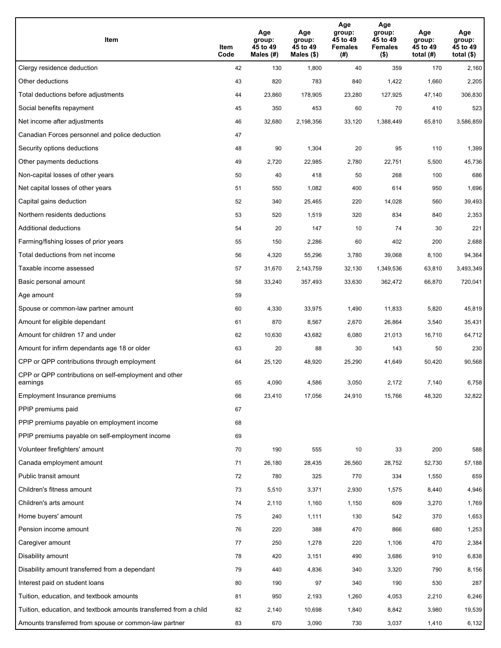| Item                                                              | Item<br>Code | Age<br>group:<br>45 to 49<br>Males (#) | Age<br>group:<br>45 to 49<br>Males (\$) | Age<br>group:<br>45 to 49<br><b>Females</b><br>(# ) | Age<br>group:<br>45 to 49<br><b>Females</b><br>$($ \$) | Age<br>group:<br>45 to 49<br>total $(H)$ | Age<br>group:<br>45 to 49<br>total $($)$ |
|-------------------------------------------------------------------|--------------|----------------------------------------|-----------------------------------------|-----------------------------------------------------|--------------------------------------------------------|------------------------------------------|------------------------------------------|
| Clergy residence deduction                                        | 42           | 130                                    | 1,800                                   | 40                                                  | 359                                                    | 170                                      | 2,160                                    |
| Other deductions                                                  | 43           | 820                                    | 783                                     | 840                                                 | 1,422                                                  | 1,660                                    | 2,205                                    |
| Total deductions before adjustments                               | 44           | 23,860                                 | 178,905                                 | 23,280                                              | 127,925                                                | 47,140                                   | 306,830                                  |
| Social benefits repayment                                         | 45           | 350                                    | 453                                     | 60                                                  | 70                                                     | 410                                      | 523                                      |
| Net income after adjustments                                      | 46           | 32,680                                 | 2,198,356                               | 33,120                                              | 1,388,449                                              | 65,810                                   | 3,586,859                                |
| Canadian Forces personnel and police deduction                    | 47           |                                        |                                         |                                                     |                                                        |                                          |                                          |
| Security options deductions                                       | 48           | 90                                     | 1,304                                   | 20                                                  | 95                                                     | 110                                      | 1,399                                    |
| Other payments deductions                                         | 49           | 2,720                                  | 22,985                                  | 2,780                                               | 22,751                                                 | 5,500                                    | 45,736                                   |
| Non-capital losses of other years                                 | 50           | 40                                     | 418                                     | 50                                                  | 268                                                    | 100                                      | 686                                      |
| Net capital losses of other years                                 | 51           | 550                                    | 1,082                                   | 400                                                 | 614                                                    | 950                                      | 1,696                                    |
| Capital gains deduction                                           | 52           | 340                                    | 25,465                                  | 220                                                 | 14,028                                                 | 560                                      | 39,493                                   |
| Northern residents deductions                                     | 53           | 520                                    | 1,519                                   | 320                                                 | 834                                                    | 840                                      | 2,353                                    |
| Additional deductions                                             | 54           | 20                                     | 147                                     | 10                                                  | 74                                                     | 30                                       | 221                                      |
| Farming/fishing losses of prior years                             | 55           | 150                                    | 2,286                                   | 60                                                  | 402                                                    | 200                                      | 2,688                                    |
| Total deductions from net income                                  | 56           | 4,320                                  | 55,296                                  | 3,780                                               | 39,068                                                 | 8,100                                    | 94,364                                   |
| Taxable income assessed                                           | 57           | 31,670                                 | 2,143,759                               | 32,130                                              | 1,349,536                                              | 63,810                                   | 3,493,349                                |
| Basic personal amount                                             | 58           | 33,240                                 | 357,493                                 | 33,630                                              | 362,472                                                | 66,870                                   | 720,041                                  |
| Age amount                                                        | 59           |                                        |                                         |                                                     |                                                        |                                          |                                          |
| Spouse or common-law partner amount                               | 60           | 4,330                                  | 33,975                                  | 1,490                                               | 11,833                                                 | 5,820                                    | 45,819                                   |
| Amount for eligible dependant                                     | 61           | 870                                    | 8,567                                   | 2,670                                               | 26,864                                                 | 3,540                                    | 35,431                                   |
| Amount for children 17 and under                                  | 62           | 10,630                                 | 43,682                                  | 6,080                                               | 21,013                                                 | 16,710                                   | 64,712                                   |
| Amount for infirm dependants age 18 or older                      | 63           | 20                                     | 88                                      | 30                                                  | 143                                                    | 50                                       | 230                                      |
| CPP or QPP contributions through employment                       | 64           | 25,120                                 | 48,920                                  | 25,290                                              | 41,649                                                 | 50,420                                   | 90,568                                   |
| CPP or QPP contributions on self-employment and other<br>earnings | 65           | 4,090                                  | 4,586                                   | 3,050                                               | 2.172                                                  | 7,140                                    | 6,758                                    |
| Employment Insurance premiums                                     | 66           | 23,410                                 | 17,056                                  | 24,910                                              | 15,766                                                 | 48,320                                   | 32,822                                   |
| PPIP premiums paid                                                | 67           |                                        |                                         |                                                     |                                                        |                                          |                                          |
| PPIP premiums payable on employment income                        | 68           |                                        |                                         |                                                     |                                                        |                                          |                                          |
| PPIP premiums payable on self-employment income                   | 69           |                                        |                                         |                                                     |                                                        |                                          |                                          |
| Volunteer firefighters' amount                                    | 70           | 190                                    | 555                                     | 10                                                  | 33                                                     | 200                                      | 588                                      |
| Canada employment amount                                          | 71           | 26,180                                 | 28,435                                  | 26,560                                              | 28,752                                                 | 52,730                                   | 57,188                                   |
| Public transit amount                                             | 72           | 780                                    | 325                                     | 770                                                 | 334                                                    | 1,550                                    | 659                                      |
| Children's fitness amount                                         | 73           | 5,510                                  | 3,371                                   | 2,930                                               | 1,575                                                  | 8,440                                    | 4,946                                    |
| Children's arts amount                                            | 74           | 2,110                                  | 1,160                                   | 1,150                                               | 609                                                    | 3,270                                    | 1,769                                    |
| Home buyers' amount                                               | 75           | 240                                    | 1,111                                   | 130                                                 | 542                                                    | 370                                      | 1,653                                    |
| Pension income amount                                             | 76           | 220                                    | 388                                     | 470                                                 | 866                                                    | 680                                      | 1,253                                    |
| Caregiver amount                                                  | 77           | 250                                    | 1,278                                   | 220                                                 | 1,106                                                  | 470                                      | 2,384                                    |
| Disability amount                                                 | 78           | 420                                    | 3,151                                   | 490                                                 | 3,686                                                  | 910                                      | 6,838                                    |
| Disability amount transferred from a dependant                    | 79           | 440                                    | 4,836                                   | 340                                                 | 3,320                                                  | 790                                      | 8,156                                    |
| Interest paid on student loans                                    | 80           | 190                                    | 97                                      | 340                                                 | 190                                                    | 530                                      | 287                                      |
| Tuition, education, and textbook amounts                          | 81           | 950                                    | 2,193                                   | 1,260                                               | 4,053                                                  | 2,210                                    | 6,246                                    |
| Tuition, education, and textbook amounts transferred from a child | 82           | 2,140                                  | 10,698                                  | 1,840                                               | 8,842                                                  | 3,980                                    | 19,539                                   |
| Amounts transferred from spouse or common-law partner             | 83           | 670                                    | 3,090                                   | 730                                                 | 3,037                                                  | 1,410                                    | 6,132                                    |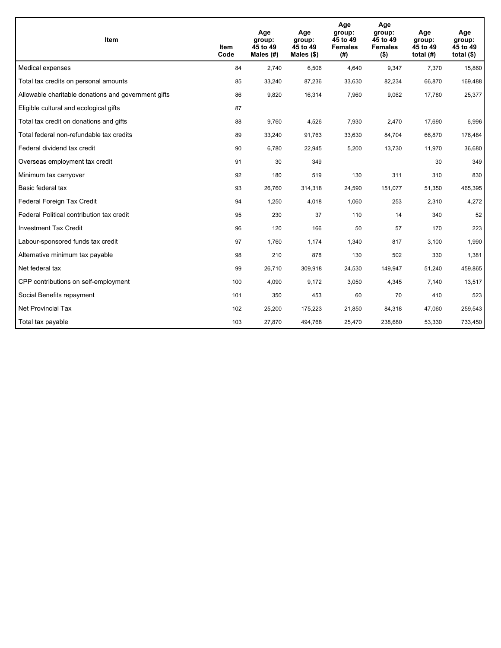| <b>Item</b>                                         | Item<br>Code | Age<br>group:<br>45 to 49<br>Males $(H)$ | Age<br>group:<br>45 to 49<br>Males (\$) | Age<br>group:<br>45 to 49<br><b>Females</b><br>(# ) | Age<br>group:<br>45 to 49<br><b>Females</b><br>$($ \$) | Age<br>group:<br>45 to 49<br>total $(H)$ | Age<br>group:<br>45 to 49<br>total $($)$ |
|-----------------------------------------------------|--------------|------------------------------------------|-----------------------------------------|-----------------------------------------------------|--------------------------------------------------------|------------------------------------------|------------------------------------------|
| Medical expenses                                    | 84           | 2,740                                    | 6,506                                   | 4,640                                               | 9,347                                                  | 7,370                                    | 15,860                                   |
| Total tax credits on personal amounts               | 85           | 33,240                                   | 87,236                                  | 33,630                                              | 82,234                                                 | 66,870                                   | 169,488                                  |
| Allowable charitable donations and government gifts | 86           | 9,820                                    | 16,314                                  | 7,960                                               | 9,062                                                  | 17,780                                   | 25,377                                   |
| Eligible cultural and ecological gifts              | 87           |                                          |                                         |                                                     |                                                        |                                          |                                          |
| Total tax credit on donations and gifts             | 88           | 9,760                                    | 4,526                                   | 7,930                                               | 2,470                                                  | 17,690                                   | 6,996                                    |
| Total federal non-refundable tax credits            | 89           | 33,240                                   | 91,763                                  | 33,630                                              | 84,704                                                 | 66,870                                   | 176,484                                  |
| Federal dividend tax credit                         | 90           | 6,780                                    | 22,945                                  | 5,200                                               | 13,730                                                 | 11,970                                   | 36,680                                   |
| Overseas employment tax credit                      | 91           | 30                                       | 349                                     |                                                     |                                                        | 30                                       | 349                                      |
| Minimum tax carryover                               | 92           | 180                                      | 519                                     | 130                                                 | 311                                                    | 310                                      | 830                                      |
| Basic federal tax                                   | 93           | 26,760                                   | 314,318                                 | 24,590                                              | 151,077                                                | 51,350                                   | 465,395                                  |
| Federal Foreign Tax Credit                          | 94           | 1,250                                    | 4,018                                   | 1,060                                               | 253                                                    | 2,310                                    | 4,272                                    |
| Federal Political contribution tax credit           | 95           | 230                                      | 37                                      | 110                                                 | 14                                                     | 340                                      | 52                                       |
| <b>Investment Tax Credit</b>                        | 96           | 120                                      | 166                                     | 50                                                  | 57                                                     | 170                                      | 223                                      |
| Labour-sponsored funds tax credit                   | 97           | 1,760                                    | 1,174                                   | 1,340                                               | 817                                                    | 3,100                                    | 1,990                                    |
| Alternative minimum tax payable                     | 98           | 210                                      | 878                                     | 130                                                 | 502                                                    | 330                                      | 1,381                                    |
| Net federal tax                                     | 99           | 26,710                                   | 309,918                                 | 24,530                                              | 149,947                                                | 51,240                                   | 459,865                                  |
| CPP contributions on self-employment                | 100          | 4,090                                    | 9,172                                   | 3,050                                               | 4,345                                                  | 7,140                                    | 13,517                                   |
| Social Benefits repayment                           | 101          | 350                                      | 453                                     | 60                                                  | 70                                                     | 410                                      | 523                                      |
| <b>Net Provincial Tax</b>                           | 102          | 25,200                                   | 175,223                                 | 21,850                                              | 84,318                                                 | 47,060                                   | 259,543                                  |
| Total tax payable                                   | 103          | 27,870                                   | 494,768                                 | 25,470                                              | 238,680                                                | 53,330                                   | 733,450                                  |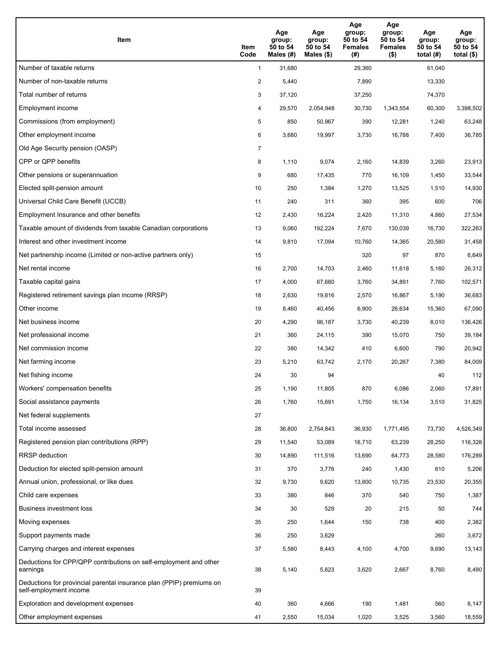| Item                                                                                           | Item<br>Code   | Age<br>group:<br>50 to 54<br>Males (#) | Age<br>group:<br>50 to 54<br>Males $(\$)$ | Age<br>group:<br>50 to 54<br><b>Females</b><br>(#) | Age<br>group:<br>50 to 54<br><b>Females</b><br>$($ \$) | Age<br>group:<br>50 to 54<br>total $(H)$ | Age<br>group:<br>50 to 54<br>total $($ |
|------------------------------------------------------------------------------------------------|----------------|----------------------------------------|-------------------------------------------|----------------------------------------------------|--------------------------------------------------------|------------------------------------------|----------------------------------------|
| Number of taxable returns                                                                      | $\mathbf{1}$   | 31,680                                 |                                           | 29,360                                             |                                                        | 61,040                                   |                                        |
| Number of non-taxable returns                                                                  | $\overline{2}$ | 5,440                                  |                                           | 7,890                                              |                                                        | 13,330                                   |                                        |
| Total number of returns                                                                        | 3              | 37,120                                 |                                           | 37,250                                             |                                                        | 74,370                                   |                                        |
| Employment income                                                                              | 4              | 29,570                                 | 2,054,948                                 | 30,730                                             | 1,343,554                                              | 60,300                                   | 3,398,502                              |
| Commissions (from employment)                                                                  | 5              | 850                                    | 50,967                                    | 390                                                | 12,281                                                 | 1,240                                    | 63,248                                 |
| Other employment income                                                                        | 6              | 3,680                                  | 19,997                                    | 3,730                                              | 16,788                                                 | 7,400                                    | 36,785                                 |
| Old Age Security pension (OASP)                                                                | 7              |                                        |                                           |                                                    |                                                        |                                          |                                        |
| CPP or QPP benefits                                                                            | 8              | 1,110                                  | 9,074                                     | 2,160                                              | 14,839                                                 | 3,260                                    | 23,913                                 |
| Other pensions or superannuation                                                               | 9              | 680                                    | 17,435                                    | 770                                                | 16,109                                                 | 1,450                                    | 33,544                                 |
| Elected split-pension amount                                                                   | 10             | 250                                    | 1,384                                     | 1,270                                              | 13,525                                                 | 1,510                                    | 14,930                                 |
| Universal Child Care Benefit (UCCB)                                                            | 11             | 240                                    | 311                                       | 360                                                | 395                                                    | 600                                      | 706                                    |
| Employment Insurance and other benefits                                                        | 12             | 2,430                                  | 16,224                                    | 2,420                                              | 11,310                                                 | 4,860                                    | 27,534                                 |
| Taxable amount of dividends from taxable Canadian corporations                                 | 13             | 9,060                                  | 192,224                                   | 7,670                                              | 130,039                                                | 16,730                                   | 322,263                                |
| Interest and other investment income                                                           | 14             | 9,810                                  | 17,094                                    | 10,760                                             | 14,365                                                 | 20,580                                   | 31,458                                 |
| Net partnership income (Limited or non-active partners only)                                   | 15             |                                        |                                           | 320                                                | 97                                                     | 870                                      | 6,649                                  |
| Net rental income                                                                              | 16             | 2,700                                  | 14,703                                    | 2,460                                              | 11,618                                                 | 5,160                                    | 26,312                                 |
| Taxable capital gains                                                                          | 17             | 4,000                                  | 67,680                                    | 3,760                                              | 34,891                                                 | 7,760                                    | 102,571                                |
| Registered retirement savings plan income (RRSP)                                               | 18             | 2,630                                  | 19,816                                    | 2,570                                              | 16,867                                                 | 5,190                                    | 36,683                                 |
| Other income                                                                                   | 19             | 8,460                                  | 40,456                                    | 6,900                                              | 26,634                                                 | 15,360                                   | 67,090                                 |
| Net business income                                                                            | 20             | 4,290                                  | 96,187                                    | 3,730                                              | 40,239                                                 | 8,010                                    | 136,426                                |
| Net professional income                                                                        | 21             | 360                                    | 24,115                                    | 390                                                | 15,070                                                 | 750                                      | 39,184                                 |
| Net commission income                                                                          | 22             | 380                                    | 14,342                                    | 410                                                | 6,600                                                  | 790                                      | 20,942                                 |
| Net farming income                                                                             | 23             | 5,210                                  | 63,742                                    | 2,170                                              | 20,267                                                 | 7,380                                    | 84,009                                 |
| Net fishing income                                                                             | 24             | 30                                     | 94                                        |                                                    |                                                        | 40                                       | 112                                    |
| Workers' compensation benefits                                                                 | 25             | 1,190                                  | 11,805                                    | 870                                                | 6,086                                                  | 2,060                                    | 17,891                                 |
| Social assistance payments                                                                     | 26             | 1,760                                  | 15,691                                    | 1,750                                              | 16,134                                                 | 3,510                                    | 31,825                                 |
| Net federal supplements                                                                        | 27             |                                        |                                           |                                                    |                                                        |                                          |                                        |
| Total income assessed                                                                          | 28             | 36,800                                 | 2,754,843                                 | 36,930                                             | 1,771,495                                              | 73,730                                   | 4,526,349                              |
| Registered pension plan contributions (RPP)                                                    | 29             | 11,540                                 | 53,089                                    | 16,710                                             | 63,239                                                 | 28,250                                   | 116,328                                |
| RRSP deduction                                                                                 | 30             | 14,890                                 | 111,516                                   | 13,690                                             | 64,773                                                 | 28,580                                   | 176,289                                |
| Deduction for elected split-pension amount                                                     | 31             | 370                                    | 3,776                                     | 240                                                | 1,430                                                  | 610                                      | 5,206                                  |
| Annual union, professional, or like dues                                                       | 32             | 9,730                                  | 9,620                                     | 13,800                                             | 10,735                                                 | 23,530                                   | 20,355                                 |
| Child care expenses                                                                            | 33             | 380                                    | 846                                       | 370                                                | 540                                                    | 750                                      | 1,387                                  |
| Business investment loss                                                                       | 34             | 30                                     | 529                                       | 20                                                 | 215                                                    | 50                                       | 744                                    |
| Moving expenses                                                                                | 35             | 250                                    | 1,644                                     | 150                                                | 738                                                    | 400                                      | 2,382                                  |
| Support payments made                                                                          | 36             | 250                                    | 3,629                                     |                                                    |                                                        | 260                                      | 3,672                                  |
| Carrying charges and interest expenses                                                         | 37             | 5,580                                  | 8,443                                     | 4,100                                              | 4,700                                                  | 9,690                                    | 13,143                                 |
| Deductions for CPP/QPP contributions on self-employment and other<br>earnings                  | 38             | 5,140                                  | 5,823                                     | 3,620                                              | 2,667                                                  | 8,760                                    | 8,490                                  |
| Deductions for provincial parental insurance plan (PPIP) premiums on<br>self-employment income | 39             |                                        |                                           |                                                    |                                                        |                                          |                                        |
| Exploration and development expenses                                                           | 40             | 360                                    | 4,666                                     | 190                                                | 1,481                                                  | 560                                      | 6,147                                  |
| Other employment expenses                                                                      | 41             | 2,550                                  | 15,034                                    | 1,020                                              | 3,525                                                  | 3,560                                    | 18,559                                 |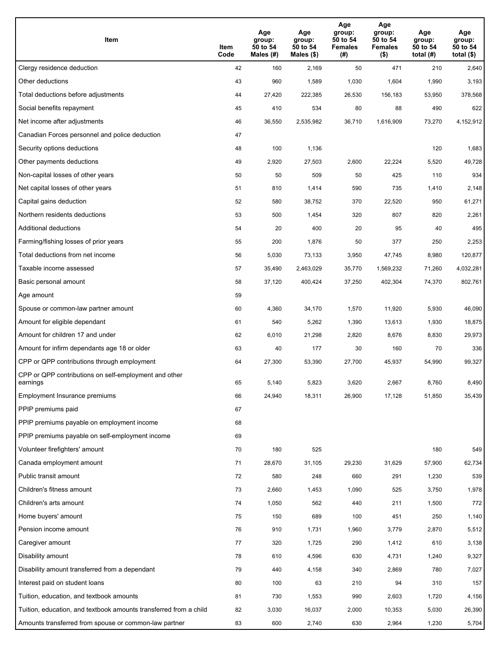| Item                                                              | Item<br>Code | Age<br>group:<br>50 to 54<br>Males (#) | Age<br>group:<br>50 to 54<br>Males (\$) | Age<br>group:<br>50 to 54<br><b>Females</b><br>(# ) | Age<br>group:<br>50 to 54<br><b>Females</b><br>$($ \$) | Age<br>group:<br>50 to 54<br>total $(H)$ | Age<br>group:<br>50 to 54<br>total $($)$ |
|-------------------------------------------------------------------|--------------|----------------------------------------|-----------------------------------------|-----------------------------------------------------|--------------------------------------------------------|------------------------------------------|------------------------------------------|
| Clergy residence deduction                                        | 42           | 160                                    | 2,169                                   | 50                                                  | 471                                                    | 210                                      | 2,640                                    |
| Other deductions                                                  | 43           | 960                                    | 1,589                                   | 1,030                                               | 1,604                                                  | 1,990                                    | 3,193                                    |
| Total deductions before adjustments                               | 44           | 27,420                                 | 222,385                                 | 26,530                                              | 156,183                                                | 53,950                                   | 378,568                                  |
| Social benefits repayment                                         | 45           | 410                                    | 534                                     | 80                                                  | 88                                                     | 490                                      | 622                                      |
| Net income after adjustments                                      | 46           | 36,550                                 | 2,535,982                               | 36,710                                              | 1,616,909                                              | 73,270                                   | 4,152,912                                |
| Canadian Forces personnel and police deduction                    | 47           |                                        |                                         |                                                     |                                                        |                                          |                                          |
| Security options deductions                                       | 48           | 100                                    | 1,136                                   |                                                     |                                                        | 120                                      | 1,683                                    |
| Other payments deductions                                         | 49           | 2,920                                  | 27,503                                  | 2,600                                               | 22,224                                                 | 5,520                                    | 49,728                                   |
| Non-capital losses of other years                                 | 50           | 50                                     | 509                                     | 50                                                  | 425                                                    | 110                                      | 934                                      |
| Net capital losses of other years                                 | 51           | 810                                    | 1,414                                   | 590                                                 | 735                                                    | 1,410                                    | 2,148                                    |
| Capital gains deduction                                           | 52           | 580                                    | 38,752                                  | 370                                                 | 22,520                                                 | 950                                      | 61,271                                   |
| Northern residents deductions                                     | 53           | 500                                    | 1,454                                   | 320                                                 | 807                                                    | 820                                      | 2,261                                    |
| Additional deductions                                             | 54           | 20                                     | 400                                     | 20                                                  | 95                                                     | 40                                       | 495                                      |
| Farming/fishing losses of prior years                             | 55           | 200                                    | 1,876                                   | 50                                                  | 377                                                    | 250                                      | 2,253                                    |
| Total deductions from net income                                  | 56           | 5,030                                  | 73,133                                  | 3,950                                               | 47,745                                                 | 8,980                                    | 120,877                                  |
| Taxable income assessed                                           | 57           | 35,490                                 | 2,463,029                               | 35,770                                              | 1,569,232                                              | 71,260                                   | 4,032,281                                |
| Basic personal amount                                             | 58           | 37,120                                 | 400,424                                 | 37,250                                              | 402,304                                                | 74,370                                   | 802,761                                  |
| Age amount                                                        | 59           |                                        |                                         |                                                     |                                                        |                                          |                                          |
| Spouse or common-law partner amount                               | 60           | 4,360                                  | 34,170                                  | 1,570                                               | 11,920                                                 | 5,930                                    | 46,090                                   |
| Amount for eligible dependant                                     | 61           | 540                                    | 5,262                                   | 1,390                                               | 13,613                                                 | 1,930                                    | 18,875                                   |
| Amount for children 17 and under                                  | 62           | 6,010                                  | 21,298                                  | 2,820                                               | 8,676                                                  | 8,830                                    | 29,973                                   |
| Amount for infirm dependants age 18 or older                      | 63           | 40                                     | 177                                     | 30                                                  | 160                                                    | 70                                       | 336                                      |
| CPP or QPP contributions through employment                       | 64           | 27,300                                 | 53,390                                  | 27,700                                              | 45,937                                                 | 54,990                                   | 99,327                                   |
| CPP or QPP contributions on self-employment and other<br>earnings | 65           | 5,140                                  | 5,823                                   | 3,620                                               | 2.667                                                  | 8,760                                    | 8,490                                    |
| Employment Insurance premiums                                     | 66           | 24,940                                 | 18,311                                  | 26,900                                              | 17,128                                                 | 51,850                                   | 35,439                                   |
| PPIP premiums paid                                                | 67           |                                        |                                         |                                                     |                                                        |                                          |                                          |
| PPIP premiums payable on employment income                        | 68           |                                        |                                         |                                                     |                                                        |                                          |                                          |
| PPIP premiums payable on self-employment income                   | 69           |                                        |                                         |                                                     |                                                        |                                          |                                          |
| Volunteer firefighters' amount                                    | 70           | 180                                    | 525                                     |                                                     |                                                        | 180                                      | 549                                      |
| Canada employment amount                                          | 71           | 28,670                                 | 31,105                                  | 29,230                                              | 31,629                                                 | 57,900                                   | 62,734                                   |
| Public transit amount                                             | 72           | 580                                    | 248                                     | 660                                                 | 291                                                    | 1,230                                    | 539                                      |
| Children's fitness amount                                         | 73           | 2,660                                  | 1,453                                   | 1,090                                               | 525                                                    | 3,750                                    | 1,978                                    |
| Children's arts amount                                            | 74           | 1,050                                  | 562                                     | 440                                                 | 211                                                    | 1,500                                    | 772                                      |
| Home buyers' amount                                               | 75           | 150                                    | 689                                     | 100                                                 | 451                                                    | 250                                      | 1,140                                    |
| Pension income amount                                             | 76           | 910                                    | 1,731                                   | 1,960                                               | 3,779                                                  | 2,870                                    | 5,512                                    |
| Caregiver amount                                                  | 77           | 320                                    | 1,725                                   | 290                                                 | 1,412                                                  | 610                                      | 3,138                                    |
| Disability amount                                                 | 78           | 610                                    | 4,596                                   | 630                                                 | 4,731                                                  | 1,240                                    | 9,327                                    |
| Disability amount transferred from a dependant                    | 79           | 440                                    | 4,158                                   | 340                                                 | 2,869                                                  | 780                                      | 7,027                                    |
| Interest paid on student loans                                    | 80           | 100                                    | 63                                      | 210                                                 | 94                                                     | 310                                      | 157                                      |
| Tuition, education, and textbook amounts                          | 81           | 730                                    | 1,553                                   | 990                                                 | 2,603                                                  | 1,720                                    | 4,156                                    |
| Tuition, education, and textbook amounts transferred from a child | 82           | 3,030                                  | 16,037                                  | 2,000                                               | 10,353                                                 | 5,030                                    | 26,390                                   |
| Amounts transferred from spouse or common-law partner             | 83           | 600                                    | 2,740                                   | 630                                                 | 2,964                                                  | 1,230                                    | 5,704                                    |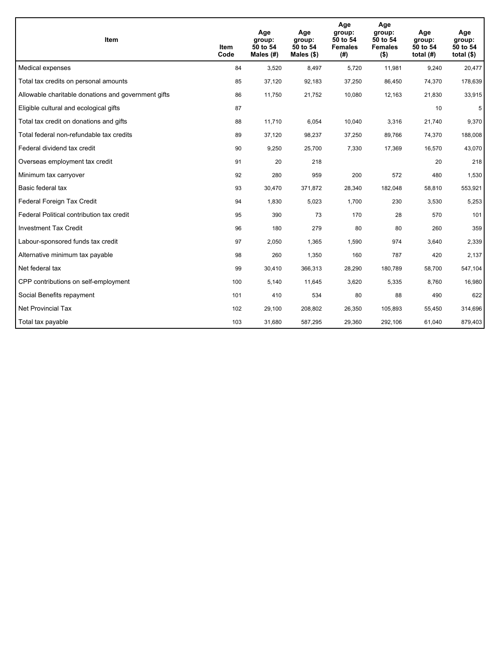| <b>Item</b>                                         | Item<br>Code | Age<br>group:<br>50 to 54<br>Males $(H)$ | Age<br>group:<br>50 to 54<br>Males $(\$)$ | Age<br>group:<br>50 to 54<br><b>Females</b><br>(# ) | Age<br>group:<br>50 to 54<br><b>Females</b><br>$($ \$) | Age<br>group:<br>50 to 54<br>total $(H)$ | Age<br>group:<br>50 to 54<br>total $($)$ |
|-----------------------------------------------------|--------------|------------------------------------------|-------------------------------------------|-----------------------------------------------------|--------------------------------------------------------|------------------------------------------|------------------------------------------|
| Medical expenses                                    | 84           | 3,520                                    | 8,497                                     | 5,720                                               | 11,981                                                 | 9,240                                    | 20,477                                   |
| Total tax credits on personal amounts               | 85           | 37,120                                   | 92,183                                    | 37,250                                              | 86,450                                                 | 74,370                                   | 178,639                                  |
| Allowable charitable donations and government gifts | 86           | 11,750                                   | 21,752                                    | 10,080                                              | 12,163                                                 | 21,830                                   | 33,915                                   |
| Eligible cultural and ecological gifts              | 87           |                                          |                                           |                                                     |                                                        | 10                                       | 5                                        |
| Total tax credit on donations and gifts             | 88           | 11,710                                   | 6,054                                     | 10,040                                              | 3,316                                                  | 21,740                                   | 9,370                                    |
| Total federal non-refundable tax credits            | 89           | 37,120                                   | 98,237                                    | 37,250                                              | 89,766                                                 | 74,370                                   | 188,008                                  |
| Federal dividend tax credit                         | 90           | 9,250                                    | 25,700                                    | 7,330                                               | 17,369                                                 | 16,570                                   | 43,070                                   |
| Overseas employment tax credit                      | 91           | 20                                       | 218                                       |                                                     |                                                        | 20                                       | 218                                      |
| Minimum tax carryover                               | 92           | 280                                      | 959                                       | 200                                                 | 572                                                    | 480                                      | 1,530                                    |
| Basic federal tax                                   | 93           | 30,470                                   | 371,872                                   | 28.340                                              | 182.048                                                | 58,810                                   | 553,921                                  |
| Federal Foreign Tax Credit                          | 94           | 1,830                                    | 5,023                                     | 1,700                                               | 230                                                    | 3,530                                    | 5,253                                    |
| Federal Political contribution tax credit           | 95           | 390                                      | 73                                        | 170                                                 | 28                                                     | 570                                      | 101                                      |
| <b>Investment Tax Credit</b>                        | 96           | 180                                      | 279                                       | 80                                                  | 80                                                     | 260                                      | 359                                      |
| Labour-sponsored funds tax credit                   | 97           | 2,050                                    | 1,365                                     | 1,590                                               | 974                                                    | 3,640                                    | 2,339                                    |
| Alternative minimum tax payable                     | 98           | 260                                      | 1,350                                     | 160                                                 | 787                                                    | 420                                      | 2,137                                    |
| Net federal tax                                     | 99           | 30,410                                   | 366,313                                   | 28,290                                              | 180,789                                                | 58,700                                   | 547,104                                  |
| CPP contributions on self-employment                | 100          | 5,140                                    | 11,645                                    | 3,620                                               | 5,335                                                  | 8,760                                    | 16,980                                   |
| Social Benefits repayment                           | 101          | 410                                      | 534                                       | 80                                                  | 88                                                     | 490                                      | 622                                      |
| <b>Net Provincial Tax</b>                           | 102          | 29,100                                   | 208,802                                   | 26,350                                              | 105.893                                                | 55,450                                   | 314,696                                  |
| Total tax payable                                   | 103          | 31,680                                   | 587,295                                   | 29,360                                              | 292,106                                                | 61,040                                   | 879,403                                  |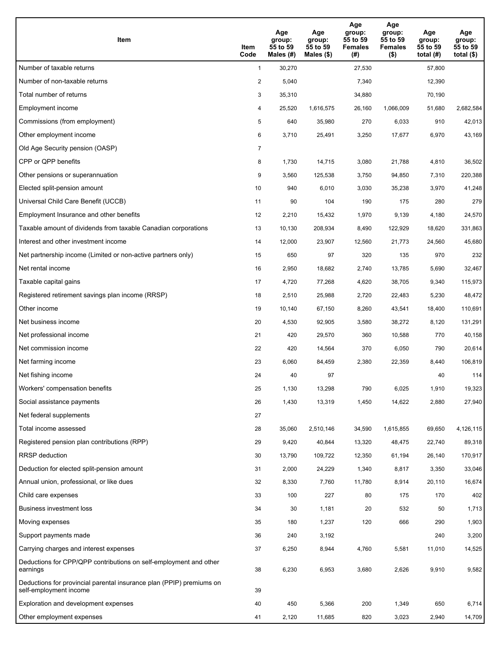| Item                                                                                           | Item<br>Code   | Age<br>group:<br>55 to 59<br>Males (#) | Age<br>group:<br>55 to 59<br>Males $(\$)$ | Age<br>group:<br>55 to 59<br><b>Females</b><br>(#) | Age<br>group:<br>55 to 59<br><b>Females</b><br>$($ \$) | Age<br>group:<br>55 to 59<br>total $(H)$ | Age<br>group:<br>55 to 59<br>total $($ |
|------------------------------------------------------------------------------------------------|----------------|----------------------------------------|-------------------------------------------|----------------------------------------------------|--------------------------------------------------------|------------------------------------------|----------------------------------------|
| Number of taxable returns                                                                      | $\mathbf{1}$   | 30,270                                 |                                           | 27,530                                             |                                                        | 57,800                                   |                                        |
| Number of non-taxable returns                                                                  | $\overline{2}$ | 5,040                                  |                                           | 7,340                                              |                                                        | 12,390                                   |                                        |
| Total number of returns                                                                        | 3              | 35,310                                 |                                           | 34,880                                             |                                                        | 70,190                                   |                                        |
| Employment income                                                                              | 4              | 25.520                                 | 1,616,575                                 | 26,160                                             | 1.066.009                                              | 51,680                                   | 2,682,584                              |
| Commissions (from employment)                                                                  | 5              | 640                                    | 35,980                                    | 270                                                | 6,033                                                  | 910                                      | 42,013                                 |
| Other employment income                                                                        | 6              | 3,710                                  | 25,491                                    | 3,250                                              | 17,677                                                 | 6,970                                    | 43,169                                 |
| Old Age Security pension (OASP)                                                                | 7              |                                        |                                           |                                                    |                                                        |                                          |                                        |
| CPP or QPP benefits                                                                            | 8              | 1,730                                  | 14,715                                    | 3,080                                              | 21,788                                                 | 4,810                                    | 36,502                                 |
| Other pensions or superannuation                                                               | 9              | 3,560                                  | 125,538                                   | 3,750                                              | 94,850                                                 | 7,310                                    | 220,388                                |
| Elected split-pension amount                                                                   | 10             | 940                                    | 6,010                                     | 3,030                                              | 35,238                                                 | 3,970                                    | 41,248                                 |
| Universal Child Care Benefit (UCCB)                                                            | 11             | 90                                     | 104                                       | 190                                                | 175                                                    | 280                                      | 279                                    |
| Employment Insurance and other benefits                                                        | 12             | 2,210                                  | 15,432                                    | 1,970                                              | 9,139                                                  | 4,180                                    | 24,570                                 |
| Taxable amount of dividends from taxable Canadian corporations                                 | 13             | 10,130                                 | 208,934                                   | 8,490                                              | 122,929                                                | 18,620                                   | 331,863                                |
| Interest and other investment income                                                           | 14             | 12,000                                 | 23,907                                    | 12,560                                             | 21,773                                                 | 24,560                                   | 45,680                                 |
| Net partnership income (Limited or non-active partners only)                                   | 15             | 650                                    | 97                                        | 320                                                | 135                                                    | 970                                      | 232                                    |
| Net rental income                                                                              | 16             | 2,950                                  | 18,682                                    | 2,740                                              | 13,785                                                 | 5,690                                    | 32,467                                 |
| Taxable capital gains                                                                          | 17             | 4,720                                  | 77,268                                    | 4,620                                              | 38,705                                                 | 9,340                                    | 115,973                                |
| Registered retirement savings plan income (RRSP)                                               | 18             | 2,510                                  | 25,988                                    | 2,720                                              | 22,483                                                 | 5,230                                    | 48,472                                 |
| Other income                                                                                   | 19             | 10,140                                 | 67,150                                    | 8,260                                              | 43,541                                                 | 18,400                                   | 110,691                                |
| Net business income                                                                            | 20             | 4,530                                  | 92,905                                    | 3,580                                              | 38,272                                                 | 8,120                                    | 131,291                                |
| Net professional income                                                                        | 21             | 420                                    | 29,570                                    | 360                                                | 10,588                                                 | 770                                      | 40,158                                 |
| Net commission income                                                                          | 22             | 420                                    | 14,564                                    | 370                                                | 6,050                                                  | 790                                      | 20,614                                 |
| Net farming income                                                                             | 23             | 6,060                                  | 84,459                                    | 2,380                                              | 22,359                                                 | 8,440                                    | 106,819                                |
| Net fishing income                                                                             | 24             | 40                                     | 97                                        |                                                    |                                                        | 40                                       | 114                                    |
| Workers' compensation benefits                                                                 | 25             | 1,130                                  | 13,298                                    | 790                                                | 6,025                                                  | 1,910                                    | 19,323                                 |
| Social assistance payments                                                                     | 26             | 1,430                                  | 13,319                                    | 1,450                                              | 14,622                                                 | 2,880                                    | 27,940                                 |
| Net federal supplements                                                                        | 27             |                                        |                                           |                                                    |                                                        |                                          |                                        |
| Total income assessed                                                                          | 28             | 35,060                                 | 2,510,146                                 | 34,590                                             | 1,615,855                                              | 69,650                                   | 4,126,115                              |
| Registered pension plan contributions (RPP)                                                    | 29             | 9,420                                  | 40,844                                    | 13,320                                             | 48,475                                                 | 22,740                                   | 89,318                                 |
| RRSP deduction                                                                                 | 30             | 13,790                                 | 109,722                                   | 12,350                                             | 61,194                                                 | 26,140                                   | 170,917                                |
| Deduction for elected split-pension amount                                                     | 31             | 2,000                                  | 24,229                                    | 1,340                                              | 8,817                                                  | 3,350                                    | 33,046                                 |
| Annual union, professional, or like dues                                                       | 32             | 8,330                                  | 7,760                                     | 11,780                                             | 8,914                                                  | 20,110                                   | 16,674                                 |
| Child care expenses                                                                            | 33             | 100                                    | 227                                       | 80                                                 | 175                                                    | 170                                      | 402                                    |
| Business investment loss                                                                       | 34             | 30                                     | 1,181                                     | 20                                                 | 532                                                    | 50                                       | 1,713                                  |
| Moving expenses                                                                                | 35             | 180                                    | 1,237                                     | 120                                                | 666                                                    | 290                                      | 1,903                                  |
| Support payments made                                                                          | 36             | 240                                    | 3,192                                     |                                                    |                                                        | 240                                      | 3,200                                  |
| Carrying charges and interest expenses                                                         | 37             | 6,250                                  | 8,944                                     | 4,760                                              | 5,581                                                  | 11,010                                   | 14,525                                 |
| Deductions for CPP/QPP contributions on self-employment and other<br>earnings                  | 38             | 6,230                                  | 6,953                                     | 3,680                                              | 2,626                                                  | 9,910                                    | 9,582                                  |
| Deductions for provincial parental insurance plan (PPIP) premiums on<br>self-employment income | 39             |                                        |                                           |                                                    |                                                        |                                          |                                        |
| Exploration and development expenses                                                           | 40             | 450                                    | 5,366                                     | 200                                                | 1,349                                                  | 650                                      | 6,714                                  |
| Other employment expenses                                                                      | 41             | 2,120                                  | 11,685                                    | 820                                                | 3,023                                                  | 2,940                                    | 14,709                                 |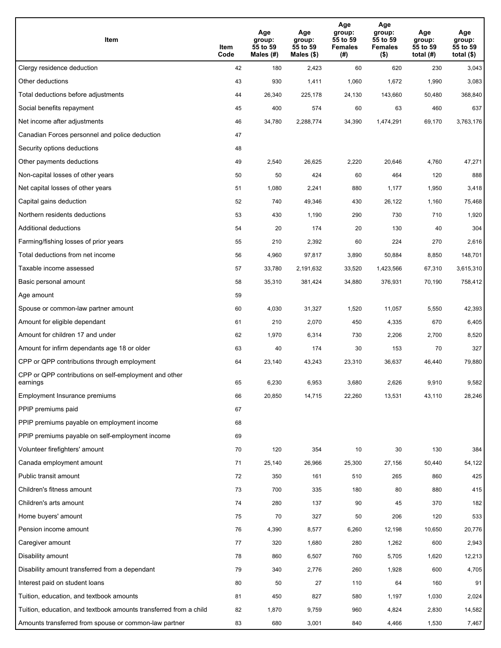| Item                                                              | Item<br>Code | Age<br>group:<br>55 to 59<br>Males (#) | Age<br>group:<br>55 to 59<br>Males (\$) | Age<br>group:<br>55 to 59<br><b>Females</b><br>(# ) | Age<br>group:<br>55 to 59<br><b>Females</b><br>$($ \$) | Age<br>group:<br>55 to 59<br>total $(H)$ | Age<br>group:<br>55 to 59<br>total $($)$ |
|-------------------------------------------------------------------|--------------|----------------------------------------|-----------------------------------------|-----------------------------------------------------|--------------------------------------------------------|------------------------------------------|------------------------------------------|
| Clergy residence deduction                                        | 42           | 180                                    | 2,423                                   | 60                                                  | 620                                                    | 230                                      | 3,043                                    |
| Other deductions                                                  | 43           | 930                                    | 1,411                                   | 1,060                                               | 1,672                                                  | 1,990                                    | 3,083                                    |
| Total deductions before adjustments                               | 44           | 26,340                                 | 225,178                                 | 24,130                                              | 143,660                                                | 50,480                                   | 368,840                                  |
| Social benefits repayment                                         | 45           | 400                                    | 574                                     | 60                                                  | 63                                                     | 460                                      | 637                                      |
| Net income after adjustments                                      | 46           | 34,780                                 | 2,288,774                               | 34,390                                              | 1,474,291                                              | 69,170                                   | 3,763,176                                |
| Canadian Forces personnel and police deduction                    | 47           |                                        |                                         |                                                     |                                                        |                                          |                                          |
| Security options deductions                                       | 48           |                                        |                                         |                                                     |                                                        |                                          |                                          |
| Other payments deductions                                         | 49           | 2,540                                  | 26,625                                  | 2,220                                               | 20,646                                                 | 4,760                                    | 47,271                                   |
| Non-capital losses of other years                                 | 50           | 50                                     | 424                                     | 60                                                  | 464                                                    | 120                                      | 888                                      |
| Net capital losses of other years                                 | 51           | 1,080                                  | 2,241                                   | 880                                                 | 1,177                                                  | 1,950                                    | 3,418                                    |
| Capital gains deduction                                           | 52           | 740                                    | 49,346                                  | 430                                                 | 26,122                                                 | 1,160                                    | 75,468                                   |
| Northern residents deductions                                     | 53           | 430                                    | 1,190                                   | 290                                                 | 730                                                    | 710                                      | 1,920                                    |
| Additional deductions                                             | 54           | 20                                     | 174                                     | 20                                                  | 130                                                    | 40                                       | 304                                      |
| Farming/fishing losses of prior years                             | 55           | 210                                    | 2,392                                   | 60                                                  | 224                                                    | 270                                      | 2,616                                    |
| Total deductions from net income                                  | 56           | 4,960                                  | 97,817                                  | 3,890                                               | 50,884                                                 | 8,850                                    | 148,701                                  |
| Taxable income assessed                                           | 57           | 33,780                                 | 2,191,632                               | 33,520                                              | 1,423,566                                              | 67,310                                   | 3,615,310                                |
| Basic personal amount                                             | 58           | 35,310                                 | 381,424                                 | 34,880                                              | 376,931                                                | 70,190                                   | 758,412                                  |
| Age amount                                                        | 59           |                                        |                                         |                                                     |                                                        |                                          |                                          |
| Spouse or common-law partner amount                               | 60           | 4,030                                  | 31,327                                  | 1,520                                               | 11,057                                                 | 5,550                                    | 42,393                                   |
| Amount for eligible dependant                                     | 61           | 210                                    | 2,070                                   | 450                                                 | 4,335                                                  | 670                                      | 6,405                                    |
| Amount for children 17 and under                                  | 62           | 1,970                                  | 6,314                                   | 730                                                 | 2,206                                                  | 2,700                                    | 8,520                                    |
| Amount for infirm dependants age 18 or older                      | 63           | 40                                     | 174                                     | 30                                                  | 153                                                    | 70                                       | 327                                      |
| CPP or QPP contributions through employment                       | 64           | 23,140                                 | 43,243                                  | 23,310                                              | 36,637                                                 | 46,440                                   | 79,880                                   |
| CPP or QPP contributions on self-employment and other<br>earnings | 65           | 6,230                                  | 6,953                                   | 3,680                                               | 2.626                                                  | 9,910                                    | 9,582                                    |
| Employment Insurance premiums                                     | 66           | 20,850                                 | 14,715                                  | 22,260                                              | 13,531                                                 | 43,110                                   | 28,246                                   |
| PPIP premiums paid                                                | 67           |                                        |                                         |                                                     |                                                        |                                          |                                          |
| PPIP premiums payable on employment income                        | 68           |                                        |                                         |                                                     |                                                        |                                          |                                          |
| PPIP premiums payable on self-employment income                   | 69           |                                        |                                         |                                                     |                                                        |                                          |                                          |
| Volunteer firefighters' amount                                    | 70           | 120                                    | 354                                     | 10                                                  | 30                                                     | 130                                      | 384                                      |
| Canada employment amount                                          | 71           | 25,140                                 | 26,966                                  | 25,300                                              | 27,156                                                 | 50,440                                   | 54,122                                   |
| Public transit amount                                             | 72           | 350                                    | 161                                     | 510                                                 | 265                                                    | 860                                      | 425                                      |
| Children's fitness amount                                         | 73           | 700                                    | 335                                     | 180                                                 | 80                                                     | 880                                      | 415                                      |
| Children's arts amount                                            | 74           | 280                                    | 137                                     | 90                                                  | 45                                                     | 370                                      | 182                                      |
| Home buyers' amount                                               | 75           | 70                                     | 327                                     | 50                                                  | 206                                                    | 120                                      | 533                                      |
| Pension income amount                                             | 76           | 4,390                                  | 8,577                                   | 6,260                                               | 12,198                                                 | 10,650                                   | 20,776                                   |
| Caregiver amount                                                  | 77           | 320                                    | 1,680                                   | 280                                                 | 1,262                                                  | 600                                      | 2,943                                    |
| Disability amount                                                 | 78           | 860                                    | 6,507                                   | 760                                                 | 5,705                                                  | 1,620                                    | 12,213                                   |
| Disability amount transferred from a dependant                    | 79           | 340                                    | 2,776                                   | 260                                                 | 1,928                                                  | 600                                      | 4,705                                    |
| Interest paid on student loans                                    | 80           | 50                                     | 27                                      | 110                                                 | 64                                                     | 160                                      | 91                                       |
| Tuition, education, and textbook amounts                          | 81           | 450                                    | 827                                     | 580                                                 | 1,197                                                  | 1,030                                    | 2,024                                    |
| Tuition, education, and textbook amounts transferred from a child | 82           | 1,870                                  | 9,759                                   | 960                                                 | 4,824                                                  | 2,830                                    | 14,582                                   |
| Amounts transferred from spouse or common-law partner             | 83           | 680                                    | 3,001                                   | 840                                                 | 4,466                                                  | 1,530                                    | 7,467                                    |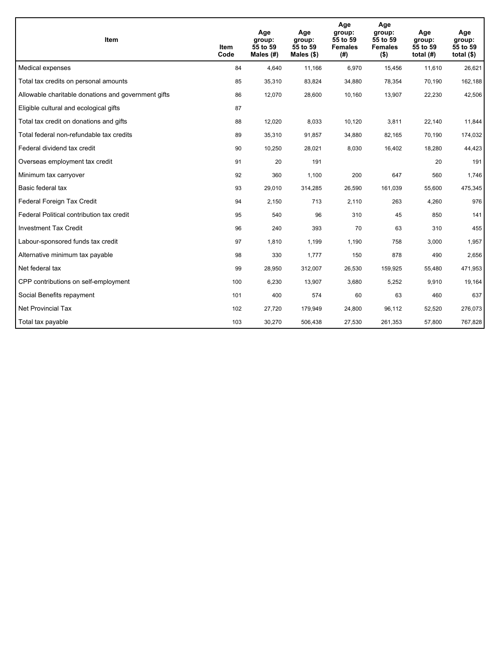| <b>Item</b>                                         | Item<br>Code | Age<br>group:<br>55 to 59<br>Males $(H)$ | Age<br>group:<br>55 to 59<br>Males $(\$)$ | Age<br>group:<br>55 to 59<br><b>Females</b><br>(# ) | Age<br>group:<br>55 to 59<br><b>Females</b><br>$($ \$) | Age<br>group:<br>55 to 59<br>total $(H)$ | Age<br>group:<br>55 to 59<br>total $($)$ |
|-----------------------------------------------------|--------------|------------------------------------------|-------------------------------------------|-----------------------------------------------------|--------------------------------------------------------|------------------------------------------|------------------------------------------|
| Medical expenses                                    | 84           | 4,640                                    | 11,166                                    | 6,970                                               | 15,456                                                 | 11,610                                   | 26,621                                   |
| Total tax credits on personal amounts               | 85           | 35,310                                   | 83,824                                    | 34,880                                              | 78,354                                                 | 70,190                                   | 162,188                                  |
| Allowable charitable donations and government gifts | 86           | 12,070                                   | 28,600                                    | 10,160                                              | 13,907                                                 | 22,230                                   | 42,506                                   |
| Eligible cultural and ecological gifts              | 87           |                                          |                                           |                                                     |                                                        |                                          |                                          |
| Total tax credit on donations and gifts             | 88           | 12,020                                   | 8,033                                     | 10,120                                              | 3,811                                                  | 22,140                                   | 11,844                                   |
| Total federal non-refundable tax credits            | 89           | 35,310                                   | 91,857                                    | 34,880                                              | 82,165                                                 | 70,190                                   | 174,032                                  |
| Federal dividend tax credit                         | 90           | 10,250                                   | 28,021                                    | 8,030                                               | 16,402                                                 | 18,280                                   | 44,423                                   |
| Overseas employment tax credit                      | 91           | 20                                       | 191                                       |                                                     |                                                        | 20                                       | 191                                      |
| Minimum tax carryover                               | 92           | 360                                      | 1,100                                     | 200                                                 | 647                                                    | 560                                      | 1,746                                    |
| Basic federal tax                                   | 93           | 29,010                                   | 314,285                                   | 26.590                                              | 161,039                                                | 55,600                                   | 475,345                                  |
| Federal Foreign Tax Credit                          | 94           | 2,150                                    | 713                                       | 2,110                                               | 263                                                    | 4,260                                    | 976                                      |
| Federal Political contribution tax credit           | 95           | 540                                      | 96                                        | 310                                                 | 45                                                     | 850                                      | 141                                      |
| <b>Investment Tax Credit</b>                        | 96           | 240                                      | 393                                       | 70                                                  | 63                                                     | 310                                      | 455                                      |
| Labour-sponsored funds tax credit                   | 97           | 1,810                                    | 1,199                                     | 1,190                                               | 758                                                    | 3,000                                    | 1,957                                    |
| Alternative minimum tax payable                     | 98           | 330                                      | 1,777                                     | 150                                                 | 878                                                    | 490                                      | 2,656                                    |
| Net federal tax                                     | 99           | 28,950                                   | 312,007                                   | 26,530                                              | 159,925                                                | 55,480                                   | 471,953                                  |
| CPP contributions on self-employment                | 100          | 6,230                                    | 13,907                                    | 3,680                                               | 5,252                                                  | 9,910                                    | 19,164                                   |
| Social Benefits repayment                           | 101          | 400                                      | 574                                       | 60                                                  | 63                                                     | 460                                      | 637                                      |
| <b>Net Provincial Tax</b>                           | 102          | 27,720                                   | 179,949                                   | 24,800                                              | 96,112                                                 | 52,520                                   | 276,073                                  |
| Total tax payable                                   | 103          | 30,270                                   | 506,438                                   | 27,530                                              | 261,353                                                | 57,800                                   | 767,828                                  |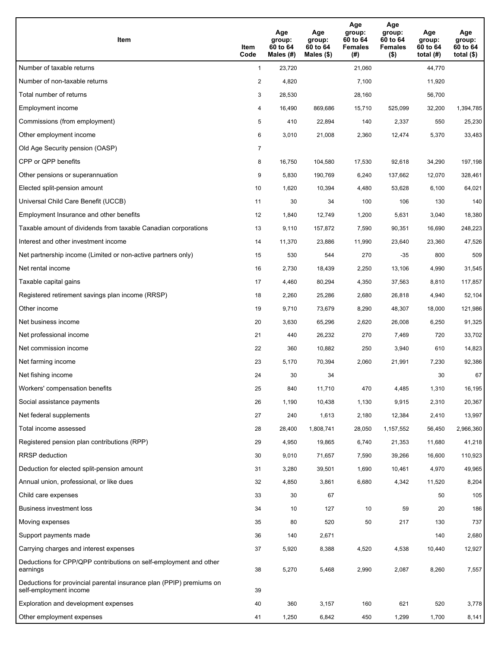| Item                                                                                           | Item<br>Code   | Age<br>group:<br>60 to 64<br>Males (#) | Age<br>group:<br>60 to 64<br>Males $(\$)$ | Age<br>group:<br>60 to 64<br><b>Females</b><br>(#) | Age<br>group:<br>60 to 64<br><b>Females</b><br>$($ \$) | Age<br>group:<br>60 to 64<br>total $(H)$ | Age<br>group:<br>60 to 64<br>total $($ |
|------------------------------------------------------------------------------------------------|----------------|----------------------------------------|-------------------------------------------|----------------------------------------------------|--------------------------------------------------------|------------------------------------------|----------------------------------------|
| Number of taxable returns                                                                      | $\mathbf{1}$   | 23,720                                 |                                           | 21,060                                             |                                                        | 44,770                                   |                                        |
| Number of non-taxable returns                                                                  | $\overline{a}$ | 4,820                                  |                                           | 7,100                                              |                                                        | 11,920                                   |                                        |
| Total number of returns                                                                        | 3              | 28,530                                 |                                           | 28,160                                             |                                                        | 56,700                                   |                                        |
| Employment income                                                                              | 4              | 16,490                                 | 869.686                                   | 15,710                                             | 525,099                                                | 32,200                                   | 1,394,785                              |
| Commissions (from employment)                                                                  | 5              | 410                                    | 22,894                                    | 140                                                | 2,337                                                  | 550                                      | 25,230                                 |
| Other employment income                                                                        | 6              | 3,010                                  | 21,008                                    | 2,360                                              | 12,474                                                 | 5,370                                    | 33,483                                 |
| Old Age Security pension (OASP)                                                                | $\overline{7}$ |                                        |                                           |                                                    |                                                        |                                          |                                        |
| CPP or QPP benefits                                                                            | 8              | 16,750                                 | 104,580                                   | 17,530                                             | 92,618                                                 | 34,290                                   | 197,198                                |
| Other pensions or superannuation                                                               | 9              | 5,830                                  | 190,769                                   | 6,240                                              | 137,662                                                | 12,070                                   | 328,461                                |
| Elected split-pension amount                                                                   | 10             | 1,620                                  | 10,394                                    | 4,480                                              | 53,628                                                 | 6,100                                    | 64,021                                 |
| Universal Child Care Benefit (UCCB)                                                            | 11             | 30                                     | 34                                        | 100                                                | 106                                                    | 130                                      | 140                                    |
| Employment Insurance and other benefits                                                        | 12             | 1,840                                  | 12,749                                    | 1,200                                              | 5,631                                                  | 3,040                                    | 18,380                                 |
| Taxable amount of dividends from taxable Canadian corporations                                 | 13             | 9,110                                  | 157,872                                   | 7,590                                              | 90,351                                                 | 16,690                                   | 248,223                                |
| Interest and other investment income                                                           | 14             | 11,370                                 | 23,886                                    | 11,990                                             | 23,640                                                 | 23,360                                   | 47,526                                 |
| Net partnership income (Limited or non-active partners only)                                   | 15             | 530                                    | 544                                       | 270                                                | $-35$                                                  | 800                                      | 509                                    |
| Net rental income                                                                              | 16             | 2,730                                  | 18,439                                    | 2,250                                              | 13,106                                                 | 4,990                                    | 31,545                                 |
| Taxable capital gains                                                                          | 17             | 4,460                                  | 80,294                                    | 4,350                                              | 37,563                                                 | 8,810                                    | 117,857                                |
| Registered retirement savings plan income (RRSP)                                               | 18             | 2,260                                  | 25,286                                    | 2,680                                              | 26,818                                                 | 4,940                                    | 52,104                                 |
| Other income                                                                                   | 19             | 9,710                                  | 73,679                                    | 8,290                                              | 48,307                                                 | 18,000                                   | 121,986                                |
| Net business income                                                                            | 20             | 3,630                                  | 65,296                                    | 2,620                                              | 26,008                                                 | 6,250                                    | 91,325                                 |
| Net professional income                                                                        | 21             | 440                                    | 26,232                                    | 270                                                | 7,469                                                  | 720                                      | 33,702                                 |
| Net commission income                                                                          | 22             | 360                                    | 10,882                                    | 250                                                | 3,940                                                  | 610                                      | 14,823                                 |
| Net farming income                                                                             | 23             | 5,170                                  | 70,394                                    | 2,060                                              | 21,991                                                 | 7,230                                    | 92,386                                 |
| Net fishing income                                                                             | 24             | 30                                     | 34                                        |                                                    |                                                        | 30                                       | 67                                     |
| Workers' compensation benefits                                                                 | 25             | 840                                    | 11,710                                    | 470                                                | 4,485                                                  | 1,310                                    | 16,195                                 |
| Social assistance payments                                                                     | 26             | 1,190                                  | 10,438                                    | 1,130                                              | 9,915                                                  | 2,310                                    | 20,367                                 |
| Net federal supplements                                                                        | 27             | 240                                    | 1,613                                     | 2,180                                              | 12,384                                                 | 2,410                                    | 13,997                                 |
| Total income assessed                                                                          | 28             | 28,400                                 | 1,808,741                                 | 28,050                                             | 1,157,552                                              | 56,450                                   | 2,966,360                              |
| Registered pension plan contributions (RPP)                                                    | 29             | 4,950                                  | 19,865                                    | 6,740                                              | 21,353                                                 | 11,680                                   | 41,218                                 |
| RRSP deduction                                                                                 | 30             | 9,010                                  | 71,657                                    | 7,590                                              | 39,266                                                 | 16,600                                   | 110,923                                |
| Deduction for elected split-pension amount                                                     | 31             | 3,280                                  | 39,501                                    | 1,690                                              | 10,461                                                 | 4,970                                    | 49,965                                 |
| Annual union, professional, or like dues                                                       | 32             | 4,850                                  | 3,861                                     | 6,680                                              | 4,342                                                  | 11,520                                   | 8,204                                  |
| Child care expenses                                                                            | 33             | 30                                     | 67                                        |                                                    |                                                        | 50                                       | 105                                    |
| Business investment loss                                                                       | 34             | 10                                     | 127                                       | 10                                                 | 59                                                     | 20                                       | 186                                    |
| Moving expenses                                                                                | 35             | 80                                     | 520                                       | 50                                                 | 217                                                    | 130                                      | 737                                    |
| Support payments made                                                                          | 36             | 140                                    | 2,671                                     |                                                    |                                                        | 140                                      | 2,680                                  |
| Carrying charges and interest expenses                                                         | 37             | 5,920                                  | 8,388                                     | 4,520                                              | 4,538                                                  | 10,440                                   | 12,927                                 |
| Deductions for CPP/QPP contributions on self-employment and other<br>earnings                  | 38             | 5,270                                  | 5,468                                     | 2,990                                              | 2,087                                                  | 8,260                                    | 7,557                                  |
| Deductions for provincial parental insurance plan (PPIP) premiums on<br>self-employment income | 39             |                                        |                                           |                                                    |                                                        |                                          |                                        |
| Exploration and development expenses                                                           | 40             | 360                                    | 3,157                                     | 160                                                | 621                                                    | 520                                      | 3,778                                  |
| Other employment expenses                                                                      | 41             | 1,250                                  | 6,842                                     | 450                                                | 1,299                                                  | 1,700                                    | 8,141                                  |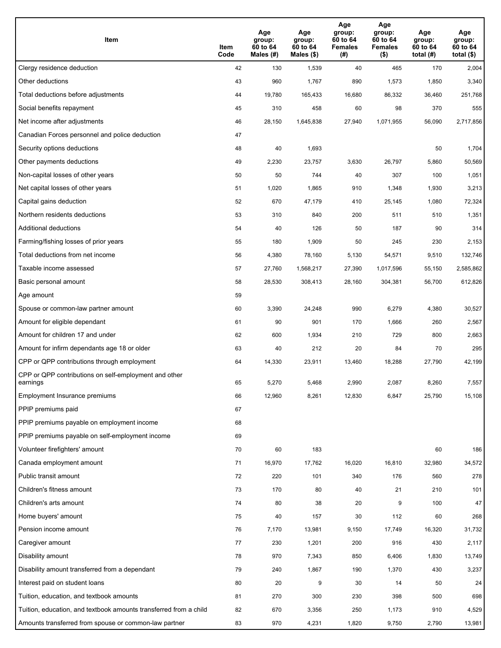| Item                                                              | Item<br>Code | Age<br>group:<br>60 to 64<br>Males (#) | Age<br>group:<br>60 to 64<br>Males (\$) | Age<br>group:<br>60 to 64<br><b>Females</b><br>(# ) | Age<br>group:<br>60 to 64<br><b>Females</b><br>$($ \$) | Age<br>group:<br>60 to 64<br>total $(H)$ | Age<br>group:<br>60 to 64<br>total $($)$ |
|-------------------------------------------------------------------|--------------|----------------------------------------|-----------------------------------------|-----------------------------------------------------|--------------------------------------------------------|------------------------------------------|------------------------------------------|
| Clergy residence deduction                                        | 42           | 130                                    | 1,539                                   | 40                                                  | 465                                                    | 170                                      | 2,004                                    |
| Other deductions                                                  | 43           | 960                                    | 1,767                                   | 890                                                 | 1,573                                                  | 1,850                                    | 3,340                                    |
| Total deductions before adjustments                               | 44           | 19,780                                 | 165,433                                 | 16,680                                              | 86,332                                                 | 36,460                                   | 251,768                                  |
| Social benefits repayment                                         | 45           | 310                                    | 458                                     | 60                                                  | 98                                                     | 370                                      | 555                                      |
| Net income after adjustments                                      | 46           | 28,150                                 | 1,645,838                               | 27,940                                              | 1,071,955                                              | 56,090                                   | 2,717,856                                |
| Canadian Forces personnel and police deduction                    | 47           |                                        |                                         |                                                     |                                                        |                                          |                                          |
| Security options deductions                                       | 48           | 40                                     | 1,693                                   |                                                     |                                                        | 50                                       | 1,704                                    |
| Other payments deductions                                         | 49           | 2,230                                  | 23,757                                  | 3,630                                               | 26,797                                                 | 5,860                                    | 50,569                                   |
| Non-capital losses of other years                                 | 50           | 50                                     | 744                                     | 40                                                  | 307                                                    | 100                                      | 1,051                                    |
| Net capital losses of other years                                 | 51           | 1,020                                  | 1,865                                   | 910                                                 | 1,348                                                  | 1,930                                    | 3,213                                    |
| Capital gains deduction                                           | 52           | 670                                    | 47,179                                  | 410                                                 | 25,145                                                 | 1,080                                    | 72,324                                   |
| Northern residents deductions                                     | 53           | 310                                    | 840                                     | 200                                                 | 511                                                    | 510                                      | 1,351                                    |
| Additional deductions                                             | 54           | 40                                     | 126                                     | 50                                                  | 187                                                    | 90                                       | 314                                      |
| Farming/fishing losses of prior years                             | 55           | 180                                    | 1,909                                   | 50                                                  | 245                                                    | 230                                      | 2,153                                    |
| Total deductions from net income                                  | 56           | 4,380                                  | 78,160                                  | 5,130                                               | 54,571                                                 | 9,510                                    | 132,746                                  |
| Taxable income assessed                                           | 57           | 27,760                                 | 1,568,217                               | 27,390                                              | 1,017,596                                              | 55,150                                   | 2,585,862                                |
| Basic personal amount                                             | 58           | 28,530                                 | 308,413                                 | 28,160                                              | 304,381                                                | 56,700                                   | 612,826                                  |
| Age amount                                                        | 59           |                                        |                                         |                                                     |                                                        |                                          |                                          |
| Spouse or common-law partner amount                               | 60           | 3,390                                  | 24,248                                  | 990                                                 | 6,279                                                  | 4,380                                    | 30,527                                   |
| Amount for eligible dependant                                     | 61           | 90                                     | 901                                     | 170                                                 | 1,666                                                  | 260                                      | 2,567                                    |
| Amount for children 17 and under                                  | 62           | 600                                    | 1,934                                   | 210                                                 | 729                                                    | 800                                      | 2,663                                    |
| Amount for infirm dependants age 18 or older                      | 63           | 40                                     | 212                                     | 20                                                  | 84                                                     | 70                                       | 295                                      |
| CPP or QPP contributions through employment                       | 64           | 14,330                                 | 23,911                                  | 13,460                                              | 18,288                                                 | 27,790                                   | 42,199                                   |
| CPP or QPP contributions on self-employment and other<br>earnings | 65           | 5,270                                  | 5,468                                   | 2,990                                               | 2.087                                                  | 8,260                                    | 7,557                                    |
| Employment Insurance premiums                                     | 66           | 12,960                                 | 8,261                                   | 12,830                                              | 6,847                                                  | 25,790                                   | 15,108                                   |
| PPIP premiums paid                                                | 67           |                                        |                                         |                                                     |                                                        |                                          |                                          |
| PPIP premiums payable on employment income                        | 68           |                                        |                                         |                                                     |                                                        |                                          |                                          |
| PPIP premiums payable on self-employment income                   | 69           |                                        |                                         |                                                     |                                                        |                                          |                                          |
| Volunteer firefighters' amount                                    | 70           | 60                                     | 183                                     |                                                     |                                                        | 60                                       | 186                                      |
| Canada employment amount                                          | 71           | 16,970                                 | 17,762                                  | 16,020                                              | 16,810                                                 | 32,980                                   | 34,572                                   |
| Public transit amount                                             | 72           | 220                                    | 101                                     | 340                                                 | 176                                                    | 560                                      | 278                                      |
| Children's fitness amount                                         | 73           | 170                                    | 80                                      | 40                                                  | 21                                                     | 210                                      | 101                                      |
| Children's arts amount                                            | 74           | 80                                     | 38                                      | 20                                                  | 9                                                      | 100                                      | 47                                       |
| Home buyers' amount                                               | 75           | 40                                     | 157                                     | 30                                                  | 112                                                    | 60                                       | 268                                      |
| Pension income amount                                             | 76           | 7,170                                  | 13,981                                  | 9,150                                               | 17,749                                                 | 16,320                                   | 31,732                                   |
| Caregiver amount                                                  | 77           | 230                                    | 1,201                                   | 200                                                 | 916                                                    | 430                                      | 2,117                                    |
| Disability amount                                                 | 78           | 970                                    | 7,343                                   | 850                                                 | 6,406                                                  | 1,830                                    | 13,749                                   |
| Disability amount transferred from a dependant                    | 79           | 240                                    | 1,867                                   | 190                                                 | 1,370                                                  | 430                                      | 3,237                                    |
| Interest paid on student loans                                    | 80           | 20                                     | 9                                       | 30                                                  | 14                                                     | 50                                       | 24                                       |
| Tuition, education, and textbook amounts                          | 81           | 270                                    | 300                                     | 230                                                 | 398                                                    | 500                                      | 698                                      |
| Tuition, education, and textbook amounts transferred from a child | 82           | 670                                    | 3,356                                   | 250                                                 | 1,173                                                  | 910                                      | 4,529                                    |
| Amounts transferred from spouse or common-law partner             | 83           | 970                                    | 4,231                                   | 1,820                                               | 9,750                                                  | 2,790                                    | 13,981                                   |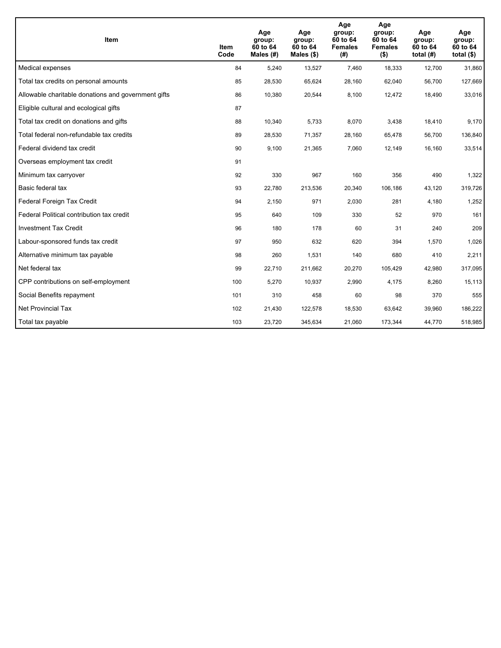| <b>Item</b>                                         | Item<br>Code | Age<br>group:<br>60 to 64<br>Males $(H)$ | Age<br>group:<br>60 to 64<br>Males $(\$)$ | Age<br>group:<br>60 to 64<br><b>Females</b><br>(# ) | Age<br>group:<br>60 to 64<br><b>Females</b><br>$($ \$) | Age<br>group:<br>60 to 64<br>total $(H)$ | Age<br>group:<br>60 to 64<br>total $($)$ |
|-----------------------------------------------------|--------------|------------------------------------------|-------------------------------------------|-----------------------------------------------------|--------------------------------------------------------|------------------------------------------|------------------------------------------|
| Medical expenses                                    | 84           | 5,240                                    | 13,527                                    | 7,460                                               | 18,333                                                 | 12,700                                   | 31,860                                   |
| Total tax credits on personal amounts               | 85           | 28,530                                   | 65,624                                    | 28,160                                              | 62,040                                                 | 56,700                                   | 127,669                                  |
| Allowable charitable donations and government gifts | 86           | 10,380                                   | 20,544                                    | 8,100                                               | 12,472                                                 | 18,490                                   | 33,016                                   |
| Eligible cultural and ecological gifts              | 87           |                                          |                                           |                                                     |                                                        |                                          |                                          |
| Total tax credit on donations and gifts             | 88           | 10,340                                   | 5,733                                     | 8,070                                               | 3,438                                                  | 18,410                                   | 9,170                                    |
| Total federal non-refundable tax credits            | 89           | 28,530                                   | 71,357                                    | 28,160                                              | 65,478                                                 | 56,700                                   | 136,840                                  |
| Federal dividend tax credit                         | 90           | 9,100                                    | 21,365                                    | 7,060                                               | 12,149                                                 | 16,160                                   | 33,514                                   |
| Overseas employment tax credit                      | 91           |                                          |                                           |                                                     |                                                        |                                          |                                          |
| Minimum tax carryover                               | 92           | 330                                      | 967                                       | 160                                                 | 356                                                    | 490                                      | 1,322                                    |
| Basic federal tax                                   | 93           | 22,780                                   | 213,536                                   | 20,340                                              | 106,186                                                | 43,120                                   | 319,726                                  |
| Federal Foreign Tax Credit                          | 94           | 2,150                                    | 971                                       | 2,030                                               | 281                                                    | 4,180                                    | 1,252                                    |
| Federal Political contribution tax credit           | 95           | 640                                      | 109                                       | 330                                                 | 52                                                     | 970                                      | 161                                      |
| <b>Investment Tax Credit</b>                        | 96           | 180                                      | 178                                       | 60                                                  | 31                                                     | 240                                      | 209                                      |
| Labour-sponsored funds tax credit                   | 97           | 950                                      | 632                                       | 620                                                 | 394                                                    | 1,570                                    | 1,026                                    |
| Alternative minimum tax payable                     | 98           | 260                                      | 1,531                                     | 140                                                 | 680                                                    | 410                                      | 2,211                                    |
| Net federal tax                                     | 99           | 22,710                                   | 211,662                                   | 20,270                                              | 105,429                                                | 42,980                                   | 317,095                                  |
| CPP contributions on self-employment                | 100          | 5,270                                    | 10,937                                    | 2,990                                               | 4,175                                                  | 8,260                                    | 15, 113                                  |
| Social Benefits repayment                           | 101          | 310                                      | 458                                       | 60                                                  | 98                                                     | 370                                      | 555                                      |
| <b>Net Provincial Tax</b>                           | 102          | 21,430                                   | 122,578                                   | 18,530                                              | 63,642                                                 | 39,960                                   | 186,222                                  |
| Total tax payable                                   | 103          | 23,720                                   | 345,634                                   | 21,060                                              | 173,344                                                | 44,770                                   | 518,985                                  |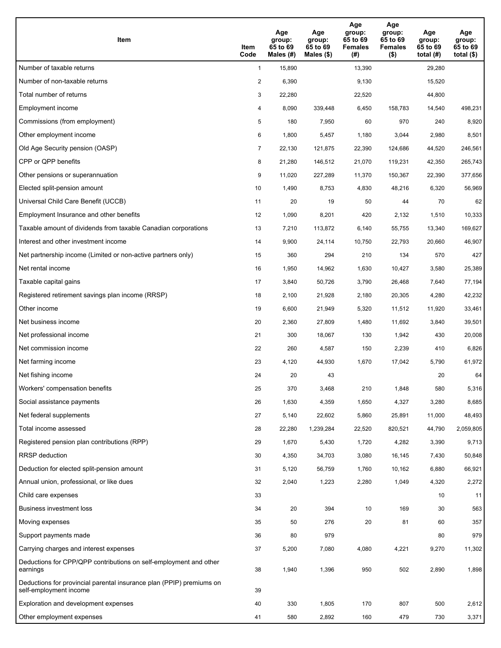| Item                                                                                           | Item<br>Code   | Age<br>group:<br>65 to 69<br>Males (#) | Age<br>group:<br>65 to 69<br>Males $(\$)$ | Age<br>group:<br>65 to 69<br><b>Females</b><br>(#) | Age<br>group:<br>65 to 69<br><b>Females</b><br>$($ \$) | Age<br>group:<br>65 to 69<br>total $(H)$ | Age<br>group:<br>65 to 69<br>total $($)$ |
|------------------------------------------------------------------------------------------------|----------------|----------------------------------------|-------------------------------------------|----------------------------------------------------|--------------------------------------------------------|------------------------------------------|------------------------------------------|
| Number of taxable returns                                                                      | $\mathbf{1}$   | 15,890                                 |                                           | 13,390                                             |                                                        | 29,280                                   |                                          |
| Number of non-taxable returns                                                                  | $\overline{2}$ | 6,390                                  |                                           | 9,130                                              |                                                        | 15,520                                   |                                          |
| Total number of returns                                                                        | 3              | 22,280                                 |                                           | 22,520                                             |                                                        | 44,800                                   |                                          |
| Employment income                                                                              | 4              | 8,090                                  | 339,448                                   | 6,450                                              | 158,783                                                | 14,540                                   | 498,231                                  |
| Commissions (from employment)                                                                  | 5              | 180                                    | 7,950                                     | 60                                                 | 970                                                    | 240                                      | 8,920                                    |
| Other employment income                                                                        | 6              | 1,800                                  | 5,457                                     | 1,180                                              | 3,044                                                  | 2,980                                    | 8,501                                    |
| Old Age Security pension (OASP)                                                                | 7              | 22,130                                 | 121,875                                   | 22,390                                             | 124,686                                                | 44,520                                   | 246,561                                  |
| CPP or QPP benefits                                                                            | 8              | 21,280                                 | 146,512                                   | 21,070                                             | 119,231                                                | 42,350                                   | 265,743                                  |
| Other pensions or superannuation                                                               | 9              | 11,020                                 | 227,289                                   | 11,370                                             | 150,367                                                | 22,390                                   | 377,656                                  |
| Elected split-pension amount                                                                   | 10             | 1,490                                  | 8,753                                     | 4,830                                              | 48,216                                                 | 6,320                                    | 56,969                                   |
| Universal Child Care Benefit (UCCB)                                                            | 11             | 20                                     | 19                                        | 50                                                 | 44                                                     | 70                                       | 62                                       |
| Employment Insurance and other benefits                                                        | 12             | 1,090                                  | 8,201                                     | 420                                                | 2,132                                                  | 1,510                                    | 10,333                                   |
| Taxable amount of dividends from taxable Canadian corporations                                 | 13             | 7,210                                  | 113,872                                   | 6,140                                              | 55,755                                                 | 13,340                                   | 169,627                                  |
| Interest and other investment income                                                           | 14             | 9,900                                  | 24,114                                    | 10,750                                             | 22,793                                                 | 20,660                                   | 46,907                                   |
| Net partnership income (Limited or non-active partners only)                                   | 15             | 360                                    | 294                                       | 210                                                | 134                                                    | 570                                      | 427                                      |
| Net rental income                                                                              | 16             | 1,950                                  | 14,962                                    | 1,630                                              | 10,427                                                 | 3,580                                    | 25,389                                   |
| Taxable capital gains                                                                          | 17             | 3,840                                  | 50,726                                    | 3,790                                              | 26,468                                                 | 7,640                                    | 77,194                                   |
| Registered retirement savings plan income (RRSP)                                               | 18             | 2,100                                  | 21,928                                    | 2,180                                              | 20,305                                                 | 4,280                                    | 42,232                                   |
| Other income                                                                                   | 19             | 6,600                                  | 21,949                                    | 5,320                                              | 11,512                                                 | 11,920                                   | 33,461                                   |
| Net business income                                                                            | 20             | 2,360                                  | 27,809                                    | 1,480                                              | 11,692                                                 | 3,840                                    | 39,501                                   |
| Net professional income                                                                        | 21             | 300                                    | 18,067                                    | 130                                                | 1,942                                                  | 430                                      | 20,008                                   |
| Net commission income                                                                          | 22             | 260                                    | 4,587                                     | 150                                                | 2,239                                                  | 410                                      | 6,826                                    |
| Net farming income                                                                             | 23             | 4,120                                  | 44,930                                    | 1,670                                              | 17,042                                                 | 5,790                                    | 61,972                                   |
| Net fishing income                                                                             | 24             | 20                                     | 43                                        |                                                    |                                                        | 20                                       | 64                                       |
| Workers' compensation benefits                                                                 | 25             | 370                                    | 3,468                                     | 210                                                | 1,848                                                  | 580                                      | 5,316                                    |
| Social assistance payments                                                                     | 26             | 1,630                                  | 4,359                                     | 1,650                                              | 4,327                                                  | 3,280                                    | 8,685                                    |
| Net federal supplements                                                                        | 27             | 5,140                                  | 22,602                                    | 5,860                                              | 25,891                                                 | 11,000                                   | 48,493                                   |
| Total income assessed                                                                          | 28             | 22,280                                 | 1,239,284                                 | 22,520                                             | 820,521                                                | 44,790                                   | 2,059,805                                |
| Registered pension plan contributions (RPP)                                                    | 29             | 1,670                                  | 5,430                                     | 1,720                                              | 4,282                                                  | 3,390                                    | 9,713                                    |
| RRSP deduction                                                                                 | 30             | 4,350                                  | 34,703                                    | 3,080                                              | 16,145                                                 | 7,430                                    | 50,848                                   |
| Deduction for elected split-pension amount                                                     | 31             | 5,120                                  | 56,759                                    | 1,760                                              | 10,162                                                 | 6,880                                    | 66,921                                   |
| Annual union, professional, or like dues                                                       | 32             | 2,040                                  | 1,223                                     | 2,280                                              | 1,049                                                  | 4,320                                    | 2,272                                    |
| Child care expenses                                                                            | 33             |                                        |                                           |                                                    |                                                        | 10                                       | 11                                       |
| Business investment loss                                                                       | 34             | 20                                     | 394                                       | 10                                                 | 169                                                    | 30                                       | 563                                      |
| Moving expenses                                                                                | 35             | 50                                     | 276                                       | 20                                                 | 81                                                     | 60                                       | 357                                      |
| Support payments made                                                                          | 36             | 80                                     | 979                                       |                                                    |                                                        | 80                                       | 979                                      |
| Carrying charges and interest expenses                                                         | 37             | 5,200                                  | 7,080                                     | 4,080                                              | 4,221                                                  | 9,270                                    | 11,302                                   |
| Deductions for CPP/QPP contributions on self-employment and other<br>earnings                  | 38             | 1,940                                  | 1,396                                     | 950                                                | 502                                                    | 2,890                                    | 1,898                                    |
| Deductions for provincial parental insurance plan (PPIP) premiums on<br>self-employment income | 39             |                                        |                                           |                                                    |                                                        |                                          |                                          |
| Exploration and development expenses                                                           | 40             | 330                                    | 1,805                                     | 170                                                | 807                                                    | 500                                      | 2,612                                    |
| Other employment expenses                                                                      | 41             | 580                                    | 2,892                                     | 160                                                | 479                                                    | 730                                      | 3,371                                    |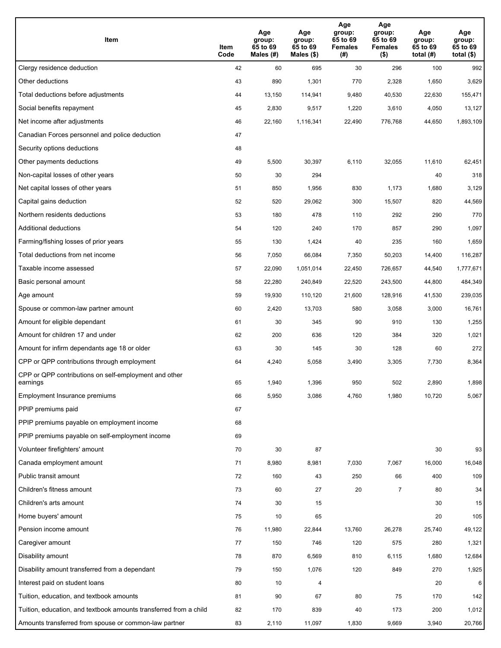| Item                                                              | Item<br>Code | Age<br>group:<br>65 to 69<br>Males (#) | Age<br>group:<br>65 to 69<br>Males (\$) | Age<br>group:<br>65 to 69<br><b>Females</b><br>(#) | Age<br>group:<br>65 to 69<br><b>Females</b><br>$($ \$) | Age<br>group:<br>65 to 69<br>total $(H)$ | Age<br>group:<br>65 to 69<br>total (\$) |
|-------------------------------------------------------------------|--------------|----------------------------------------|-----------------------------------------|----------------------------------------------------|--------------------------------------------------------|------------------------------------------|-----------------------------------------|
| Clergy residence deduction                                        | 42           | 60                                     | 695                                     | 30                                                 | 296                                                    | 100                                      | 992                                     |
| Other deductions                                                  | 43           | 890                                    | 1,301                                   | 770                                                | 2,328                                                  | 1,650                                    | 3,629                                   |
| Total deductions before adjustments                               | 44           | 13,150                                 | 114,941                                 | 9,480                                              | 40,530                                                 | 22,630                                   | 155,471                                 |
| Social benefits repayment                                         | 45           | 2,830                                  | 9,517                                   | 1,220                                              | 3,610                                                  | 4,050                                    | 13,127                                  |
| Net income after adjustments                                      | 46           | 22,160                                 | 1,116,341                               | 22,490                                             | 776,768                                                | 44,650                                   | 1,893,109                               |
| Canadian Forces personnel and police deduction                    | 47           |                                        |                                         |                                                    |                                                        |                                          |                                         |
| Security options deductions                                       | 48           |                                        |                                         |                                                    |                                                        |                                          |                                         |
| Other payments deductions                                         | 49           | 5,500                                  | 30,397                                  | 6,110                                              | 32,055                                                 | 11,610                                   | 62,451                                  |
| Non-capital losses of other years                                 | 50           | 30                                     | 294                                     |                                                    |                                                        | 40                                       | 318                                     |
| Net capital losses of other years                                 | 51           | 850                                    | 1,956                                   | 830                                                | 1,173                                                  | 1,680                                    | 3,129                                   |
| Capital gains deduction                                           | 52           | 520                                    | 29,062                                  | 300                                                | 15,507                                                 | 820                                      | 44,569                                  |
| Northern residents deductions                                     | 53           | 180                                    | 478                                     | 110                                                | 292                                                    | 290                                      | 770                                     |
| Additional deductions                                             | 54           | 120                                    | 240                                     | 170                                                | 857                                                    | 290                                      | 1,097                                   |
| Farming/fishing losses of prior years                             | 55           | 130                                    | 1,424                                   | 40                                                 | 235                                                    | 160                                      | 1,659                                   |
| Total deductions from net income                                  | 56           | 7,050                                  | 66,084                                  | 7,350                                              | 50,203                                                 | 14,400                                   | 116,287                                 |
| Taxable income assessed                                           | 57           | 22,090                                 | 1,051,014                               | 22,450                                             | 726,657                                                | 44,540                                   | 1,777,671                               |
| Basic personal amount                                             | 58           | 22,280                                 | 240,849                                 | 22,520                                             | 243,500                                                | 44,800                                   | 484,349                                 |
| Age amount                                                        | 59           | 19,930                                 | 110,120                                 | 21,600                                             | 128,916                                                | 41,530                                   | 239,035                                 |
| Spouse or common-law partner amount                               | 60           | 2,420                                  | 13,703                                  | 580                                                | 3,058                                                  | 3,000                                    | 16,761                                  |
| Amount for eligible dependant                                     | 61           | 30                                     | 345                                     | 90                                                 | 910                                                    | 130                                      | 1,255                                   |
| Amount for children 17 and under                                  | 62           | 200                                    | 636                                     | 120                                                | 384                                                    | 320                                      | 1,021                                   |
| Amount for infirm dependants age 18 or older                      | 63           | 30                                     | 145                                     | 30                                                 | 128                                                    | 60                                       | 272                                     |
| CPP or QPP contributions through employment                       | 64           | 4,240                                  | 5,058                                   | 3,490                                              | 3,305                                                  | 7,730                                    | 8,364                                   |
| CPP or QPP contributions on self-employment and other<br>earnings | 65           | 1,940                                  | 1,396                                   | 950                                                | 502                                                    | 2,890                                    | 1,898                                   |
| Employment Insurance premiums                                     | 66           | 5,950                                  | 3,086                                   | 4,760                                              | 1,980                                                  | 10,720                                   | 5,067                                   |
| PPIP premiums paid                                                | 67           |                                        |                                         |                                                    |                                                        |                                          |                                         |
| PPIP premiums payable on employment income                        | 68           |                                        |                                         |                                                    |                                                        |                                          |                                         |
| PPIP premiums payable on self-employment income                   | 69           |                                        |                                         |                                                    |                                                        |                                          |                                         |
| Volunteer firefighters' amount                                    | 70           | 30                                     | 87                                      |                                                    |                                                        | 30                                       | 93                                      |
| Canada employment amount                                          | 71           | 8,980                                  | 8,981                                   | 7,030                                              | 7,067                                                  | 16,000                                   | 16,048                                  |
| Public transit amount                                             | 72           | 160                                    | 43                                      | 250                                                | 66                                                     | 400                                      | 109                                     |
| Children's fitness amount                                         | 73           | 60                                     | 27                                      | 20                                                 | $\overline{7}$                                         | 80                                       | 34                                      |
| Children's arts amount                                            | 74           | 30                                     | 15                                      |                                                    |                                                        | 30                                       | 15                                      |
| Home buyers' amount                                               | 75           | 10                                     | 65                                      |                                                    |                                                        | 20                                       | 105                                     |
| Pension income amount                                             | 76           | 11,980                                 | 22,844                                  | 13,760                                             | 26,278                                                 | 25,740                                   | 49,122                                  |
| Caregiver amount                                                  | 77           | 150                                    | 746                                     | 120                                                | 575                                                    | 280                                      | 1,321                                   |
| Disability amount                                                 | 78           | 870                                    | 6,569                                   | 810                                                | 6,115                                                  | 1,680                                    | 12,684                                  |
| Disability amount transferred from a dependant                    | 79           | 150                                    | 1,076                                   | 120                                                | 849                                                    | 270                                      | 1,925                                   |
| Interest paid on student loans                                    | 80           | 10                                     | 4                                       |                                                    |                                                        | 20                                       | 6                                       |
| Tuition, education, and textbook amounts                          | 81           | 90                                     | 67                                      | 80                                                 | 75                                                     | 170                                      | 142                                     |
| Tuition, education, and textbook amounts transferred from a child | 82           | 170                                    | 839                                     | 40                                                 | 173                                                    | 200                                      | 1,012                                   |
| Amounts transferred from spouse or common-law partner             | 83           | 2,110                                  | 11,097                                  | 1,830                                              | 9,669                                                  | 3,940                                    | 20,766                                  |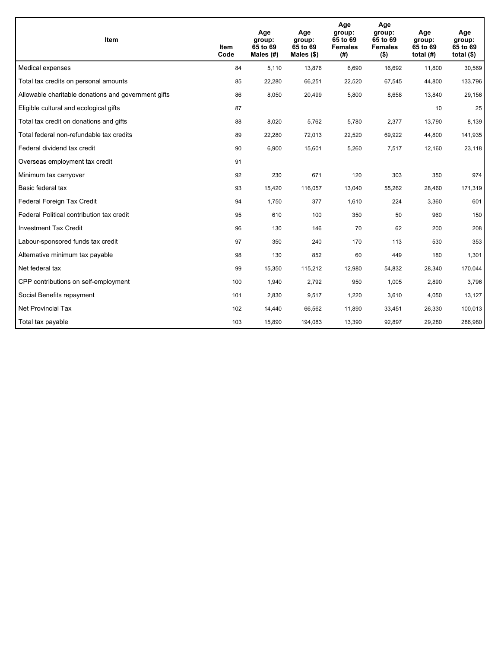| <b>Item</b>                                         | <b>Item</b><br>Code | Age<br>group:<br>65 to 69<br>Males (#) | Age<br>group:<br>65 to 69<br>Males $(\$)$ | Age<br>group:<br>65 to 69<br><b>Females</b><br>(# ) | Age<br>group:<br>65 to 69<br><b>Females</b><br>$($ \$) | Age<br>group:<br>65 to 69<br>total $(H)$ | Age<br>group:<br>65 to 69<br>total $($)$ |
|-----------------------------------------------------|---------------------|----------------------------------------|-------------------------------------------|-----------------------------------------------------|--------------------------------------------------------|------------------------------------------|------------------------------------------|
| Medical expenses                                    | 84                  | 5.110                                  | 13,876                                    | 6,690                                               | 16,692                                                 | 11,800                                   | 30,569                                   |
| Total tax credits on personal amounts               | 85                  | 22,280                                 | 66,251                                    | 22,520                                              | 67,545                                                 | 44,800                                   | 133,796                                  |
| Allowable charitable donations and government gifts | 86                  | 8,050                                  | 20,499                                    | 5,800                                               | 8,658                                                  | 13,840                                   | 29,156                                   |
| Eligible cultural and ecological gifts              | 87                  |                                        |                                           |                                                     |                                                        | 10                                       | 25                                       |
| Total tax credit on donations and gifts             | 88                  | 8,020                                  | 5,762                                     | 5,780                                               | 2,377                                                  | 13,790                                   | 8,139                                    |
| Total federal non-refundable tax credits            | 89                  | 22,280                                 | 72,013                                    | 22,520                                              | 69,922                                                 | 44,800                                   | 141,935                                  |
| Federal dividend tax credit                         | 90                  | 6,900                                  | 15,601                                    | 5,260                                               | 7,517                                                  | 12,160                                   | 23,118                                   |
| Overseas employment tax credit                      | 91                  |                                        |                                           |                                                     |                                                        |                                          |                                          |
| Minimum tax carryover                               | 92                  | 230                                    | 671                                       | 120                                                 | 303                                                    | 350                                      | 974                                      |
| Basic federal tax                                   | 93                  | 15,420                                 | 116,057                                   | 13,040                                              | 55,262                                                 | 28,460                                   | 171,319                                  |
| Federal Foreign Tax Credit                          | 94                  | 1,750                                  | 377                                       | 1,610                                               | 224                                                    | 3,360                                    | 601                                      |
| Federal Political contribution tax credit           | 95                  | 610                                    | 100                                       | 350                                                 | 50                                                     | 960                                      | 150                                      |
| <b>Investment Tax Credit</b>                        | 96                  | 130                                    | 146                                       | 70                                                  | 62                                                     | 200                                      | 208                                      |
| Labour-sponsored funds tax credit                   | 97                  | 350                                    | 240                                       | 170                                                 | 113                                                    | 530                                      | 353                                      |
| Alternative minimum tax payable                     | 98                  | 130                                    | 852                                       | 60                                                  | 449                                                    | 180                                      | 1,301                                    |
| Net federal tax                                     | 99                  | 15,350                                 | 115,212                                   | 12,980                                              | 54,832                                                 | 28,340                                   | 170,044                                  |
| CPP contributions on self-employment                | 100                 | 1,940                                  | 2,792                                     | 950                                                 | 1,005                                                  | 2,890                                    | 3,796                                    |
| Social Benefits repayment                           | 101                 | 2,830                                  | 9,517                                     | 1,220                                               | 3,610                                                  | 4,050                                    | 13,127                                   |
| <b>Net Provincial Tax</b>                           | 102                 | 14,440                                 | 66,562                                    | 11,890                                              | 33,451                                                 | 26,330                                   | 100,013                                  |
| Total tax payable                                   | 103                 | 15,890                                 | 194,083                                   | 13,390                                              | 92,897                                                 | 29,280                                   | 286,980                                  |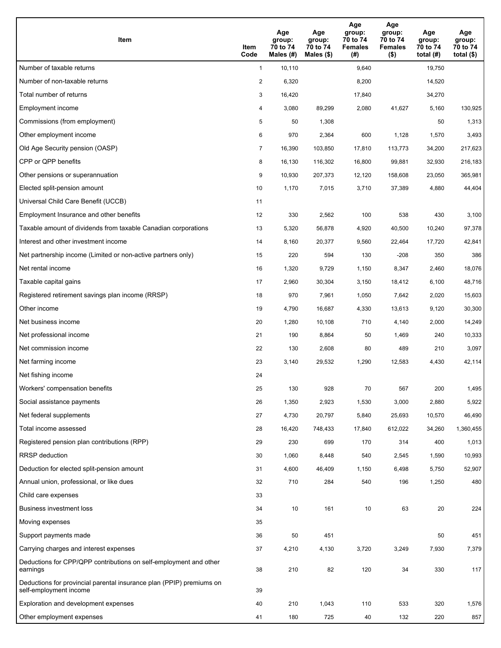| Item                                                                                           | Item<br>Code   | Age<br>group:<br>70 to 74<br>Males $(H)$ | Age<br>group:<br>70 to 74<br>Males (\$) | Age<br>group:<br>70 to 74<br><b>Females</b><br>(# ) | Age<br>group:<br>70 to 74<br><b>Females</b><br>$($ \$) | Age<br>group:<br>70 to 74<br>total $(H)$ | Age<br>group:<br>70 to 74<br>total $($ |
|------------------------------------------------------------------------------------------------|----------------|------------------------------------------|-----------------------------------------|-----------------------------------------------------|--------------------------------------------------------|------------------------------------------|----------------------------------------|
| Number of taxable returns                                                                      | $\mathbf{1}$   | 10,110                                   |                                         | 9,640                                               |                                                        | 19,750                                   |                                        |
| Number of non-taxable returns                                                                  | $\overline{2}$ | 6,320                                    |                                         | 8,200                                               |                                                        | 14,520                                   |                                        |
| Total number of returns                                                                        | 3              | 16,420                                   |                                         | 17,840                                              |                                                        | 34,270                                   |                                        |
| Employment income                                                                              | 4              | 3,080                                    | 89,299                                  | 2,080                                               | 41,627                                                 | 5,160                                    | 130,925                                |
| Commissions (from employment)                                                                  | 5              | 50                                       | 1,308                                   |                                                     |                                                        | 50                                       | 1,313                                  |
| Other employment income                                                                        | 6              | 970                                      | 2,364                                   | 600                                                 | 1,128                                                  | 1,570                                    | 3,493                                  |
| Old Age Security pension (OASP)                                                                | $\overline{7}$ | 16,390                                   | 103,850                                 | 17,810                                              | 113,773                                                | 34,200                                   | 217,623                                |
| CPP or QPP benefits                                                                            | 8              | 16,130                                   | 116,302                                 | 16,800                                              | 99,881                                                 | 32,930                                   | 216,183                                |
| Other pensions or superannuation                                                               | 9              | 10,930                                   | 207,373                                 | 12,120                                              | 158,608                                                | 23,050                                   | 365,981                                |
| Elected split-pension amount                                                                   | 10             | 1,170                                    | 7,015                                   | 3,710                                               | 37,389                                                 | 4,880                                    | 44,404                                 |
| Universal Child Care Benefit (UCCB)                                                            | 11             |                                          |                                         |                                                     |                                                        |                                          |                                        |
| Employment Insurance and other benefits                                                        | 12             | 330                                      | 2,562                                   | 100                                                 | 538                                                    | 430                                      | 3,100                                  |
| Taxable amount of dividends from taxable Canadian corporations                                 | 13             | 5,320                                    | 56,878                                  | 4,920                                               | 40,500                                                 | 10,240                                   | 97,378                                 |
| Interest and other investment income                                                           | 14             | 8,160                                    | 20,377                                  | 9,560                                               | 22,464                                                 | 17,720                                   | 42,841                                 |
| Net partnership income (Limited or non-active partners only)                                   | 15             | 220                                      | 594                                     | 130                                                 | $-208$                                                 | 350                                      | 386                                    |
| Net rental income                                                                              | 16             | 1,320                                    | 9,729                                   | 1,150                                               | 8,347                                                  | 2,460                                    | 18,076                                 |
| Taxable capital gains                                                                          | 17             | 2,960                                    | 30,304                                  | 3,150                                               | 18,412                                                 | 6,100                                    | 48,716                                 |
| Registered retirement savings plan income (RRSP)                                               | 18             | 970                                      | 7,961                                   | 1,050                                               | 7,642                                                  | 2,020                                    | 15,603                                 |
| Other income                                                                                   | 19             | 4,790                                    | 16,687                                  | 4,330                                               | 13,613                                                 | 9,120                                    | 30,300                                 |
| Net business income                                                                            | 20             | 1,280                                    | 10,108                                  | 710                                                 | 4,140                                                  | 2,000                                    | 14,249                                 |
| Net professional income                                                                        | 21             | 190                                      | 8,864                                   | 50                                                  | 1,469                                                  | 240                                      | 10,333                                 |
| Net commission income                                                                          | 22             | 130                                      | 2,608                                   | 80                                                  | 489                                                    | 210                                      | 3,097                                  |
| Net farming income                                                                             | 23             | 3,140                                    | 29,532                                  | 1,290                                               | 12,583                                                 | 4,430                                    | 42,114                                 |
| Net fishing income                                                                             | 24             |                                          |                                         |                                                     |                                                        |                                          |                                        |
| Workers' compensation benefits                                                                 | 25             | 130                                      | 928                                     | 70                                                  | 567                                                    | 200                                      | 1,495                                  |
| Social assistance payments                                                                     | 26             | 1,350                                    | 2,923                                   | 1,530                                               | 3,000                                                  | 2,880                                    | 5,922                                  |
| Net federal supplements                                                                        | 27             | 4,730                                    | 20,797                                  | 5,840                                               | 25,693                                                 | 10,570                                   | 46,490                                 |
| Total income assessed                                                                          | 28             | 16,420                                   | 748,433                                 | 17,840                                              | 612,022                                                | 34,260                                   | 1,360,455                              |
| Registered pension plan contributions (RPP)                                                    | 29             | 230                                      | 699                                     | 170                                                 | 314                                                    | 400                                      | 1,013                                  |
| RRSP deduction                                                                                 | 30             | 1,060                                    | 8,448                                   | 540                                                 | 2,545                                                  | 1,590                                    | 10,993                                 |
| Deduction for elected split-pension amount                                                     | 31             | 4,600                                    | 46,409                                  | 1,150                                               | 6,498                                                  | 5,750                                    | 52,907                                 |
| Annual union, professional, or like dues                                                       | 32             | 710                                      | 284                                     | 540                                                 | 196                                                    | 1,250                                    | 480                                    |
| Child care expenses                                                                            | 33             |                                          |                                         |                                                     |                                                        |                                          |                                        |
| Business investment loss                                                                       | 34             | 10                                       | 161                                     | 10                                                  | 63                                                     | $20\,$                                   | 224                                    |
| Moving expenses                                                                                | 35             |                                          |                                         |                                                     |                                                        |                                          |                                        |
| Support payments made                                                                          | 36             | 50                                       | 451                                     |                                                     |                                                        | 50                                       | 451                                    |
| Carrying charges and interest expenses                                                         | 37             | 4,210                                    | 4,130                                   | 3,720                                               | 3,249                                                  | 7,930                                    | 7,379                                  |
| Deductions for CPP/QPP contributions on self-employment and other<br>earnings                  | 38             | 210                                      | 82                                      | 120                                                 | 34                                                     | 330                                      | 117                                    |
| Deductions for provincial parental insurance plan (PPIP) premiums on<br>self-employment income | 39             |                                          |                                         |                                                     |                                                        |                                          |                                        |
| Exploration and development expenses                                                           | 40             | 210                                      | 1,043                                   | 110                                                 | 533                                                    | 320                                      | 1,576                                  |
| Other employment expenses                                                                      | 41             | 180                                      | 725                                     | 40                                                  | 132                                                    | 220                                      | 857                                    |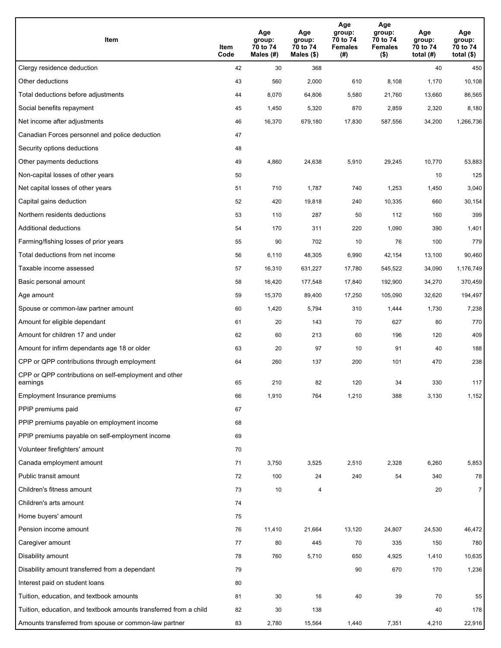| Item                                                              | Item<br>Code | Age<br>group:<br>70 to 74<br>Males (#) | Age<br>group:<br>70 to 74<br>Males (\$) | Age<br>group:<br>70 to 74<br><b>Females</b><br>(# ) | Age<br>group:<br>70 to 74<br>Females<br>$($ \$) | Age<br>group:<br>70 to 74<br>total $(H)$ | Age<br>group:<br>70 to 74<br>total $($)$ |
|-------------------------------------------------------------------|--------------|----------------------------------------|-----------------------------------------|-----------------------------------------------------|-------------------------------------------------|------------------------------------------|------------------------------------------|
| Clergy residence deduction                                        | 42           | 30                                     | 368                                     |                                                     |                                                 | 40                                       | 450                                      |
| Other deductions                                                  | 43           | 560                                    | 2,000                                   | 610                                                 | 8,108                                           | 1,170                                    | 10,108                                   |
| Total deductions before adjustments                               | 44           | 8,070                                  | 64,806                                  | 5,580                                               | 21,760                                          | 13,660                                   | 86,565                                   |
| Social benefits repayment                                         | 45           | 1,450                                  | 5,320                                   | 870                                                 | 2,859                                           | 2,320                                    | 8,180                                    |
| Net income after adjustments                                      | 46           | 16,370                                 | 679,180                                 | 17,830                                              | 587,556                                         | 34,200                                   | 1,266,736                                |
| Canadian Forces personnel and police deduction                    | 47           |                                        |                                         |                                                     |                                                 |                                          |                                          |
| Security options deductions                                       | 48           |                                        |                                         |                                                     |                                                 |                                          |                                          |
| Other payments deductions                                         | 49           | 4,860                                  | 24,638                                  | 5,910                                               | 29,245                                          | 10,770                                   | 53,883                                   |
| Non-capital losses of other years                                 | 50           |                                        |                                         |                                                     |                                                 | 10                                       | 125                                      |
| Net capital losses of other years                                 | 51           | 710                                    | 1,787                                   | 740                                                 | 1,253                                           | 1,450                                    | 3,040                                    |
| Capital gains deduction                                           | 52           | 420                                    | 19,818                                  | 240                                                 | 10,335                                          | 660                                      | 30,154                                   |
| Northern residents deductions                                     | 53           | 110                                    | 287                                     | 50                                                  | 112                                             | 160                                      | 399                                      |
| Additional deductions                                             | 54           | 170                                    | 311                                     | 220                                                 | 1,090                                           | 390                                      | 1,401                                    |
| Farming/fishing losses of prior years                             | 55           | 90                                     | 702                                     | 10                                                  | 76                                              | 100                                      | 779                                      |
| Total deductions from net income                                  | 56           | 6,110                                  | 48,305                                  | 6,990                                               | 42,154                                          | 13,100                                   | 90,460                                   |
| Taxable income assessed                                           | 57           | 16,310                                 | 631,227                                 | 17,780                                              | 545,522                                         | 34,090                                   | 1,176,749                                |
| Basic personal amount                                             | 58           | 16,420                                 | 177,548                                 | 17,840                                              | 192,900                                         | 34,270                                   | 370,459                                  |
| Age amount                                                        | 59           | 15,370                                 | 89,400                                  | 17,250                                              | 105,090                                         | 32,620                                   | 194,497                                  |
| Spouse or common-law partner amount                               | 60           | 1,420                                  | 5,794                                   | 310                                                 | 1,444                                           | 1,730                                    | 7,238                                    |
| Amount for eligible dependant                                     | 61           | 20                                     | 143                                     | 70                                                  | 627                                             | 80                                       | 770                                      |
| Amount for children 17 and under                                  | 62           | 60                                     | 213                                     | 60                                                  | 196                                             | 120                                      | 409                                      |
| Amount for infirm dependants age 18 or older                      | 63           | 20                                     | 97                                      | 10                                                  | 91                                              | 40                                       | 188                                      |
| CPP or QPP contributions through employment                       | 64           | 260                                    | 137                                     | 200                                                 | 101                                             | 470                                      | 238                                      |
| CPP or QPP contributions on self-employment and other<br>earnings | 65           | 210                                    | 82                                      | 120                                                 | 34                                              | 330                                      | 117                                      |
| Employment Insurance premiums                                     | 66           | 1,910                                  | 764                                     | 1,210                                               | 388                                             | 3,130                                    | 1,152                                    |
| PPIP premiums paid                                                | 67           |                                        |                                         |                                                     |                                                 |                                          |                                          |
| PPIP premiums payable on employment income                        | 68           |                                        |                                         |                                                     |                                                 |                                          |                                          |
| PPIP premiums payable on self-employment income                   | 69           |                                        |                                         |                                                     |                                                 |                                          |                                          |
| Volunteer firefighters' amount                                    | 70           |                                        |                                         |                                                     |                                                 |                                          |                                          |
| Canada employment amount                                          | 71           | 3,750                                  | 3,525                                   | 2,510                                               | 2,328                                           | 6,260                                    | 5,853                                    |
| Public transit amount                                             | 72           | 100                                    | 24                                      | 240                                                 | 54                                              | 340                                      | 78                                       |
| Children's fitness amount                                         | 73           | 10                                     | 4                                       |                                                     |                                                 | 20                                       | 7 <sup>1</sup>                           |
| Children's arts amount                                            | 74           |                                        |                                         |                                                     |                                                 |                                          |                                          |
| Home buyers' amount                                               | 75           |                                        |                                         |                                                     |                                                 |                                          |                                          |
| Pension income amount                                             | 76           | 11,410                                 | 21,664                                  | 13,120                                              | 24,807                                          | 24,530                                   | 46,472                                   |
| Caregiver amount                                                  | 77           | 80                                     | 445                                     | 70                                                  | 335                                             | 150                                      | 780                                      |
| Disability amount                                                 | 78           | 760                                    | 5,710                                   | 650                                                 | 4,925                                           | 1,410                                    | 10,635                                   |
| Disability amount transferred from a dependant                    | 79           |                                        |                                         | 90                                                  | 670                                             | 170                                      | 1,236                                    |
| Interest paid on student loans                                    | 80           |                                        |                                         |                                                     |                                                 |                                          |                                          |
| Tuition, education, and textbook amounts                          | 81           | 30                                     | 16                                      | 40                                                  | 39                                              | 70                                       | 55                                       |
| Tuition, education, and textbook amounts transferred from a child | 82           | 30                                     | 138                                     |                                                     |                                                 | 40                                       | 178                                      |
| Amounts transferred from spouse or common-law partner             | 83           | 2,780                                  | 15,564                                  | 1,440                                               | 7,351                                           | 4,210                                    | 22,916                                   |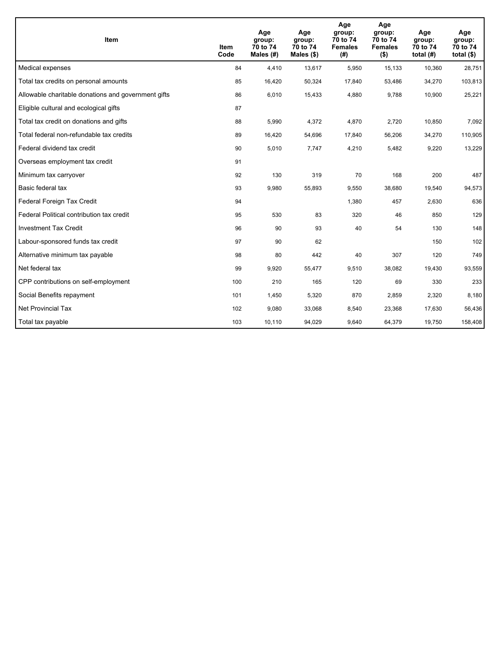| <b>Item</b>                                         | Item<br>Code | Age<br>group:<br>70 to 74<br>Males (#) | Age<br>group:<br>70 to 74<br>Males $(\$)$ | Age<br>group:<br>70 to 74<br><b>Females</b><br>(#) | Age<br>group:<br>70 to 74<br><b>Females</b><br>$($ \$) | Age<br>group:<br>70 to 74<br>total $(H)$ | Age<br>group:<br>70 to 74<br>total $($)$ |
|-----------------------------------------------------|--------------|----------------------------------------|-------------------------------------------|----------------------------------------------------|--------------------------------------------------------|------------------------------------------|------------------------------------------|
| Medical expenses                                    | 84           | 4,410                                  | 13,617                                    | 5,950                                              | 15,133                                                 | 10,360                                   | 28,751                                   |
| Total tax credits on personal amounts               | 85           | 16,420                                 | 50,324                                    | 17,840                                             | 53,486                                                 | 34,270                                   | 103,813                                  |
| Allowable charitable donations and government gifts | 86           | 6,010                                  | 15,433                                    | 4,880                                              | 9,788                                                  | 10,900                                   | 25,221                                   |
| Eligible cultural and ecological gifts              | 87           |                                        |                                           |                                                    |                                                        |                                          |                                          |
| Total tax credit on donations and gifts             | 88           | 5,990                                  | 4,372                                     | 4,870                                              | 2,720                                                  | 10,850                                   | 7,092                                    |
| Total federal non-refundable tax credits            | 89           | 16,420                                 | 54,696                                    | 17,840                                             | 56,206                                                 | 34,270                                   | 110,905                                  |
| Federal dividend tax credit                         | 90           | 5,010                                  | 7,747                                     | 4,210                                              | 5,482                                                  | 9,220                                    | 13,229                                   |
| Overseas employment tax credit                      | 91           |                                        |                                           |                                                    |                                                        |                                          |                                          |
| Minimum tax carryover                               | 92           | 130                                    | 319                                       | 70                                                 | 168                                                    | 200                                      | 487                                      |
| Basic federal tax                                   | 93           | 9,980                                  | 55,893                                    | 9,550                                              | 38,680                                                 | 19,540                                   | 94,573                                   |
| Federal Foreign Tax Credit                          | 94           |                                        |                                           | 1,380                                              | 457                                                    | 2,630                                    | 636                                      |
| Federal Political contribution tax credit           | 95           | 530                                    | 83                                        | 320                                                | 46                                                     | 850                                      | 129                                      |
| <b>Investment Tax Credit</b>                        | 96           | 90                                     | 93                                        | 40                                                 | 54                                                     | 130                                      | 148                                      |
| Labour-sponsored funds tax credit                   | 97           | 90                                     | 62                                        |                                                    |                                                        | 150                                      | 102                                      |
| Alternative minimum tax payable                     | 98           | 80                                     | 442                                       | 40                                                 | 307                                                    | 120                                      | 749                                      |
| Net federal tax                                     | 99           | 9,920                                  | 55,477                                    | 9,510                                              | 38,082                                                 | 19,430                                   | 93,559                                   |
| CPP contributions on self-employment                | 100          | 210                                    | 165                                       | 120                                                | 69                                                     | 330                                      | 233                                      |
| Social Benefits repayment                           | 101          | 1,450                                  | 5,320                                     | 870                                                | 2,859                                                  | 2,320                                    | 8,180                                    |
| <b>Net Provincial Tax</b>                           | 102          | 9,080                                  | 33,068                                    | 8,540                                              | 23,368                                                 | 17,630                                   | 56,436                                   |
| Total tax payable                                   | 103          | 10,110                                 | 94,029                                    | 9,640                                              | 64,379                                                 | 19,750                                   | 158,408                                  |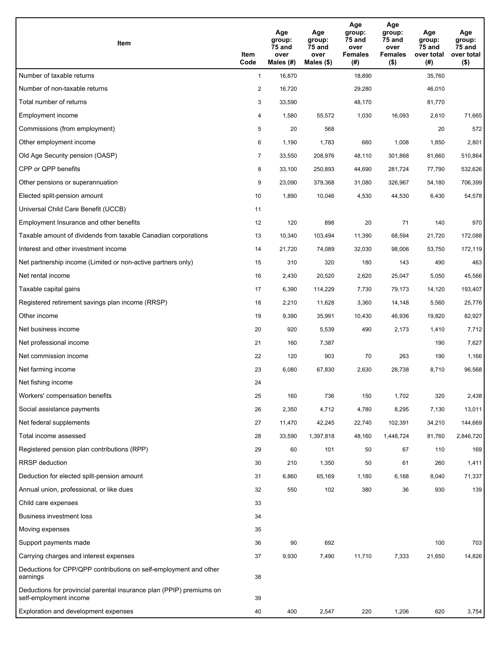| Item                                                                                           | Item<br>Code   | Age<br>group:<br>75 and<br>over<br>Males (#) | Age<br>group:<br>75 and<br>over<br>Males (\$) | Age<br>group:<br>75 and<br>over<br><b>Females</b><br>(#) | Age<br>group:<br>75 and<br>over<br>Females<br>$($ \$) | Age<br>group:<br>75 and<br>over total<br>(#) | Age<br>group:<br>75 and<br>over total<br>$($ \$) |
|------------------------------------------------------------------------------------------------|----------------|----------------------------------------------|-----------------------------------------------|----------------------------------------------------------|-------------------------------------------------------|----------------------------------------------|--------------------------------------------------|
| Number of taxable returns                                                                      | $\mathbf{1}$   | 16,870                                       |                                               | 18,890                                                   |                                                       | 35,760                                       |                                                  |
| Number of non-taxable returns                                                                  | $\overline{2}$ | 16,720                                       |                                               | 29,280                                                   |                                                       | 46,010                                       |                                                  |
| Total number of returns                                                                        | 3              | 33,590                                       |                                               | 48,170                                                   |                                                       | 81,770                                       |                                                  |
| Employment income                                                                              | 4              | 1,580                                        | 55,572                                        | 1,030                                                    | 16,093                                                | 2,610                                        | 71,665                                           |
| Commissions (from employment)                                                                  | 5              | 20                                           | 568                                           |                                                          |                                                       | 20                                           | 572                                              |
| Other employment income                                                                        | 6              | 1,190                                        | 1,783                                         | 660                                                      | 1,008                                                 | 1,850                                        | 2,801                                            |
| Old Age Security pension (OASP)                                                                | $\overline{7}$ | 33,550                                       | 208,976                                       | 48,110                                                   | 301,868                                               | 81,660                                       | 510,864                                          |
| CPP or QPP benefits                                                                            | 8              | 33,100                                       | 250,893                                       | 44,690                                                   | 281,724                                               | 77,790                                       | 532,626                                          |
| Other pensions or superannuation                                                               | 9              | 23,090                                       | 379,368                                       | 31,080                                                   | 326,967                                               | 54,180                                       | 706,399                                          |
| Elected split-pension amount                                                                   | 10             | 1,890                                        | 10,046                                        | 4,530                                                    | 44,530                                                | 6,430                                        | 54,578                                           |
| Universal Child Care Benefit (UCCB)                                                            | 11             |                                              |                                               |                                                          |                                                       |                                              |                                                  |
| Employment Insurance and other benefits                                                        | 12             | 120                                          | 898                                           | 20                                                       | 71                                                    | 140                                          | 970                                              |
| Taxable amount of dividends from taxable Canadian corporations                                 | 13             | 10,340                                       | 103,494                                       | 11,390                                                   | 68,594                                                | 21,720                                       | 172,088                                          |
| Interest and other investment income                                                           | 14             | 21,720                                       | 74,089                                        | 32,030                                                   | 98,006                                                | 53,750                                       | 172,119                                          |
| Net partnership income (Limited or non-active partners only)                                   | 15             | 310                                          | 320                                           | 180                                                      | 143                                                   | 490                                          | 463                                              |
| Net rental income                                                                              | 16             | 2,430                                        | 20,520                                        | 2,620                                                    | 25,047                                                | 5,050                                        | 45,566                                           |
| Taxable capital gains                                                                          | 17             | 6,390                                        | 114,229                                       | 7,730                                                    | 79,173                                                | 14,120                                       | 193,407                                          |
| Registered retirement savings plan income (RRSP)                                               | 18             | 2,210                                        | 11,628                                        | 3,360                                                    | 14,148                                                | 5,560                                        | 25,776                                           |
| Other income                                                                                   | 19             | 9,390                                        | 35,991                                        | 10,430                                                   | 46,936                                                | 19,820                                       | 82,927                                           |
| Net business income                                                                            | 20             | 920                                          | 5,539                                         | 490                                                      | 2,173                                                 | 1,410                                        | 7,712                                            |
| Net professional income                                                                        | 21             | 160                                          | 7,387                                         |                                                          |                                                       | 190                                          | 7,627                                            |
| Net commission income                                                                          | 22             | 120                                          | 903                                           | 70                                                       | 263                                                   | 190                                          | 1,166                                            |
| Net farming income                                                                             | 23             | 6,080                                        | 67,830                                        | 2,630                                                    | 28,738                                                | 8,710                                        | 96,568                                           |
| Net fishing income                                                                             | 24             |                                              |                                               |                                                          |                                                       |                                              |                                                  |
| Workers' compensation benefits                                                                 | 25             | 160                                          | 736                                           | 150                                                      | 1,702                                                 | 320                                          | 2,438                                            |
| Social assistance payments                                                                     | 26             | 2,350                                        | 4,712                                         | 4,780                                                    | 8,295                                                 | 7,130                                        | 13,011                                           |
| Net federal supplements                                                                        | 27             | 11,470                                       | 42,245                                        | 22,740                                                   | 102,391                                               | 34,210                                       | 144,669                                          |
| Total income assessed                                                                          | 28             | 33,590                                       | 1,397,818                                     | 48,160                                                   | 1,448,724                                             | 81,760                                       | 2,846,720                                        |
| Registered pension plan contributions (RPP)                                                    | 29             | 60                                           | 101                                           | 50                                                       | 67                                                    | 110                                          | 169                                              |
| <b>RRSP</b> deduction                                                                          | 30             | 210                                          | 1,350                                         | 50                                                       | 61                                                    | 260                                          | 1,411                                            |
| Deduction for elected split-pension amount                                                     | 31             | 6,860                                        | 65,169                                        | 1,180                                                    | 6,168                                                 | 8,040                                        | 71,337                                           |
| Annual union, professional, or like dues                                                       | 32             | 550                                          | 102                                           | 380                                                      | 36                                                    | 930                                          | 139                                              |
| Child care expenses                                                                            | 33             |                                              |                                               |                                                          |                                                       |                                              |                                                  |
| Business investment loss                                                                       | 34             |                                              |                                               |                                                          |                                                       |                                              |                                                  |
| Moving expenses                                                                                | 35             |                                              |                                               |                                                          |                                                       |                                              |                                                  |
| Support payments made                                                                          | 36             | 90                                           | 692                                           |                                                          |                                                       | 100                                          | 703                                              |
| Carrying charges and interest expenses                                                         | 37             | 9,930                                        | 7,490                                         | 11,710                                                   | 7,333                                                 | 21,650                                       | 14,826                                           |
| Deductions for CPP/QPP contributions on self-employment and other<br>earnings                  | 38             |                                              |                                               |                                                          |                                                       |                                              |                                                  |
| Deductions for provincial parental insurance plan (PPIP) premiums on<br>self-employment income | 39             |                                              |                                               |                                                          |                                                       |                                              |                                                  |
| Exploration and development expenses                                                           | 40             | 400                                          | 2,547                                         | 220                                                      | 1,206                                                 | 620                                          | 3,754                                            |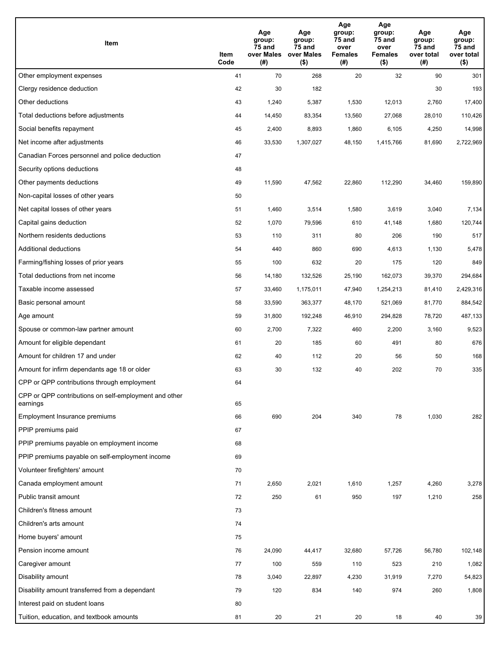| Item                                                              | Item<br>Code | Age<br>group:<br>75 and<br>over Males<br>(# ) | Age<br>group:<br>75 and<br>over Males<br>$($ \$) | Age<br>group:<br>75 and<br>over<br><b>Females</b><br>(# ) | Age<br>group:<br>75 and<br>over<br><b>Females</b><br>$($ \$) | Age<br>group:<br>75 and<br>over total<br>(#) | Age<br>group:<br>75 and<br>over total<br>$($ \$) |
|-------------------------------------------------------------------|--------------|-----------------------------------------------|--------------------------------------------------|-----------------------------------------------------------|--------------------------------------------------------------|----------------------------------------------|--------------------------------------------------|
| Other employment expenses                                         | 41           | 70                                            | 268                                              | 20                                                        | 32                                                           | 90                                           | 301                                              |
| Clergy residence deduction                                        | 42           | 30                                            | 182                                              |                                                           |                                                              | 30                                           | 193                                              |
| Other deductions                                                  | 43           | 1,240                                         | 5,387                                            | 1,530                                                     | 12,013                                                       | 2,760                                        | 17,400                                           |
| Total deductions before adjustments                               | 44           | 14,450                                        | 83,354                                           | 13,560                                                    | 27,068                                                       | 28,010                                       | 110,426                                          |
| Social benefits repayment                                         | 45           | 2,400                                         | 8,893                                            | 1,860                                                     | 6,105                                                        | 4,250                                        | 14,998                                           |
| Net income after adjustments                                      | 46           | 33,530                                        | 1,307,027                                        | 48,150                                                    | 1,415,766                                                    | 81,690                                       | 2,722,969                                        |
| Canadian Forces personnel and police deduction                    | 47           |                                               |                                                  |                                                           |                                                              |                                              |                                                  |
| Security options deductions                                       | 48           |                                               |                                                  |                                                           |                                                              |                                              |                                                  |
| Other payments deductions                                         | 49           | 11,590                                        | 47,562                                           | 22,860                                                    | 112,290                                                      | 34,460                                       | 159,890                                          |
| Non-capital losses of other years                                 | 50           |                                               |                                                  |                                                           |                                                              |                                              |                                                  |
| Net capital losses of other years                                 | 51           | 1,460                                         | 3,514                                            | 1,580                                                     | 3,619                                                        | 3,040                                        | 7,134                                            |
| Capital gains deduction                                           | 52           | 1,070                                         | 79,596                                           | 610                                                       | 41,148                                                       | 1,680                                        | 120,744                                          |
| Northern residents deductions                                     | 53           | 110                                           | 311                                              | 80                                                        | 206                                                          | 190                                          | 517                                              |
| Additional deductions                                             | 54           | 440                                           | 860                                              | 690                                                       | 4,613                                                        | 1,130                                        | 5,478                                            |
| Farming/fishing losses of prior years                             | 55           | 100                                           | 632                                              | 20                                                        | 175                                                          | 120                                          | 849                                              |
| Total deductions from net income                                  | 56           | 14,180                                        | 132,526                                          | 25,190                                                    | 162,073                                                      | 39,370                                       | 294,684                                          |
| Taxable income assessed                                           | 57           | 33,460                                        | 1,175,011                                        | 47,940                                                    | 1,254,213                                                    | 81,410                                       | 2,429,316                                        |
| Basic personal amount                                             | 58           | 33,590                                        | 363,377                                          | 48,170                                                    | 521,069                                                      | 81,770                                       | 884,542                                          |
| Age amount                                                        | 59           | 31,800                                        | 192,248                                          | 46,910                                                    | 294,828                                                      | 78,720                                       | 487,133                                          |
| Spouse or common-law partner amount                               | 60           | 2,700                                         | 7,322                                            | 460                                                       | 2,200                                                        | 3,160                                        | 9,523                                            |
| Amount for eligible dependant                                     | 61           | 20                                            | 185                                              | 60                                                        | 491                                                          | 80                                           | 676                                              |
| Amount for children 17 and under                                  | 62           | 40                                            | 112                                              | 20                                                        | 56                                                           | 50                                           | 168                                              |
| Amount for infirm dependants age 18 or older                      | 63           | 30                                            | 132                                              | 40                                                        | 202                                                          | 70                                           | 335                                              |
| CPP or QPP contributions through employment                       | 64           |                                               |                                                  |                                                           |                                                              |                                              |                                                  |
| CPP or QPP contributions on self-employment and other<br>earnings | 65           |                                               |                                                  |                                                           |                                                              |                                              |                                                  |
| Employment Insurance premiums                                     | 66           | 690                                           | 204                                              | 340                                                       | 78                                                           | 1,030                                        | 282                                              |
| PPIP premiums paid                                                | 67           |                                               |                                                  |                                                           |                                                              |                                              |                                                  |
| PPIP premiums payable on employment income                        | 68           |                                               |                                                  |                                                           |                                                              |                                              |                                                  |
| PPIP premiums payable on self-employment income                   | 69           |                                               |                                                  |                                                           |                                                              |                                              |                                                  |
| Volunteer firefighters' amount                                    | 70           |                                               |                                                  |                                                           |                                                              |                                              |                                                  |
| Canada employment amount                                          | 71           | 2,650                                         | 2,021                                            | 1,610                                                     | 1,257                                                        | 4,260                                        | 3,278                                            |
| Public transit amount                                             | 72           | 250                                           | 61                                               | 950                                                       | 197                                                          | 1,210                                        | 258                                              |
| Children's fitness amount                                         | 73           |                                               |                                                  |                                                           |                                                              |                                              |                                                  |
| Children's arts amount                                            | 74           |                                               |                                                  |                                                           |                                                              |                                              |                                                  |
| Home buyers' amount                                               | 75           |                                               |                                                  |                                                           |                                                              |                                              |                                                  |
| Pension income amount                                             | 76           | 24,090                                        | 44,417                                           | 32,680                                                    | 57,726                                                       | 56,780                                       | 102,148                                          |
| Caregiver amount                                                  | 77           | 100                                           | 559                                              | 110                                                       | 523                                                          | 210                                          | 1,082                                            |
| Disability amount                                                 | 78           | 3,040                                         | 22,897                                           | 4,230                                                     | 31,919                                                       | 7,270                                        | 54,823                                           |
| Disability amount transferred from a dependant                    | 79           | 120                                           | 834                                              | 140                                                       | 974                                                          | 260                                          | 1,808                                            |
| Interest paid on student loans                                    | 80           |                                               |                                                  |                                                           |                                                              |                                              |                                                  |
| Tuition, education, and textbook amounts                          | 81           | 20                                            | 21                                               | 20                                                        | 18                                                           | 40                                           | 39                                               |